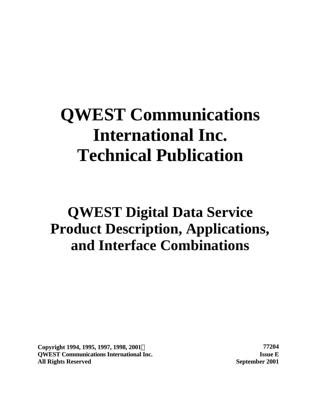# **QWEST Communications International Inc. Technical Publication**

# **QWEST Digital Data Service Product Description, Applications, and Interface Combinations**

**Copyright 1994, 1995, 1997, 1998, 2001Ó 77204 QWEST Communications International Inc. Issue E All Rights Reserved September 2001**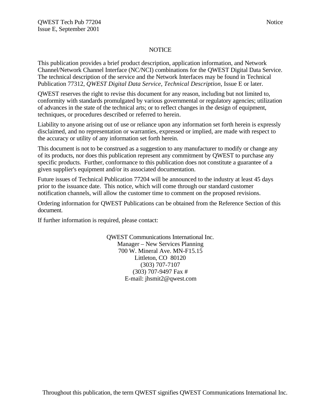#### **NOTICE**

This publication provides a brief product description, application information, and Network Channel/Network Channel Interface (NC/NCI) combinations for the QWEST Digital Data Service. The technical description of the service and the Network Interfaces may be found in Technical Publication 77312, *QWEST Digital Data Service, Technical Description,* Issue E or later.

QWEST reserves the right to revise this document for any reason, including but not limited to, conformity with standards promulgated by various governmental or regulatory agencies; utilization of advances in the state of the technical arts; or to reflect changes in the design of equipment, techniques, or procedures described or referred to herein.

Liability to anyone arising out of use or reliance upon any information set forth herein is expressly disclaimed, and no representation or warranties, expressed or implied, are made with respect to the accuracy or utility of any information set forth herein.

This document is not to be construed as a suggestion to any manufacturer to modify or change any of its products, nor does this publication represent any commitment by QWEST to purchase any specific products. Further, conformance to this publication does not constitute a guarantee of a given supplier's equipment and/or its associated documentation.

Future issues of Technical Publication 77204 will be announced to the industry at least 45 days prior to the issuance date. This notice, which will come through our standard customer notification channels, will allow the customer time to comment on the proposed revisions.

Ordering information for QWEST Publications can be obtained from the Reference Section of this document.

If further information is required, please contact:

QWEST Communications International Inc. Manager – New Services Planning 700 W. Mineral Ave. MN-F15.15 Littleton, CO 80120 (303) 707-7107 (303) 707-9497 Fax # E-mail: jhsmit2@qwest.com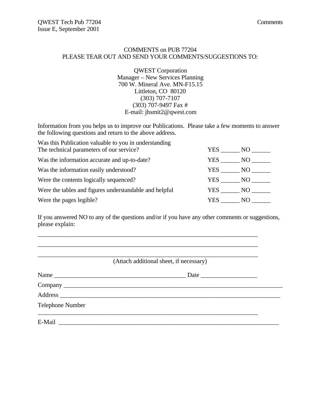#### COMMENTS on PUB 77204 PLEASE TEAR OUT AND SEND YOUR COMMENTS/SUGGESTIONS TO:

QWEST Corporation Manager – New Services Planning 700 W. Mineral Ave. MN-F15.15 Littleton, CO 80120 (303) 707-7107 (303) 707-9497 Fax # E-mail: jhsmit2@qwest.com

Information from you helps us to improve our Publications. Please take a few moments to answer the following questions and return to the above address.

| Was this Publication valuable to you in understanding  |       |      |
|--------------------------------------------------------|-------|------|
| The technical parameters of our service?               | YES.  | NO.  |
| Was the information accurate and up-to-date?           | YES.  | NO.  |
| Was the information easily understood?                 | YES . | NO - |
| Were the contents logically sequenced?                 | YES   | NO.  |
| Were the tables and figures understandable and helpful | YES   | NO 1 |
| Were the pages legible?                                | YES.  | NO.  |

If you answered NO to any of the questions and/or if you have any other comments or suggestions, please explain:

\_\_\_\_\_\_\_\_\_\_\_\_\_\_\_\_\_\_\_\_\_\_\_\_\_\_\_\_\_\_\_\_\_\_\_\_\_\_\_\_\_\_\_\_\_\_\_\_\_\_\_\_\_\_\_\_\_\_\_\_\_\_\_\_\_\_\_\_\_\_

| Name                    |  |
|-------------------------|--|
|                         |  |
|                         |  |
| <b>Telephone Number</b> |  |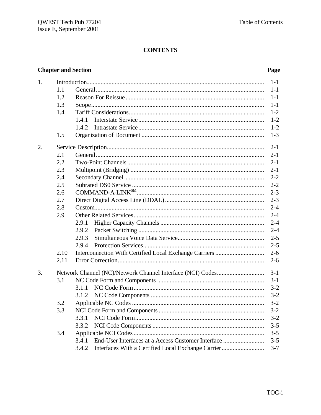# **CONTENTS**

## **Chapter and Section**

## Page

| 1. |      |                                                                                                                                                                                                                                                                                                                       | $1-1$   |
|----|------|-----------------------------------------------------------------------------------------------------------------------------------------------------------------------------------------------------------------------------------------------------------------------------------------------------------------------|---------|
|    | 1.1  |                                                                                                                                                                                                                                                                                                                       | $1 - 1$ |
|    | 1.2  |                                                                                                                                                                                                                                                                                                                       | $1-1$   |
|    | 1.3  |                                                                                                                                                                                                                                                                                                                       | $1-1$   |
|    | 1.4  |                                                                                                                                                                                                                                                                                                                       | $1 - 2$ |
|    |      | 1.4.1                                                                                                                                                                                                                                                                                                                 | $1 - 2$ |
|    |      | 1.4.2                                                                                                                                                                                                                                                                                                                 | $1 - 2$ |
|    | 1.5  |                                                                                                                                                                                                                                                                                                                       | $1 - 3$ |
| 2. |      |                                                                                                                                                                                                                                                                                                                       | $2 - 1$ |
|    | 2.1  |                                                                                                                                                                                                                                                                                                                       | $2 - 1$ |
|    | 2.2  |                                                                                                                                                                                                                                                                                                                       | $2 - 1$ |
|    | 2.3  |                                                                                                                                                                                                                                                                                                                       | $2 - 1$ |
|    | 2.4  |                                                                                                                                                                                                                                                                                                                       | $2 - 2$ |
|    | 2.5  |                                                                                                                                                                                                                                                                                                                       | $2 - 2$ |
|    | 2.6  | $\text{COMMAND-A-LINK}^{\text{SM}} \text{} \text{} \text{} \text{} \text{} \text{} \text{} \text{} \text{} \text{} \text{} \text{} \text{} \text{} \text{} \text{} \text{} \text{} \text{} \text{} \text{} \text{} \text{} \text{} \text{} \text{} \text{} \text{} \text{} \text{} \text{} \text{} \text{} \text{} \$ | $2 - 3$ |
|    | 2.7  |                                                                                                                                                                                                                                                                                                                       | $2 - 3$ |
|    | 2.8  |                                                                                                                                                                                                                                                                                                                       | $2 - 4$ |
|    | 2.9  |                                                                                                                                                                                                                                                                                                                       | $2 - 4$ |
|    |      | 2.9.1                                                                                                                                                                                                                                                                                                                 | $2 - 4$ |
|    |      | 2.9.2                                                                                                                                                                                                                                                                                                                 | $2 - 4$ |
|    |      | 2.9.3                                                                                                                                                                                                                                                                                                                 | $2 - 5$ |
|    |      | 2.9.4                                                                                                                                                                                                                                                                                                                 | $2 - 5$ |
|    | 2.10 |                                                                                                                                                                                                                                                                                                                       | $2 - 6$ |
|    | 2.11 |                                                                                                                                                                                                                                                                                                                       | $2 - 6$ |
| 3. |      |                                                                                                                                                                                                                                                                                                                       | $3 - 1$ |
|    | 3.1  |                                                                                                                                                                                                                                                                                                                       | $3 - 1$ |
|    |      | 3.1.1                                                                                                                                                                                                                                                                                                                 | $3 - 2$ |
|    |      | 3.1.2                                                                                                                                                                                                                                                                                                                 | $3 - 2$ |
|    | 3.2  |                                                                                                                                                                                                                                                                                                                       | $3 - 2$ |
|    | 3.3  |                                                                                                                                                                                                                                                                                                                       | $3 - 2$ |
|    |      | 3.3.1                                                                                                                                                                                                                                                                                                                 | $3 - 2$ |
|    |      | 3.3.2                                                                                                                                                                                                                                                                                                                 | $3 - 5$ |
|    | 3.4  |                                                                                                                                                                                                                                                                                                                       | $3 - 5$ |
|    |      | End-User Interfaces at a Access Customer Interface<br>3.4.1                                                                                                                                                                                                                                                           | $3 - 5$ |
|    |      | Interfaces With a Certified Local Exchange Carrier<br>3.4.2                                                                                                                                                                                                                                                           | $3 - 7$ |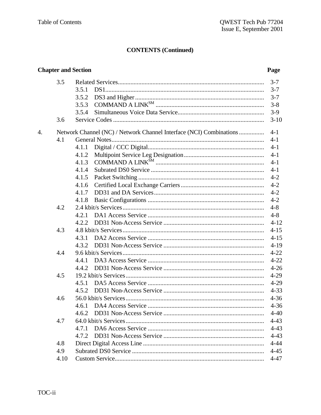|    |      | <b>Chapter and Section</b>                                                   | Page     |
|----|------|------------------------------------------------------------------------------|----------|
|    | 3.5  |                                                                              | $3 - 7$  |
|    |      | 3.5.1                                                                        | $3 - 7$  |
|    |      | 3.5.2                                                                        | $3 - 7$  |
|    |      | $\begin{minipage}{.4\linewidth} COMMAND A LINK^{SM} \end{minipage}$<br>3.5.3 | $3 - 8$  |
|    |      | 3.5.4                                                                        | $3-9$    |
|    | 3.6  |                                                                              | $3 - 10$ |
| 4. |      | Network Channel (NC) / Network Channel Interface (NCI) Combinations          | $4 - 1$  |
|    | 4.1  |                                                                              | $4 - 1$  |
|    |      | 4.1.1                                                                        | $4 - 1$  |
|    |      | 4.1.2                                                                        | $4 - 1$  |
|    |      | 4.1.3                                                                        | $4 - 1$  |
|    |      | 4.1.4                                                                        | $4 - 1$  |
|    |      | 4.1.5                                                                        | $4 - 2$  |
|    |      | 4.1.6                                                                        | $4 - 2$  |
|    |      | 4.1.7                                                                        | $4 - 2$  |
|    |      | 4.1.8                                                                        | $4 - 2$  |
|    | 4.2  |                                                                              | $4 - 8$  |
|    |      | 4.2.1                                                                        | $4 - 8$  |
|    |      | 4.2.2                                                                        | $4 - 12$ |
|    | 4.3  |                                                                              | $4 - 15$ |
|    |      | 4.3.1                                                                        | $4 - 15$ |
|    |      | 4.3.2                                                                        | $4 - 19$ |
|    | 4.4  |                                                                              | $4 - 22$ |
|    |      | 4.4.1                                                                        | $4 - 22$ |
|    |      | 4.4.2                                                                        | $4 - 26$ |
|    | 4.5  |                                                                              | $4 - 29$ |
|    |      | 4.5.1                                                                        | $4 - 29$ |
|    |      |                                                                              | $4 - 33$ |
|    | 4.6  |                                                                              | $4 - 36$ |
|    |      | 4.6.1                                                                        | $4 - 36$ |
|    |      | 4.6.2                                                                        | $4 - 40$ |
|    | 4.7  |                                                                              | $4 - 43$ |
|    |      | 4.7.1                                                                        | $4 - 43$ |
|    |      | 4.7.2                                                                        | $4 - 43$ |
|    | 4.8  |                                                                              | $4 - 44$ |
|    | 4.9  |                                                                              | $4 - 45$ |
|    | 4.10 |                                                                              | $4 - 47$ |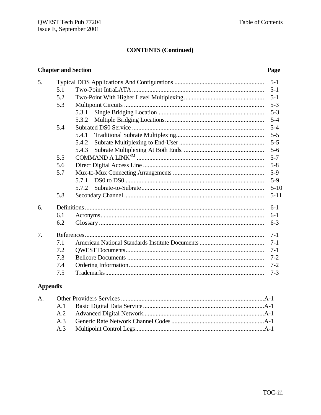#### **Chapter and Section**  $5<sub>1</sub>$  $5.1$  $5 - 1$ 5.2 5.3  $5 - 3$ 5.3.1  $5 - 3$ 5.3.2  $5 - 4$ 5.4 5.4.1  $5 - 5$ 5.4.2  $5 - 5$ 5.4.3  $5 - 6$  $5.5$ 5.6 5.7  $5-9$ 5.7.1  $5-9$ 5.7.2  $5 - 11$ 5.8 6.  $6-1$ 6.1  $6-1$ 6.2  $6 - 3$  $7<sub>1</sub>$  $7 - 1$  $7.1$  $7 - 1$  $7.2$  $7 - 1$  $7.3$  $7 - 2$ 7.4  $7 - 2$  $7.5$  $7 - 3$

#### **Appendix**

#### Page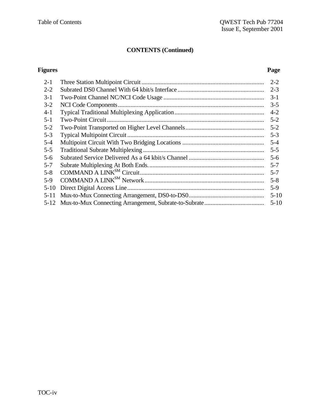#### **Figures Page**

| $2 - 1$  | $2 - 2$  |
|----------|----------|
| $2 - 2$  | $2 - 3$  |
| $3-1$    | $3-1$    |
| $3 - 2$  | $3 - 5$  |
| $4 - 1$  | $4-2$    |
| $5 - 1$  | $5 - 2$  |
| $5 - 2$  | $5 - 2$  |
| $5 - 3$  | $5 - 3$  |
| $5 - 4$  | $5 - 4$  |
| $5 - 5$  | $5 - 5$  |
| $5 - 6$  | $5 - 6$  |
| $5 - 7$  | $5 - 7$  |
| $5 - 8$  | $5 - 7$  |
| $5-9$    | $5 - 8$  |
| $5-10$   | $5-9$    |
| $5 - 11$ | $5 - 10$ |
|          | $5 - 10$ |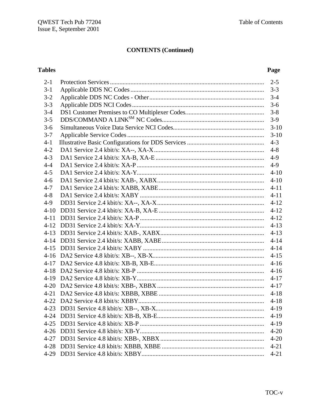## **Tables**

## Page

| $2 - 1$  |          |
|----------|----------|
| $3 - 1$  |          |
| $3 - 2$  |          |
| $3 - 3$  |          |
| $3 - 4$  |          |
| $3 - 5$  |          |
| $3 - 6$  |          |
| $3 - 7$  |          |
| $4 - 1$  |          |
| $4 - 2$  |          |
| $4 - 3$  |          |
| $4 - 4$  |          |
| $4 - 5$  | $4 - 10$ |
| $4 - 6$  | $4 - 10$ |
| $4 - 7$  |          |
| $4 - 8$  |          |
| $4-9$    |          |
| $4 - 10$ |          |
| $4 - 11$ |          |
|          |          |
|          |          |
|          |          |
|          |          |
|          | $4 - 15$ |
|          |          |
|          |          |
|          |          |
|          | $4 - 17$ |
|          | $4 - 18$ |
|          | $4 - 18$ |
|          | $4-19$   |
| $4 - 24$ | $4 - 19$ |
| $4 - 25$ | $4-19$   |
| $4 - 26$ | $4 - 20$ |
|          | $4 - 20$ |
| $4 - 28$ | $4 - 21$ |
|          | $4 - 21$ |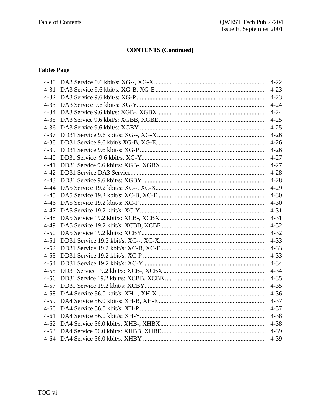## **Tables Page**

|  | $4 - 22$ |
|--|----------|
|  |          |
|  |          |
|  |          |
|  |          |
|  |          |
|  |          |
|  |          |
|  |          |
|  |          |
|  |          |
|  |          |
|  |          |
|  |          |
|  |          |
|  |          |
|  |          |
|  |          |
|  |          |
|  |          |
|  |          |
|  |          |
|  |          |
|  |          |
|  |          |
|  |          |
|  |          |
|  |          |
|  |          |
|  |          |
|  |          |
|  |          |
|  |          |
|  |          |
|  | $4 - 39$ |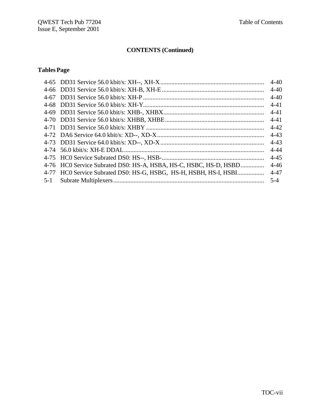## **TablesPage**

|                                                                   | $4 - 40$ |
|-------------------------------------------------------------------|----------|
|                                                                   | $4 - 40$ |
|                                                                   | $4 - 40$ |
|                                                                   | $4 - 41$ |
|                                                                   | $4 - 41$ |
|                                                                   |          |
|                                                                   | $4 - 42$ |
|                                                                   | $4 - 43$ |
|                                                                   | $4 - 43$ |
|                                                                   | $4 - 44$ |
|                                                                   | $4 - 45$ |
| 4-76 HC0 Service Subrated DS0: HS-A, HSBA, HS-C, HSBC, HS-D, HSBD | $4 - 46$ |
| 4-77 HC0 Service Subrated DS0: HS-G, HSBG, HS-H, HSBH, HS-I, HSBI | $4 - 47$ |
|                                                                   | $5-4$    |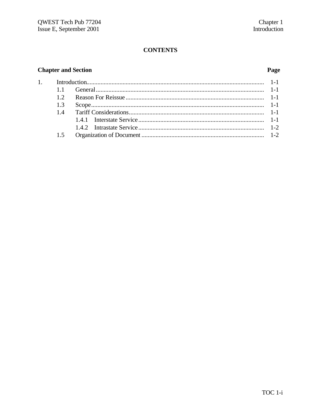# **CONTENTS**

## **Chapter and Section**

 $\overline{1}$ .

## Page

| 15 |  |
|----|--|
|    |  |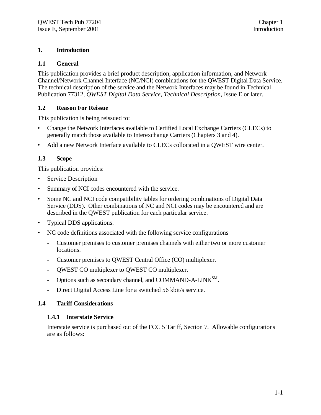#### **1. Introduction**

#### **1.1 General**

This publication provides a brief product description, application information, and Network Channel/Network Channel Interface (NC/NCI) combinations for the QWEST Digital Data Service. The technical description of the service and the Network Interfaces may be found in Technical Publication 77312, *QWEST Digital Data Service, Technical Description,* Issue E or later.

#### **1.2 Reason For Reissue**

This publication is being reissued to:

- Change the Network Interfaces available to Certified Local Exchange Carriers (CLECs) to generally match those available to Interexchange Carriers (Chapters 3 and 4).
- Add a new Network Interface available to CLECs collocated in a QWEST wire center.

#### **1.3 Scope**

This publication provides:

- Service Description
- Summary of NCI codes encountered with the service.
- Some NC and NCI code compatibility tables for ordering combinations of Digital Data Service (DDS). Other combinations of NC and NCI codes may be encountered and are described in the QWEST publication for each particular service.
- Typical DDS applications.
- NC code definitions associated with the following service configurations
	- Customer premises to customer premises channels with either two or more customer locations.
	- Customer premises to OWEST Central Office (CO) multiplexer.
	- QWEST CO multiplexer to QWEST CO multiplexer.
	- Options such as secondary channel, and COMMAND-A-LINK<sup>SM</sup>.
	- Direct Digital Access Line for a switched 56 kbit/s service.

#### **1.4 Tariff Considerations**

#### **1.4.1 Interstate Service**

Interstate service is purchased out of the FCC 5 Tariff, Section 7. Allowable configurations are as follows: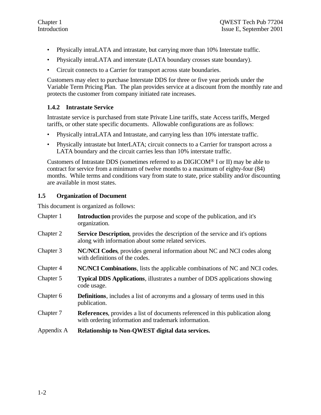- Physically intraLATA and intrastate, but carrying more than 10% Interstate traffic.
- Physically intraLATA and interstate (LATA boundary crosses state boundary).
- Circuit connects to a Carrier for transport across state boundaries.

Customers may elect to purchase Interstate DDS for three or five year periods under the Variable Term Pricing Plan. The plan provides service at a discount from the monthly rate and protects the customer from company initiated rate increases.

#### **1.4.2 Intrastate Service**

Intrastate service is purchased from state Private Line tariffs, state Access tariffs, Merged tariffs, or other state specific documents. Allowable configurations are as follows:

- Physically intraLATA and Intrastate, and carrying less than 10% interstate traffic.
- Physically intrastate but InterLATA; circuit connects to a Carrier for transport across a LATA boundary and the circuit carries less than 10% interstate traffic.

Customers of Intrastate DDS (sometimes referred to as DIGICOM® I or II) may be able to contract for service from a minimum of twelve months to a maximum of eighty-four (84) months. While terms and conditions vary from state to state, price stability and/or discounting are available in most states.

#### **1.5 Organization of Document**

This document is organized as follows:

| Chapter 1  | <b>Introduction</b> provides the purpose and scope of the publication, and it's<br>organization.                                              |
|------------|-----------------------------------------------------------------------------------------------------------------------------------------------|
| Chapter 2  | <b>Service Description</b> , provides the description of the service and it's options<br>along with information about some related services.  |
| Chapter 3  | <b>NC/NCI Codes, provides general information about NC and NCI codes along</b><br>with definitions of the codes.                              |
| Chapter 4  | <b>NC/NCI Combinations</b> , lists the applicable combinations of NC and NCI codes.                                                           |
| Chapter 5  | <b>Typical DDS Applications, illustrates a number of DDS applications showing</b><br>code usage.                                              |
| Chapter 6  | <b>Definitions</b> , includes a list of acronyms and a glossary of terms used in this<br>publication.                                         |
| Chapter 7  | <b>References</b> , provides a list of documents referenced in this publication along<br>with ordering information and trademark information. |
| Appendix A | Relationship to Non-QWEST digital data services.                                                                                              |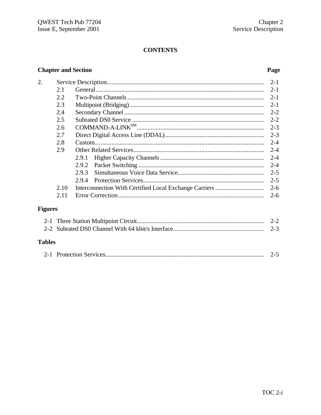# **CONTENTS**

## **Chapter and Section**

#### Page

| 2.             |      |       | $2 - 1$ |
|----------------|------|-------|---------|
|                | 2.1  |       | $2 - 1$ |
|                | 2.2  |       | $2 - 1$ |
|                | 2.3  |       | $2 - 1$ |
|                | 2.4  |       | $2 - 2$ |
|                | 2.5  |       | $2 - 2$ |
|                | 2.6  |       | $2 - 3$ |
|                | 2.7  |       | $2 - 3$ |
|                | 2.8  |       | $2 - 4$ |
|                | 2.9  |       | $2 - 4$ |
|                |      | 2.9.1 | $2 - 4$ |
|                |      | 2.9.2 | $2 - 4$ |
|                |      | 2.9.3 | $2 - 5$ |
|                |      | 2.9.4 | $2 - 5$ |
|                | 2.10 |       | $2 - 6$ |
|                | 2.11 |       | $2-6$   |
| $\blacksquare$ |      |       |         |

# **Figures**

| <b>Tables</b> |  |
|---------------|--|

|--|--|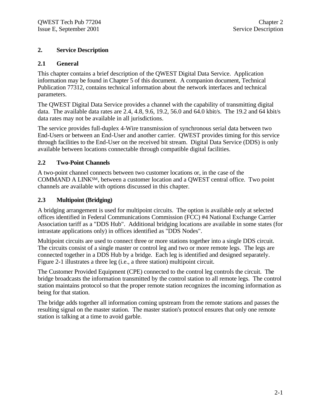#### **2. Service Description**

#### **2.1 General**

This chapter contains a brief description of the QWEST Digital Data Service. Application information may be found in Chapter 5 of this document. A companion document, Technical Publication 77312, contains technical information about the network interfaces and technical parameters.

The QWEST Digital Data Service provides a channel with the capability of transmitting digital data. The available data rates are 2.4, 4.8, 9.6, 19.2, 56.0 and 64.0 kbit/s. The 19.2 and 64 kbit/s data rates may not be available in all jurisdictions.

The service provides full-duplex 4-Wire transmission of synchronous serial data between two End-Users or between an End-User and another carrier. QWEST provides timing for this service through facilities to the End-User on the received bit stream. Digital Data Service (DDS) is only available between locations connectable through compatible digital facilities.

#### **2.2 Two-Point Channels**

A two-point channel connects between two customer locations or, in the case of the COMMAND A LINKSM, between a customer location and a QWEST central office. Two point channels are available with options discussed in this chapter.

#### **2.3 Multipoint (Bridging)**

A bridging arrangement is used for multipoint circuits. The option is available only at selected offices identified in Federal Communications Commission (FCC) #4 National Exchange Carrier Association tariff as a "DDS Hub". Additional bridging locations are available in some states (for intrastate applications only) in offices identified as "DDS Nodes".

Multipoint circuits are used to connect three or more stations together into a single DDS circuit. The circuits consist of a single master or control leg and two or more remote legs. The legs are connected together in a DDS Hub by a bridge. Each leg is identified and designed separately. Figure 2-1 illustrates a three leg (i.e., a three station) multipoint circuit.

The Customer Provided Equipment (CPE) connected to the control leg controls the circuit. The bridge broadcasts the information transmitted by the control station to all remote legs. The control station maintains protocol so that the proper remote station recognizes the incoming information as being for that station.

The bridge adds together all information coming upstream from the remote stations and passes the resulting signal on the master station. The master station's protocol ensures that only one remote station is talking at a time to avoid garble.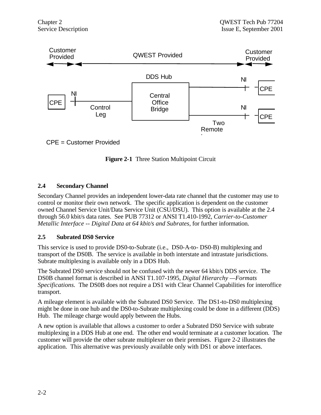

CPE = Customer Provided

**Figure 2-1** Three Station Multipoint Circuit

#### **2.4 Secondary Channel**

Secondary Channel provides an independent lower-data rate channel that the customer may use to control or monitor their own network. The specific application is dependent on the customer owned Channel Service Unit/Data Service Unit (CSU/DSU). This option is available at the 2.4 through 56.0 kbit/s data rates. See PUB 77312 or ANSI T1.410-1992, *Carrier-to-Customer Metallic Interface -- Digital Data at 64 kbit/s and Subrates*, for further information.

#### **2.5 Subrated DS0 Service**

This service is used to provide DS0-to-Subrate (i.e., DS0-A-to- DS0-B) multiplexing and transport of the DS0B. The service is available in both interstate and intrastate jurisdictions. Subrate multiplexing is available only in a DDS Hub.

The Subrated DS0 service should not be confused with the newer 64 kbit/s DDS service. The DS0B channel format is described in ANSI T1.107-1995, *Digital Hierarchy —Formats Specifications.* The DS0B does not require a DS1 with Clear Channel Capabilities for interoffice transport.

A mileage element is available with the Subrated DS0 Service. The DS1-to-DS0 multiplexing might be done in one hub and the DS0-to-Subrate multiplexing could be done in a different (DDS) Hub. The mileage charge would apply between the Hubs.

A new option is available that allows a customer to order a Subrated DS0 Service with subrate multiplexing in a DDS Hub at one end. The other end would terminate at a customer location. The customer will provide the other subrate multiplexer on their premises. Figure 2-2 illustrates the application. This alternative was previously available only with DS1 or above interfaces.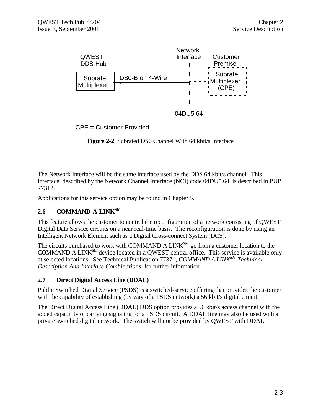

CPE = Customer Provided

**Figure 2-2** Subrated DS0 Channel With 64 kbit/s Interface

The Network Interface will be the same interface used by the DDS 64 kbit/s channel. This interface, described by the Network Channel Interface (NCI) code 04DU5.64, is described in PUB 77312.

Applications for this service option may be found in Chapter 5.

#### **2.6 COMMAND-A-LINKSM**

This feature allows the customer to control the reconfiguration of a network consisting of QWEST Digital Data Service circuits on a near real-time basis. The reconfiguration is done by using an Intelligent Network Element such as a Digital Cross-connect System (DCS).

The circuits purchased to work with COMMAND A  $LINK^{SM}$  go from a customer location to the COMMAND A LINK<sup>SM</sup> device located in a QWEST central office. This service is available only at selected locations. See Technical Publication 77371, *COMMAND A LINKSM Technical Description And Interface Combinations,* for further information.

#### **2.7 Direct Digital Access Line (DDAL)**

Public Switched Digital Service (PSDS) is a switched-service offering that provides the customer with the capability of establishing (by way of a PSDS network) a 56 kbit/s digital circuit.

The Direct Digital Access Line (DDAL) DDS option provides a 56 kbit/s access channel with the added capability of carrying signaling for a PSDS circuit. A DDAL line may also be used with a private switched digital network. The switch will not be provided by QWEST with DDAL.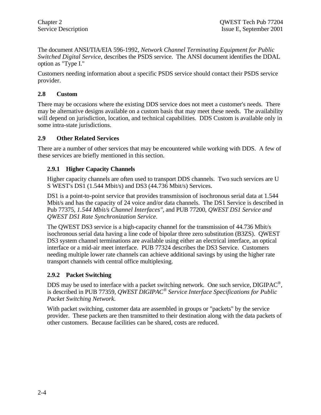The document ANSI/TIA/EIA 596-1992, *Network Channel Terminating Equipment for Public Switched Digital Service,* describes the PSDS service. The ANSI document identifies the DDAL option as "Type I."

Customers needing information about a specific PSDS service should contact their PSDS service provider.

#### **2.8 Custom**

There may be occasions where the existing DDS service does not meet a customer's needs. There may be alternative designs available on a custom basis that may meet these needs. The availability will depend on jurisdiction, location, and technical capabilities. DDS Custom is available only in some intra-state jurisdictions.

#### **2.9 Other Related Services**

There are a number of other services that may be encountered while working with DDS. A few of these services are briefly mentioned in this section.

#### **2.9.1 Higher Capacity Channels**

Higher capacity channels are often used to transport DDS channels. Two such services are U S WEST's DS1 (1.544 Mbit/s) and DS3 (44.736 Mbit/s) Services.

DS1 is a point-to-point service that provides transmission of isochronous serial data at 1.544 Mbit/s and has the capacity of 24 voice and/or data channels. The DS1 Service is described in Pub 77375, *1.544 Mbit/s Channel Interfaces",* and PUB 77200, *QWEST DS1 Service and QWEST DS1 Rate Synchronization Service*.

The QWEST DS3 service is a high-capacity channel for the transmission of 44.736 Mbit/s isochronous serial data having a line code of bipolar three zero substitution (B3ZS). QWEST DS3 system channel terminations are available using either an electrical interface, an optical interface or a mid-air meet interface. PUB 77324 describes the DS3 Service. Customers needing multiple lower rate channels can achieve additional savings by using the higher rate transport channels with central office multiplexing.

#### **2.9.2 Packet Switching**

DDS may be used to interface with a packet switching network. One such service,  $DIGIPAC^{\circledast}$ , is described in PUB 77359, *QWEST DIGIPAC® Service Interface Specifications for Public Packet Switching Network*.

With packet switching, customer data are assembled in groups or "packets" by the service provider. These packets are then transmitted to their destination along with the data packets of other customers. Because facilities can be shared, costs are reduced.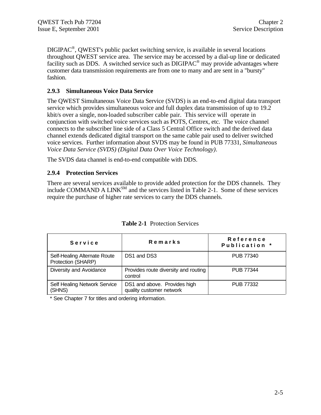$\text{DIGIPAC}^{\circledast}$ , QWEST's public packet switching service, is available in several locations throughout QWEST service area. The service may be accessed by a dial-up line or dedicated facility such as DDS. A switched service such as  $\text{DIGIPAC}^{\textcircled{\tiny{\text{B}}}}$  may provide advantages where customer data transmission requirements are from one to many and are sent in a "bursty" fashion.

#### **2.9.3 Simultaneous Voice Data Service**

The QWEST Simultaneous Voice Data Service (SVDS) is an end-to-end digital data transport service which provides simultaneous voice and full duplex data transmission of up to 19.2 kbit/s over a single, non-loaded subscriber cable pair. This service will operate in conjunction with switched voice services such as POTS, Centrex, etc. The voice channel connects to the subscriber line side of a Class 5 Central Office switch and the derived data channel extends dedicated digital transport on the same cable pair used to deliver switched voice services. Further information about SVDS may be found in PUB 77331, *Simultaneous Voice Data Service (SVDS) (Digital Data Over Voice Technology)*.

The SVDS data channel is end-to-end compatible with DDS.

#### **2.9.4 Protection Services**

There are several services available to provide added protection for the DDS channels. They include COMMAND A LINK<sup>SM</sup> and the services listed in Table 2-1. Some of these services require the purchase of higher rate services to carry the DDS channels.

| Service                                            | Remarks                                                  | Reference<br>Publication * |
|----------------------------------------------------|----------------------------------------------------------|----------------------------|
| Self-Healing Alternate Route<br>Protection (SHARP) | DS1 and DS3                                              | PUB 77340                  |
| Diversity and Avoidance                            | Provides route diversity and routing<br>control          | PUB 77344                  |
| Self Healing Network Service<br>(SHNS)             | DS1 and above. Provides high<br>quality customer network | <b>PUB 77332</b>           |

**Table 2-1** Protection Services

\* See Chapter 7 for titles and ordering information.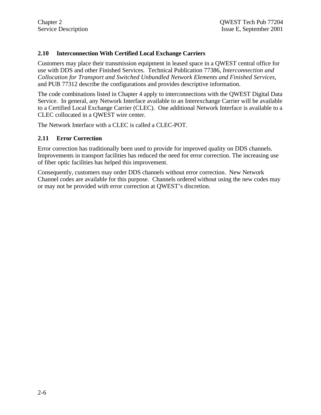#### **2.10 Interconnection With Certified Local Exchange Carriers**

Customers may place their transmission equipment in leased space in a QWEST central office for use with DDS and other Finished Services. Technical Publication 77386, *Interconnection and Collocation for Transport and Switched Unbundled Network Elements and Finished Services*, and PUB 77312 describe the configurations and provides descriptive information.

The code combinations listed in Chapter 4 apply to interconnections with the QWEST Digital Data Service. In general, any Network Interface available to an Interexchange Carrier will be available to a Certified Local Exchange Carrier (CLEC). One additional Network Interface is available to a CLEC collocated in a QWEST wire center.

The Network Interface with a CLEC is called a CLEC-POT.

#### **2.11 Error Correction**

Error correction has traditionally been used to provide for improved quality on DDS channels. Improvements in transport facilities has reduced the need for error correction. The increasing use of fiber optic facilities has helped this improvement.

Consequently, customers may order DDS channels without error correction. New Network Channel codes are available for this purpose. Channels ordered without using the new codes may or may not be provided with error correction at QWEST's discretion.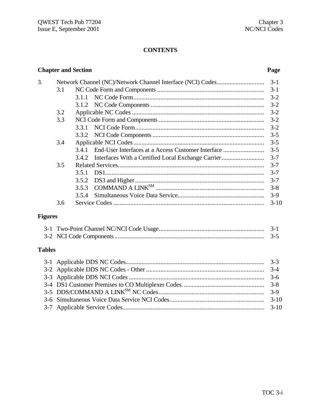#### **CONTENTS**

|                |        | <b>Chapter and Section</b> |                                                    | Page    |  |
|----------------|--------|----------------------------|----------------------------------------------------|---------|--|
| 3.             |        |                            |                                                    | $3-1$   |  |
|                | 3.1    |                            |                                                    | $3-1$   |  |
|                |        | 3.1.1                      |                                                    | $3 - 2$ |  |
|                |        | 3.1.2                      |                                                    | $3 - 2$ |  |
|                | 3.2    |                            |                                                    | $3 - 2$ |  |
|                | 3.3    |                            |                                                    | $3 - 2$ |  |
|                |        | 3.3.1                      |                                                    | $3 - 2$ |  |
|                |        | 3.3.2                      |                                                    | $3 - 5$ |  |
|                | 3.4    |                            |                                                    | $3 - 5$ |  |
|                |        | 3.4.1                      | End-User Interfaces at a Access Customer Interface | $3 - 5$ |  |
|                |        | 3.4.2                      |                                                    | $3 - 7$ |  |
|                | 3.5    |                            |                                                    | $3 - 7$ |  |
|                |        | 3.5.1                      |                                                    | $3 - 7$ |  |
|                |        | 3.5.2                      |                                                    | $3 - 7$ |  |
|                |        | 3.5.3                      |                                                    | $3 - 8$ |  |
|                |        | 3.5.4                      |                                                    | $3-9$   |  |
|                | 3.6    |                            |                                                    | $3-10$  |  |
| <b>Figures</b> |        |                            |                                                    |         |  |
|                |        |                            |                                                    |         |  |
|                |        |                            |                                                    | $3 - 5$ |  |
| <b>Tables</b>  |        |                            |                                                    |         |  |
|                |        |                            |                                                    | $3 - 3$ |  |
|                |        |                            |                                                    | $3-4$   |  |
|                |        |                            |                                                    | $3-6$   |  |
|                |        |                            |                                                    | $3 - 8$ |  |
|                | $3-9$  |                            |                                                    |         |  |
|                | $3-10$ |                            |                                                    |         |  |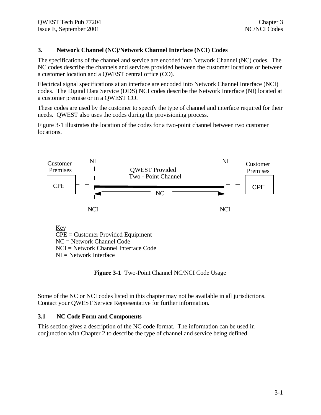#### **3. Network Channel (NC)/Network Channel Interface (NCI) Codes**

The specifications of the channel and service are encoded into Network Channel (NC) codes. The NC codes describe the channels and services provided between the customer locations or between a customer location and a QWEST central office (CO).

Electrical signal specifications at an interface are encoded into Network Channel Interface (NCI) codes. The Digital Data Service (DDS) NCI codes describe the Network Interface (NI) located at a customer premise or in a QWEST CO.

These codes are used by the customer to specify the type of channel and interface required for their needs. QWEST also uses the codes during the provisioning process.

Figure 3-1 illustrates the location of the codes for a two-point channel between two customer locations.



Key CPE = Customer Provided Equipment NC = Network Channel Code NCI = Network Channel Interface Code  $NI = Network$  Interface

**Figure 3-1** Two-Point Channel NC/NCI Code Usage

Some of the NC or NCI codes listed in this chapter may not be available in all jurisdictions. Contact your QWEST Service Representative for further information.

#### **3.1 NC Code Form and Components**

This section gives a description of the NC code format. The information can be used in conjunction with Chapter 2 to describe the type of channel and service being defined.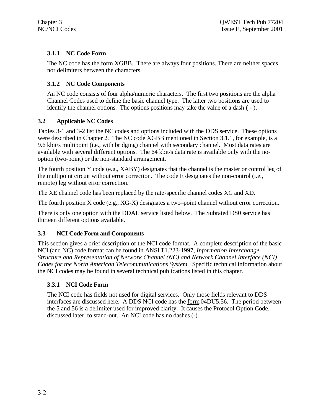### **3.1.1 NC Code Form**

The NC code has the form XGBB. There are always four positions. There are neither spaces nor delimiters between the characters.

#### **3.1.2 NC Code Components**

An NC code consists of four alpha/numeric characters. The first two positions are the alpha Channel Codes used to define the basic channel type. The latter two positions are used to identify the channel options. The options positions may take the value of a dash ( - ).

## **3.2 Applicable NC Codes**

Tables 3-1 and 3-2 list the NC codes and options included with the DDS service. These options were described in Chapter 2. The NC code XGBB mentioned in Section 3.1.1, for example, is a 9.6 kbit/s multipoint (i.e., with bridging) channel with secondary channel. Most data rates are available with several different options. The 64 kbit/s data rate is available only with the nooption (two-point) or the non-standard arrangement.

The fourth position Y code (e.g., XABY) designates that the channel is the master or control leg of the multipoint circuit without error correction. The code E designates the non-control (i.e., remote) leg without error correction.

The XE channel code has been replaced by the rate-specific channel codes XC and XD.

The fourth position X code (e.g., XG-X) designates a two–point channel without error correction.

There is only one option with the DDAL service listed below. The Subrated DS0 service has thirteen different options available.

# **3.3 NCI Code Form and Components**

This section gives a brief description of the NCI code format. A complete description of the basic NCI (and NC) code format can be found in ANSI T1.223-1997, *Information Interchange — Structure and Representation of Network Channel (NC) and Network Channel Interface (NCI) Codes for the North American Telecommunications System.* Specific technical information about the NCI codes may be found in several technical publications listed in this chapter.

# **3.3.1 NCI Code Form**

The NCI code has fields not used for digital services. Only those fields relevant to DDS interfaces are discussed here. A DDS NCI code has the form 04DU5.56. The period between the 5 and 56 is a delimiter used for improved clarity. It causes the Protocol Option Code, discussed later, to stand-out. An NCI code has no dashes (-).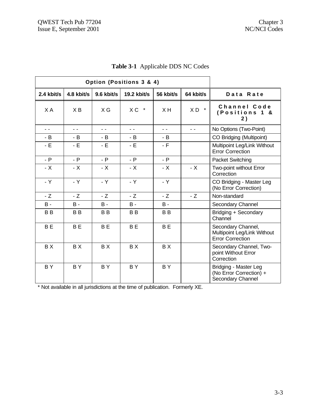| Option (Positions 3 & 4) |                |            |             |                |                          |                                                                              |
|--------------------------|----------------|------------|-------------|----------------|--------------------------|------------------------------------------------------------------------------|
| $2.4$ kbit/s             | 4.8 kbit/s     | 9.6 kbit/s | 19.2 kbit/s | 56 kbit/s      | 64 kbit/s                | Data Rate                                                                    |
| X A                      | XB             | $X$ G      | XC *        | XH             | $\star$<br>XD            | Channel Code<br>(Positions 1<br>8.<br>2)                                     |
| $ -$                     | $ -$           | $ -$       | $ -$        | $ -$           | $\overline{\phantom{a}}$ | No Options (Two-Point)                                                       |
| - B                      | - B            | - B        | - B         | - B            |                          | CO Bridging (Multipoint)                                                     |
| $-E$                     | - E            | $-E$       | - E         | $-F$           |                          | Multipoint Leg/Link Without<br><b>Error Correction</b>                       |
| $- P$                    | $- P$          | $- P$      | $- P$       | $- P$          |                          | <b>Packet Switching</b>                                                      |
| $- X$                    | - X            | $- X$      | $- X$       | $- X$          | $- X$                    | Two-point without Error<br>Correction                                        |
| $-Y$                     | - Y            | $-Y$       | $-Y$        | - Y            |                          | CO Bridging - Master Leg<br>(No Error Correction)                            |
| $-Z$                     | $-Z$           | $-Z$       | $-Z$        | $-Z$           | $-Z$                     | Non-standard                                                                 |
| $B -$                    | B -            | $B -$      | $B -$       | $B -$          |                          | Secondary Channel                                                            |
| <b>BB</b>                | B B            | <b>BB</b>  | <b>BB</b>   | B <sub>B</sub> |                          | Bridging + Secondary<br>Channel                                              |
| <b>BE</b>                | B <sub>E</sub> | <b>BE</b>  | <b>BE</b>   | <b>BE</b>      |                          | Secondary Channel,<br>Multipoint Leg/Link Without<br><b>Error Correction</b> |
| BX                       | BX             | BX         | BX          | BX             |                          | Secondary Channel, Two-<br>point Without Error<br>Correction                 |
| BY.                      | <b>BY</b>      | <b>BY</b>  | BY.         | BY             |                          | Bridging - Master Leg<br>(No Error Correction) +<br>Secondary Channel        |

|  | <b>Table 3-1</b> Applicable DDS NC Codes |
|--|------------------------------------------|
|--|------------------------------------------|

\* Not available in all jurisdictions at the time of publication. Formerly XE.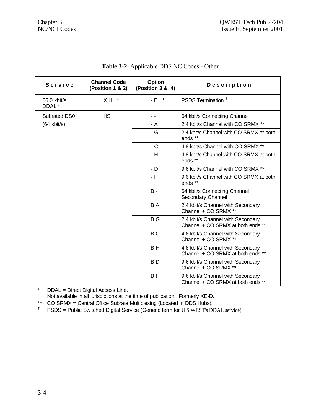| Service               | <b>Channel Code</b><br>(Position 1 & 2) | Option<br>(Position 3 & 4) | Description                                                            |
|-----------------------|-----------------------------------------|----------------------------|------------------------------------------------------------------------|
| 56.0 kbit/s<br>DDAL * | $X H$ *                                 | - E *                      | PSDS Termination <sup>+</sup>                                          |
| Subrated DS0          | <b>HS</b>                               | $ -$                       | 64 kbit/s Connecting Channel                                           |
| $(64$ kbit/s)         |                                         | - A                        | 2.4 kbit/s Channel with CO SRMX **                                     |
|                       |                                         | - G                        | 2.4 kbit/s Channel with CO SRMX at both<br>ends **                     |
|                       |                                         | $-C$                       | 4.8 kbit/s Channel with CO SRMX **                                     |
|                       |                                         | - H                        | 4.8 kbit/s Channel with CO SRMX at both<br>ends **                     |
|                       |                                         | - D                        | 9.6 kbit/s Channel with CO SRMX **                                     |
|                       |                                         | - 1                        | 9.6 kbit/s Channel with CO SRMX at both<br>ends **                     |
|                       |                                         | <b>B</b> -                 | 64 kbit/s Connecting Channel +<br>Secondary Channel                    |
|                       |                                         | B A                        | 2.4 kbit/s Channel with Secondary<br>Channel + CO SRMX **              |
|                       |                                         | B G                        | 2.4 kbit/s Channel with Secondary<br>Channel + CO SRMX at both ends ** |
|                       |                                         | B <sub>C</sub>             | 4.8 kbit/s Channel with Secondary<br>Channel + CO SRMX **              |
|                       |                                         | B H                        | 4.8 kbit/s Channel with Secondary<br>Channel + CO SRMX at both ends ** |
|                       |                                         | B D                        | 9.6 kbit/s Channel with Secondary<br>Channel + CO SRMX **              |
|                       |                                         | B I                        | 9.6 kbit/s Channel with Secondary<br>Channel + CO SRMX at both ends ** |

**Table 3-2** Applicable DDS NC Codes - Other

\* DDAL = Direct Digital Access Line.

Not available in all jurisdictions at the time of publication. Formerly XE-D.

\*\* CO SRMX = Central Office Subrate Multiplexing (Located in DDS Hubs).<br><sup>†</sup> PSDS = Public Switched Digital Service (Generic term for U.S.WEST's DI

† PSDS = Public Switched Digital Service (Generic term for U S WEST's DDAL service)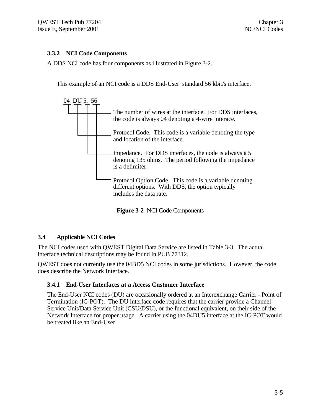#### **3.3.2 NCI Code Components**

A DDS NCI code has four components as illustrated in Figure 3-2.

This example of an NCI code is a DDS End-User standard 56 kbit/s interface.



**Figure 3-2** NCI Code Components

#### **3.4 Applicable NCI Codes**

The NCI codes used with QWEST Digital Data Service are listed in Table 3-3. The actual interface technical descriptions may be found in PUB 77312.

QWEST does not currently use the 04BD5 NCI codes in some jurisdictions. However, the code does describe the Network Interface.

#### **3.4.1 End-User Interfaces at a Access Customer Interface**

The End-User NCI codes (DU) are occasionally ordered at an Interexchange Carrier - Point of Termination (IC-POT). The DU interface code requires that the carrier provide a Channel Service Unit/Data Service Unit (CSU/DSU), or the functional equivalent, on their side of the Network Interface for proper usage. A carrier using the 04DU5 interface at the IC-POT would be treated like an End-User.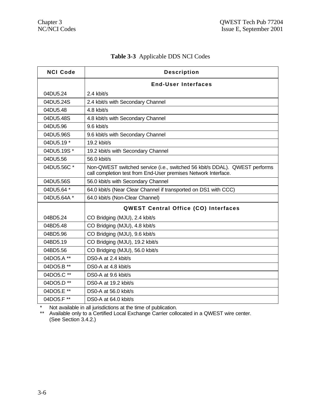| <b>NCI Code</b> | <b>Description</b>                                                                                                                           |  |  |  |
|-----------------|----------------------------------------------------------------------------------------------------------------------------------------------|--|--|--|
|                 | <b>End-User Interfaces</b>                                                                                                                   |  |  |  |
| 04DU5.24        | 2.4 kbit/s                                                                                                                                   |  |  |  |
| 04DU5.24S       | 2.4 kbit/s with Secondary Channel                                                                                                            |  |  |  |
| 04DU5.48        | 4.8 kbit/s                                                                                                                                   |  |  |  |
| 04DU5.48S       | 4.8 kbit/s with Secondary Channel                                                                                                            |  |  |  |
| 04DU5.96        | 9.6 kbit/s                                                                                                                                   |  |  |  |
| 04DU5.96S       | 9.6 kbit/s with Secondary Channel                                                                                                            |  |  |  |
| 04DU5.19 *      | $19.2$ kbit/s                                                                                                                                |  |  |  |
| 04DU5.19S*      | 19.2 kbit/s with Secondary Channel                                                                                                           |  |  |  |
| 04DU5.56        | 56.0 kbit/s                                                                                                                                  |  |  |  |
| 04DU5.56C *     | Non-QWEST switched service (i.e., switched 56 kbit/s DDAL). QWEST performs<br>call completion test from End-User premises Network Interface. |  |  |  |
| 04DU5.56S       | 56.0 kbit/s with Secondary Channel                                                                                                           |  |  |  |
| 04DU5.64 *      | 64.0 kbit/s (Near Clear Channel if transported on DS1 with CCC)                                                                              |  |  |  |
| 04DU5.64A *     | 64.0 kbit/s (Non-Clear Channel)                                                                                                              |  |  |  |
|                 | <b>QWEST Central Office (CO) Interfaces</b>                                                                                                  |  |  |  |
| 04BD5.24        | CO Bridging (MJU), 2.4 kbit/s                                                                                                                |  |  |  |
| 04BD5.48        | CO Bridging (MJU), 4.8 kbit/s                                                                                                                |  |  |  |
| 04BD5.96        | CO Bridging (MJU), 9.6 kbit/s                                                                                                                |  |  |  |
| 04BD5.19        | CO Bridging (MJU), 19.2 kbit/s                                                                                                               |  |  |  |
| 04BD5.56        | CO Bridging (MJU), 56.0 kbit/s                                                                                                               |  |  |  |
| 04DO5.A **      | DS0-A at 2.4 kbit/s                                                                                                                          |  |  |  |
| 04DO5.B **      | DS0-A at 4.8 kbit/s                                                                                                                          |  |  |  |
| 04DO5.C **      | DS0-A at 9.6 kbit/s                                                                                                                          |  |  |  |
| 04DO5.D **      | DS0-A at 19.2 kbit/s                                                                                                                         |  |  |  |
| 04DO5.E **      | DS0-A at 56.0 kbit/s                                                                                                                         |  |  |  |
| 04DO5.F **      | DS0-A at 64.0 kbit/s                                                                                                                         |  |  |  |

# **Table 3-3** Applicable DDS NCI Codes

\* Not available in all jurisdictions at the time of publication.

\*\* Available only to a Certified Local Exchange Carrier collocated in a QWEST wire center. (See Section 3.4.2.)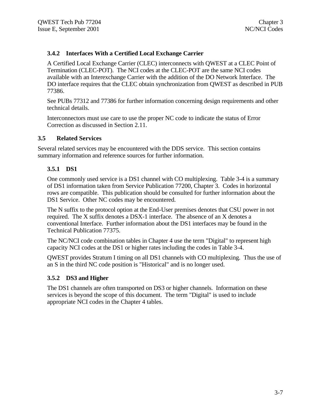#### **3.4.2 Interfaces With a Certified Local Exchange Carrier**

A Certified Local Exchange Carrier (CLEC) interconnects with QWEST at a CLEC Point of Termination (CLEC-POT). The NCI codes at the CLEC-POT are the same NCI codes available with an Interexchange Carrier with the addition of the DO Network Interface. The DO interface requires that the CLEC obtain synchronization from QWEST as described in PUB 77386.

See PUBs 77312 and 77386 for further information concerning design requirements and other technical details.

Interconnectors must use care to use the proper NC code to indicate the status of Error Correction as discussed in Section 2.11.

#### **3.5 Related Services**

Several related services may be encountered with the DDS service. This section contains summary information and reference sources for further information.

#### **3.5.1 DS1**

One commonly used service is a DS1 channel with CO multiplexing. Table 3-4 is a summary of DS1 information taken from Service Publication 77200, Chapter 3. Codes in horizontal rows are compatible. This publication should be consulted for further information about the DS1 Service. Other NC codes may be encountered.

The N suffix to the protocol option at the End-User premises denotes that CSU power in not required. The X suffix denotes a DSX-1 interface. The absence of an X denotes a conventional Interface. Further information about the DS1 interfaces may be found in the Technical Publication 77375.

The NC/NCI code combination tables in Chapter 4 use the term "Digital" to represent high capacity NCI codes at the DS1 or higher rates including the codes in Table 3-4.

QWEST provides Stratum I timing on all DS1 channels with CO multiplexing. Thus the use of an S in the third NC code position is "Historical" and is no longer used.

#### **3.5.2 DS3 and Higher**

The DS1 channels are often transported on DS3 or higher channels. Information on these services is beyond the scope of this document. The term "Digital" is used to include appropriate NCI codes in the Chapter 4 tables.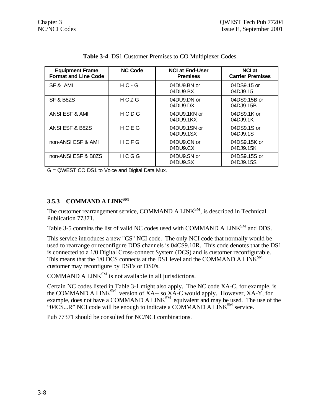| <b>Equipment Frame</b><br><b>Format and Line Code</b> | <b>NC Code</b> | <b>NCI at End-User</b><br><b>Premises</b> | <b>NCI at</b><br><b>Carrier Premises</b> |
|-------------------------------------------------------|----------------|-------------------------------------------|------------------------------------------|
| SF & AMI                                              | $HC - G$       | 04DU9.BN or<br>04DU9.BX                   | 04DS9.15 or<br>04DJ9.15                  |
| SF & B8ZS                                             | HCZG           | 04DU9.DN or<br>04DU9.DX                   | 04DS9.15B or<br>04DJ9.15B                |
| ANSI ESF & AMI                                        | HCDG           | 04DU9.1KN or<br>04DU9.1KX                 | 04DS9.1K or<br>04DJ9.1K                  |
| ANSI ESF & B8ZS                                       | HCEG           | 04DU9.1SN or<br>04DU9.1SX                 | 04DS9.1S or<br>04DJ9.1S                  |
| non-ANSI ESF & AMI                                    | HCFG           | 04DU9.CN or<br>04DU9.CX                   | 04DS9.15K or<br>04DJ9.15K                |
| non-ANSI ESF & B8ZS                                   | HCGG           | 04DU9.SN or<br>04DU9.SX                   | 04DS9.15S or<br>04DJ9.15S                |

|  |  |  |  |  | <b>Table 3-4</b> DS1 Customer Premises to CO Multiplexer Codes. |  |
|--|--|--|--|--|-----------------------------------------------------------------|--|
|--|--|--|--|--|-----------------------------------------------------------------|--|

G = QWEST CO DS1 to Voice and Digital Data Mux.

#### **3.5.3 COMMAND A LINKSM**

The customer rearrangement service, COMMAND A LINK<sup>SM</sup>, is described in Technical Publication 77371.

Table 3-5 contains the list of valid NC codes used with COMMAND A LINK<sup>SM</sup> and DDS.

This service introduces a new "CS" NCI code. The only NCI code that normally would be used to rearrange or reconfigure DDS channels is 04CS9.10R. This code denotes that the DS1 is connected to a 1/0 Digital Cross-connect System (DCS) and is customer reconfigurable. This means that the 1/0 DCS connects at the DS1 level and the COMMAND A LINK<sup>SM</sup> customer may reconfigure by DS1's or DS0's.

COMMAND A  $LINK^{SM}$  is not available in all jurisdictions.

Certain NC codes listed in Table 3-1 might also apply. The NC code XA-C, for example, is the COMMAND A LINK<sup>SM</sup> version of XA-- so XA-C would apply. However, XA-Y, for example, does not have a COMMAND A LINK<sup>SM</sup> equivalent and may be used. The use of the "04 $CS...R$ " NCI code will be enough to indicate a  $\overline{COMMAND}$  A  $\overline{LINK}^{SM}$  service.

Pub 77371 should be consulted for NC/NCI combinations.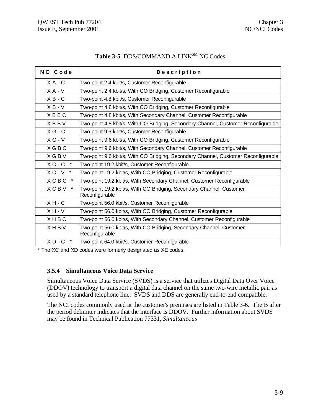| NC Code     | Description                                                                            |
|-------------|----------------------------------------------------------------------------------------|
| $X A - C$   | Two-point 2.4 kbit/s, Customer Reconfigurable                                          |
| $X A - V$   | Two-point 2.4 kbit/s, With CO Bridging, Customer Reconfigurable                        |
| $X B - C$   | Two-point 4.8 kbit/s, Customer Reconfigurable                                          |
| $X B - V$   | Two-point 4.8 kbit/s, With CO Bridging, Customer Reconfigurable                        |
| <b>XBBC</b> | Two-point 4.8 kbit/s, With Secondary Channel, Customer Reconfigurable                  |
| <b>XBBV</b> | Two-point 4.8 kbit/s, With CO Bridging, Secondary Channel, Customer Reconfigurable     |
| $X G - C$   | Two-point 9.6 kbit/s, Customer Reconfigurable                                          |
| $X G - V$   | Two-point 9.6 kbit/s, With CO Bridging, Customer Reconfigurable                        |
| X G B C     | Two-point 9.6 kbit/s, With Secondary Channel, Customer Reconfigurable                  |
| <b>XGBV</b> | Two-point 9.6 kbit/s, With CO Bridging, Secondary Channel, Customer Reconfigurable     |
| $X C - C$ * | Two-point 19.2 kbit/s, Customer Reconfigurable                                         |
| $X C - V$ * | Two-point 19.2 kbit/s, With CO Bridging, Customer Reconfigurable                       |
| <b>XCBC</b> | Two-point 19.2 kbit/s, With Secondary Channel, Customer Reconfigurable                 |
| <b>XCBV</b> | Two-point 19.2 kbit/s, With CO Bridging, Secondary Channel, Customer<br>Reconfigurable |
| $X H - C$   | Two-point 56.0 kbit/s, Customer Reconfigurable                                         |
| $X H - V$   | Two-point 56.0 kbit/s, With CO Bridging, Customer Reconfigurable                       |
| XHBC        | Two-point 56.0 kbit/s, With Secondary Channel, Customer Reconfigurable                 |
| <b>XHBV</b> | Two-point 56.0 kbit/s, With CO Bridging, Secondary Channel, Customer<br>Reconfigurable |
| $X D - C$ * | Two-point 64.0 kbit/s, Customer Reconfigurable                                         |

# Table 3-5 DDS/COMMAND A LINK<sup>SM</sup> NC Codes

\* The XC and XD codes were formerly designated as XE codes.

#### **3.5.4 Simultaneous Voice Data Service**

Simultaneous Voice Data Service (SVDS) is a service that utilizes Digital Data Over Voice (DDOV) technology to transport a digital data channel on the same two-wire metallic pair as used by a standard telephone line. SVDS and DDS are generally end-to-end compatible.

The NCI codes commonly used at the customer's premises are listed in Table 3-6. The B after the period delimiter indicates that the interface is DDOV. Further information about SVDS may be found in Technical Publication 77331, *Simultaneous*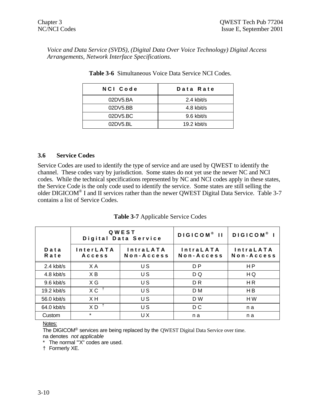*Voice and Data Service (SVDS), (Digital Data Over Voice Technology) Digital Access Arrangements, Network Interface Specifications.*

| NCI Code | Data Rate     |
|----------|---------------|
| 02DV5.BA | 2.4 kbit/s    |
| 02DV5.BB | 4.8 kbit/s    |
| 02DV5.BC | 9.6 kbit/s    |
| 02DY5.BL | $19.2$ kbit/s |
|          |               |

**Table 3-6** Simultaneous Voice Data Service NCI Codes.

#### **3.6 Service Codes**

Service Codes are used to identify the type of service and are used by QWEST to identify the channel. These codes vary by jurisdiction. Some states do not yet use the newer NC and NCI codes. While the technical specifications represented by NC and NCI codes apply in these states, the Service Code is the only code used to identify the service. Some states are still selling the older DIGICOM<sup>®</sup> I and II services rather than the newer QWEST Digital Data Service. Table 3-7 contains a list of Service Codes.

**Table 3-7** Applicable Service Codes

|                   | QWEST<br>Digital Data Service |                                | DIGICOM <sup>®</sup> II        | DIGICOM <sup>®</sup> I         |
|-------------------|-------------------------------|--------------------------------|--------------------------------|--------------------------------|
| $D$ a t a<br>Rate | <b>InterLATA</b><br>Access    | <b>IntraLATA</b><br>Non-Access | <b>IntraLATA</b><br>Non-Access | <b>IntraLATA</b><br>Non-Access |
| 2.4 kbit/s        | X A                           | US                             | D <sub>P</sub>                 | H <sub>P</sub>                 |
| $4.8$ kbit/s      | XB                            | US                             | D Q                            | HQ                             |
| 9.6 kbit/s        | X G                           | U S                            | D <sub>R</sub>                 | H <sub>R</sub>                 |
| 19.2 kbit/s       | $XC^{\dagger}$                | US                             | D M                            | H <sub>B</sub>                 |
| 56.0 kbit/s       | XH                            | US                             | D W                            | HW                             |
| $64.0$ kbit/s     | $X D$ <sup>+</sup>            | US                             | D C                            | n a                            |
| Custom            | $\star$                       | UX                             | n a                            | n a                            |

#### Notes:

The DIGICOM® services are being replaced by the QWEST Digital Data Service over time. na denotes *not applicable*

\* The normal '"X" codes are used.

† Formerly XE.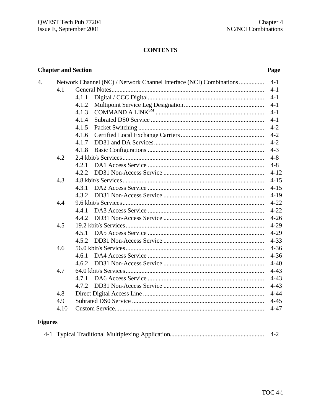# **CONTENTS**

4.

## Page

|      |       | Network Channel (NC) / Network Channel Interface (NCI) Combinations | $4 - 1$  |
|------|-------|---------------------------------------------------------------------|----------|
| 4.1  |       |                                                                     | $4 - 1$  |
|      | 4.1.1 |                                                                     | $4-1$    |
|      | 4.1.2 |                                                                     | $4-1$    |
|      | 4.1.3 |                                                                     | $4 - 1$  |
|      | 4.1.4 |                                                                     | $4 - 1$  |
|      | 4.1.5 |                                                                     | $4 - 2$  |
|      | 4.1.6 |                                                                     | $4 - 2$  |
|      | 4.1.7 |                                                                     | $4 - 2$  |
|      | 4.1.8 |                                                                     | $4 - 3$  |
| 4.2  |       |                                                                     | $4 - 8$  |
|      | 4.2.1 |                                                                     | $4 - 8$  |
|      | 4.2.2 |                                                                     | $4 - 12$ |
| 4.3  |       |                                                                     | $4 - 15$ |
|      | 4.3.1 |                                                                     | $4 - 15$ |
|      |       |                                                                     | $4-19$   |
| 4.4  |       |                                                                     | $4 - 22$ |
|      | 4.4.1 |                                                                     | $4 - 22$ |
|      |       |                                                                     | $4 - 26$ |
| 4.5  |       |                                                                     | $4 - 29$ |
|      | 4.5.1 |                                                                     | $4 - 29$ |
|      |       |                                                                     | $4 - 33$ |
| 4.6  |       |                                                                     | $4 - 36$ |
|      |       |                                                                     | $4 - 36$ |
|      | 4.6.2 |                                                                     | $4 - 40$ |
| 4.7  |       |                                                                     | $4 - 43$ |
|      |       |                                                                     | $4 - 43$ |
|      | 4.7.2 |                                                                     | $4 - 43$ |
| 4.8  |       |                                                                     | $4 - 44$ |
| 4.9  |       |                                                                     | $4 - 45$ |
| 4.10 |       |                                                                     | $4 - 47$ |

# **Figures**

|--|--|--|--|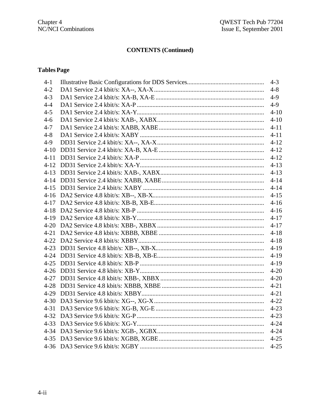## **Tables Page**

| $4 - 1$  | $4-3$    |
|----------|----------|
| $4 - 2$  | $4 - 8$  |
| $4 - 3$  | $4-9$    |
| $4 - 4$  | $4-9$    |
| $4 - 5$  | $4 - 10$ |
| $4 - 6$  | $4 - 10$ |
| $4 - 7$  | $4 - 11$ |
| $4 - 8$  | $4 - 11$ |
| $4-9$    | $4 - 12$ |
| $4 - 10$ |          |
|          |          |
|          | $4 - 13$ |
|          | $4 - 13$ |
|          | $4 - 14$ |
|          | $4 - 14$ |
|          | $4 - 15$ |
|          | $4 - 16$ |
|          | $4-16$   |
|          | $4 - 17$ |
|          | $4 - 17$ |
|          | $4 - 18$ |
|          | $4 - 18$ |
|          | $4-19$   |
|          | $4-19$   |
|          | $4-19$   |
|          | $4 - 20$ |
|          | $4 - 20$ |
|          | $4 - 21$ |
|          | $4 - 21$ |
|          | $4 - 22$ |
|          | $4 - 23$ |
|          |          |
|          |          |
|          |          |
|          | $4 - 25$ |
|          | $4 - 25$ |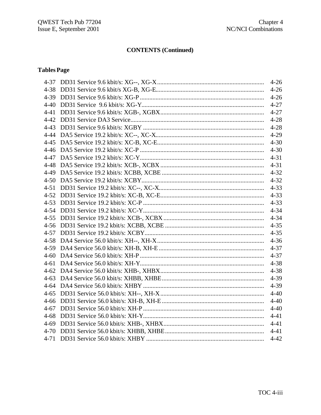# **Tables Page**

|  | $4 - 26$ |
|--|----------|
|  |          |
|  |          |
|  |          |
|  |          |
|  |          |
|  |          |
|  |          |
|  |          |
|  |          |
|  |          |
|  |          |
|  |          |
|  |          |
|  |          |
|  |          |
|  |          |
|  |          |
|  |          |
|  |          |
|  |          |
|  |          |
|  |          |
|  |          |
|  |          |
|  |          |
|  |          |
|  |          |
|  |          |
|  |          |
|  |          |
|  |          |
|  |          |
|  |          |
|  | $4 - 42$ |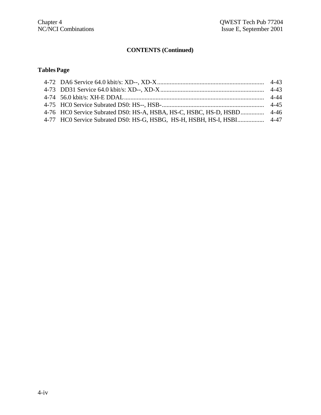## **TablesPage**

| 4-76 HC0 Service Subrated DS0: HS-A, HSBA, HS-C, HSBC, HS-D, HSBD 4-46 |  |
|------------------------------------------------------------------------|--|
|                                                                        |  |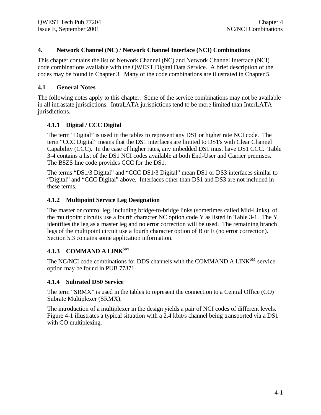#### **4. Network Channel (NC) / Network Channel Interface (NCI) Combinations**

This chapter contains the list of Network Channel (NC) and Network Channel Interface (NCI) code combinations available with the QWEST Digital Data Service. A brief description of the codes may be found in Chapter 3. Many of the code combinations are illustrated in Chapter 5.

#### **4.1 General Notes**

The following notes apply to this chapter. Some of the service combinations may not be available in all intrastate jurisdictions. IntraLATA jurisdictions tend to be more limited than InterLATA jurisdictions.

#### **4.1.1 Digital / CCC Digital**

The term "Digital" is used in the tables to represent any DS1 or higher rate NCI code. The term "CCC Digital" means that the DS1 interfaces are limited to DS1's with Clear Channel Capability (CCC). In the case of higher rates, any imbedded DS1 must have DS1 CCC. Table 3-4 contains a list of the DS1 NCI codes available at both End-User and Carrier premises. The B8ZS line code provides CCC for the DS1.

The terms "DS1/3 Digital" and "CCC DS1/3 Digital" mean DS1 or DS3 interfaces similar to "Digital" and "CCC Digital" above. Interfaces other than DS1 and DS3 are not included in these terms.

#### **4.1.2 Multipoint Service Leg Designation**

The master or control leg, including bridge-to-bridge links (sometimes called Mid-Links), of the multipoint circuits use a fourth character NC option code Y as listed in Table 3-1. The Y identifies the leg as a master leg and no error correction will be used. The remaining branch legs of the multipoint circuit use a fourth character option of B or E (no error correction). Section 5.3 contains some application information.

#### **4.1.3 COMMAND A LINKSM**

The NC/NCI code combinations for DDS channels with the COMMAND A LINK<sup>SM</sup> service option may be found in PUB 77371.

#### **4.1.4 Subrated DS0 Service**

The term "SRMX" is used in the tables to represent the connection to a Central Office (CO) Subrate Multiplexer (SRMX).

The introduction of a multiplexer in the design yields a pair of NCI codes of different levels. Figure 4-1 illustrates a typical situation with a 2.4 kbit/s channel being transported via a DS1 with CO multiplexing.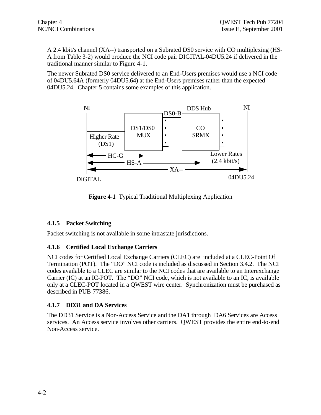A 2.4 kbit/s channel (XA--) transported on a Subrated DS0 service with CO multiplexing (HS-A from Table 3-2) would produce the NCI code pair DIGITAL-04DU5.24 if delivered in the traditional manner similar to Figure 4-1.

The newer Subrated DS0 service delivered to an End-Users premises would use a NCI code of 04DU5.64A (formerly 04DU5.64) at the End-Users premises rather than the expected 04DU5.24. Chapter 5 contains some examples of this application.



**Figure 4-1** Typical Traditional Multiplexing Application

### **4.1.5 Packet Switching**

Packet switching is not available in some intrastate jurisdictions.

### **4.1.6 Certified Local Exchange Carriers**

NCI codes for Certified Local Exchange Carriers (CLEC) are included at a CLEC-Point Of Termination (POT). The "DO" NCI code is included as discussed in Section 3.4.2. The NCI codes available to a CLEC are similar to the NCI codes that are available to an Interexchange Carrier (IC) at an IC-POT. The "DO" NCI code, which is not available to an IC, is available only at a CLEC-POT located in a QWEST wire center. Synchronization must be purchased as described in PUB 77386.

### **4.1.7 DD31 and DA Services**

The DD31 Service is a Non-Access Service and the DA1 through DA6 Services are Access services. An Access service involves other carriers. QWEST provides the entire end-to-end Non-Access service.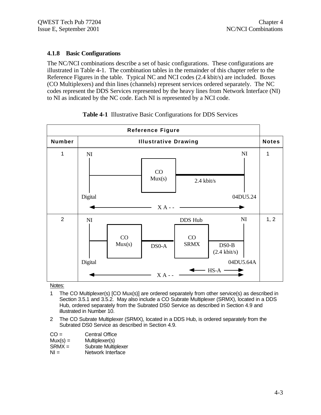### **4.1.8 Basic Configurations**

The NC/NCI combinations describe a set of basic configurations. These configurations are illustrated in Table 4-1. The combination tables in the remainder of this chapter refer to the Reference Figures in the table. Typical NC and NCI codes (2.4 kbit/s) are included. Boxes (CO Multiplexers) and thin lines (channels) represent services ordered separately. The NC codes represent the DDS Services represented by the heavy lines from Network Interface (NI) to NI as indicated by the NC code. Each NI is represented by a NCI code.



#### **Table 4-1** Illustrative Basic Configurations for DDS Services

- 1 The CO Multiplexer(s) [CO Mux(s)] are ordered separately from other service(s) as described in Section 3.5.1 and 3.5.2. May also include a CO Subrate Multiplexer (SRMX), located in a DDS Hub, ordered separately from the Subrated DS0 Service as described in Section 4.9 and illustrated in Number 10.
- 2 The CO Subrate Multiplexer (SRMX), located in a DDS Hub, is ordered separately from the Subrated DS0 Service as described in Section 4.9.

| $CO =$     | <b>Central Office</b> |
|------------|-----------------------|
| $Mux(s) =$ | Multiplexer(s)        |
| $SRMX =$   | Subrate Multiplexer   |
| $N =$      | Network Interface     |
|            |                       |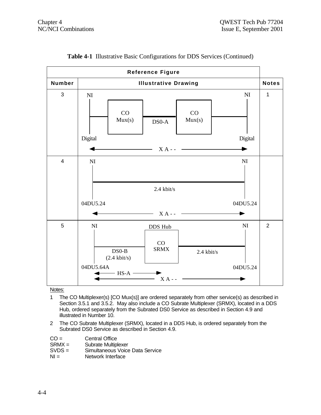

|  |  |  |  |  |  |  | Table 4-1 Illustrative Basic Configurations for DDS Services (Continued) |
|--|--|--|--|--|--|--|--------------------------------------------------------------------------|
|--|--|--|--|--|--|--|--------------------------------------------------------------------------|

- 1 The CO Multiplexer(s) [CO Mux(s)] are ordered separately from other service(s) as described in Section 3.5.1 and 3.5.2. May also include a CO Subrate Multiplexer (SRMX), located in a DDS Hub, ordered separately from the Subrated DS0 Service as described in Section 4.9 and illustrated in Number 10.
- 2 The CO Subrate Multiplexer (SRMX), located in a DDS Hub, is ordered separately from the Subrated DS0 Service as described in Section 4.9.

| $CO =$ | <b>Central Office</b> |
|--------|-----------------------|
|        |                       |

- 
- SRMX = Subrate Multiplexer<br>SVDS = Simultaneous Voice SVDS = Simultaneous Voice Data Service<br>NI = Network Interface
- Network Interface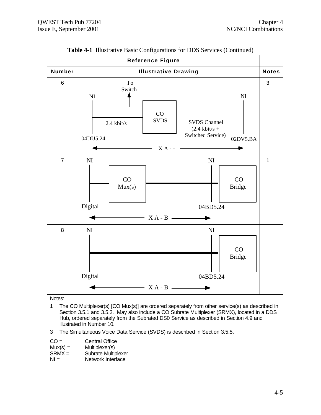

**Table 4-1** Illustrative Basic Configurations for DDS Services (Continued)

- 1 The CO Multiplexer(s) [CO Mux(s)] are ordered separately from other service(s) as described in Section 3.5.1 and 3.5.2. May also include a CO Subrate Multiplexer (SRMX), located in a DDS Hub, ordered separately from the Subrated DS0 Service as described in Section 4.9 and illustrated in Number 10.
- 3 The Simultaneous Voice Data Service (SVDS) is described in Section 3.5.5.

| $CO =$     | <b>Central Office</b> |
|------------|-----------------------|
| $Mux(s) =$ | Multiplexer(s)        |
| $SRMX =$   | Subrate Multiplexer   |
| $N =$      | Network Interface     |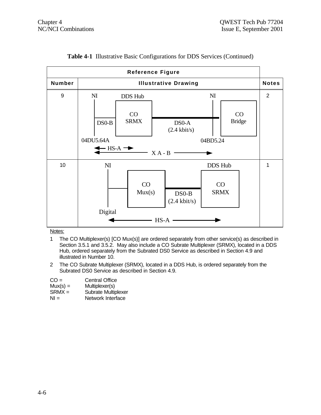| <b>Reference Figure</b> |                                        |                                                                                                                                                          |        |                                   |                                     |  |                |              |
|-------------------------|----------------------------------------|----------------------------------------------------------------------------------------------------------------------------------------------------------|--------|-----------------------------------|-------------------------------------|--|----------------|--------------|
| Number                  | <b>Illustrative Drawing</b>            |                                                                                                                                                          |        |                                   |                                     |  |                | <b>Notes</b> |
| 9                       | N <sub>I</sub><br>$DSO-B$<br>04DU5.64A | N <sub>I</sub><br>DDS Hub<br>CO<br>CO<br><b>SRMX</b><br><b>Bridge</b><br>DS0-A<br>$(2.4 \text{ kbit/s})$<br>04BD5.24<br>$-HS-A \rightarrow$<br>$X A - B$ |        |                                   |                                     |  | $\overline{2}$ |              |
| 10                      | NI<br>Digital                          | CO<br>Mux(s)                                                                                                                                             | $HS-A$ | $DS0-B$<br>$(2.4 \text{ kbit/s})$ | <b>DDS Hub</b><br>CO<br><b>SRMX</b> |  |                | 1            |

### **Table 4-1** Illustrative Basic Configurations for DDS Services (Continued)

- 1 The CO Multiplexer(s) [CO Mux(s)] are ordered separately from other service(s) as described in Section 3.5.1 and 3.5.2. May also include a CO Subrate Multiplexer (SRMX), located in a DDS Hub, ordered separately from the Subrated DS0 Service as described in Section 4.9 and illustrated in Number 10.
- 2 The CO Subrate Multiplexer (SRMX), located in a DDS Hub, is ordered separately from the Subrated DS0 Service as described in Section 4.9.
- CO = Central Office
- Mux(s) = Multiplexer(s)<br>SRMX = Subrate Multip
- $SRMX =$  Subrate Multiplexer<br>NI = Network Interface
- Network Interface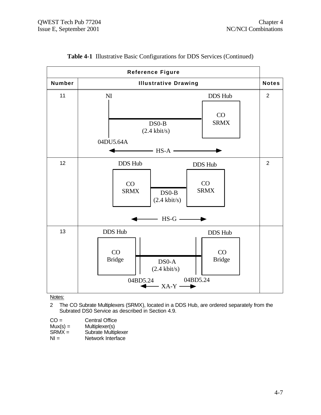|        | <b>Reference Figure</b>                                                                                                                                      |                |
|--------|--------------------------------------------------------------------------------------------------------------------------------------------------------------|----------------|
| Number | <b>Illustrative Drawing</b>                                                                                                                                  | <b>Notes</b>   |
| 11     | DDS Hub<br>N <sub>I</sub><br>CO<br><b>SRMX</b><br>$DS0-B$<br>$(2.4 \text{ kbit/s})$<br>04DU5.64A<br>$\longrightarrow$ HS-A -                                 | $\overline{2}$ |
| 12     | <b>DDS Hub</b><br>DDS Hub<br>CO<br>CO<br><b>SRMX</b><br><b>SRMX</b><br>$DSO-B$<br>$(2.4 \text{ kbit/s})$                                                     | $\overline{2}$ |
|        | $HS-G$ —                                                                                                                                                     |                |
| 13     | <b>DDS Hub</b><br>DDS Hub<br>CO<br>CO<br><b>Bridge</b><br><b>Bridge</b><br>DS <sub>0</sub> -A<br>$(2.4 \text{ kbit/s})$<br>04BD5.24<br>04BD5.24<br>$-XA-Y$ — |                |

| <b>Table 4-1 Illustrative Basic Configurations for DDS Services (Continued)</b> |  |  |  |  |  |  |  |
|---------------------------------------------------------------------------------|--|--|--|--|--|--|--|
|---------------------------------------------------------------------------------|--|--|--|--|--|--|--|

Notes:

2 The CO Subrate Multiplexers (SRMX), located in a DDS Hub, are ordered separately from the Subrated DS0 Service as described in Section 4.9.

CO = Central Office<br>
Mux(s) = Multiplexer(s)<br>
SRMX = Subrate Multipl  $Mux(s) =$  Multiplexer(s)

SRMX = Subrate Multiplexer

NI = Network Interface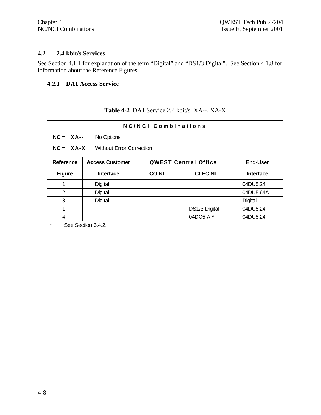#### **4.2 2.4 kbit/s Services**

See Section 4.1.1 for explanation of the term "Digital" and "DS1/3 Digital". See Section 4.1.8 for information about the Reference Figures.

# **4.2.1 DA1 Access Service**

# **Table 4-2** DA1 Service 2.4 kbit/s: XA--, XA-X

| NC/NCL Combinations                            |                        |             |                             |                  |  |
|------------------------------------------------|------------------------|-------------|-----------------------------|------------------|--|
| $NC = XA--$<br>No Options                      |                        |             |                             |                  |  |
| $NC = XA-X$<br><b>Without Error Correction</b> |                        |             |                             |                  |  |
| <b>Reference</b>                               | <b>Access Customer</b> |             | <b>QWEST Central Office</b> | <b>End-User</b>  |  |
| <b>Figure</b>                                  | <b>Interface</b>       | <b>CONI</b> | <b>CLEC NI</b>              | <b>Interface</b> |  |
|                                                | Digital                |             |                             | 04DU5.24         |  |
| 2                                              | Digital                |             |                             | 04DU5.64A        |  |
| 3                                              | Digital                |             |                             | Digital          |  |
| 1                                              |                        |             | DS1/3 Digital               | 04DU5.24         |  |
| 4                                              |                        |             | 04DO5.A *                   | 04DU5.24         |  |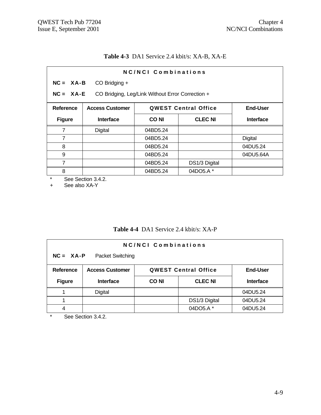# **Table 4-3** DA1 Service 2.4 kbit/s: XA-B, XA-E

| NC/NCI Combinations |                                                                   |             |                             |                  |  |  |
|---------------------|-------------------------------------------------------------------|-------------|-----------------------------|------------------|--|--|
|                     | $NC = XA - B$<br>CO Bridging +                                    |             |                             |                  |  |  |
|                     | $NC = XA - E$<br>CO Bridging, Leg/Link Without Error Correction + |             |                             |                  |  |  |
| Reference           | <b>Access Customer</b>                                            |             | <b>QWEST Central Office</b> | <b>End-User</b>  |  |  |
| <b>Figure</b>       | <b>Interface</b>                                                  | <b>CONI</b> | <b>CLEC NI</b>              | <b>Interface</b> |  |  |
| 7                   | <b>Digital</b>                                                    | 04BD5.24    |                             |                  |  |  |
| $\overline{7}$      |                                                                   | 04BD5.24    |                             | <b>Digital</b>   |  |  |
| 8                   |                                                                   | 04BD5.24    |                             | 04DU5.24         |  |  |
| 9                   |                                                                   | 04BD5.24    |                             | 04DU5.64A        |  |  |
| 7                   |                                                                   | 04BD5.24    | DS1/3 Digital               |                  |  |  |
| 8                   |                                                                   | 04BD5.24    | 04DO5.A *                   |                  |  |  |

\* See Section 3.4.2.<br>+ See also XA-Y

See also XA-Y

### **Table 4-4** DA1 Service 2.4 kbit/s: XA-P

| <b>NC/NCI Combinations</b>               |                                                                   |             |                |                  |  |
|------------------------------------------|-------------------------------------------------------------------|-------------|----------------|------------------|--|
| $NC = XA - P$<br><b>Packet Switching</b> |                                                                   |             |                |                  |  |
| Reference                                | <b>Access Customer</b><br><b>QWEST Central Office</b><br>End-User |             |                |                  |  |
| <b>Figure</b>                            | <b>Interface</b>                                                  | <b>CONI</b> | <b>CLEC NI</b> | <b>Interface</b> |  |
|                                          | <b>Digital</b>                                                    |             |                | 04DU5.24         |  |
|                                          |                                                                   |             |                |                  |  |
|                                          |                                                                   |             | DS1/3 Digital  | 04DU5.24         |  |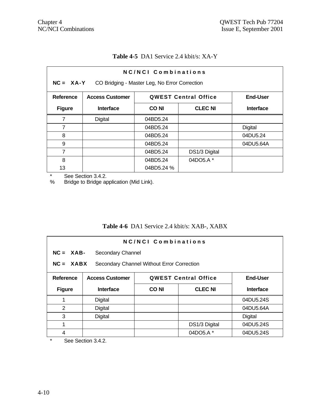| <b>Table 4-5</b> DA1 Service 2.4 kbit/s: XA-Y |  |
|-----------------------------------------------|--|
|                                               |  |

| NC/NCI Combinations<br>$NC = XA-Y$<br>CO Bridging - Master Leg, No Error Correction   |                  |            |                |                  |  |
|---------------------------------------------------------------------------------------|------------------|------------|----------------|------------------|--|
| <b>QWEST Central Office</b><br><b>End-User</b><br>Reference<br><b>Access Customer</b> |                  |            |                |                  |  |
| <b>Figure</b>                                                                         | <b>Interface</b> | CO NI      | <b>CLEC NI</b> | <b>Interface</b> |  |
| 7                                                                                     | Digital          | 04BD5.24   |                |                  |  |
| 7                                                                                     |                  | 04BD5.24   |                | <b>Digital</b>   |  |
| 8                                                                                     |                  | 04BD5.24   |                | 04DU5.24         |  |
| 9                                                                                     |                  | 04BD5.24   |                | 04DU5.64A        |  |
| 7                                                                                     |                  | 04BD5.24   | DS1/3 Digital  |                  |  |
| 8                                                                                     |                  | 04BD5.24   | 04DO5.A*       |                  |  |
| 13                                                                                    |                  | 04BD5.24 % |                |                  |  |

\* See Section 3.4.2.<br>% Bridge to Bridge ap

Bridge to Bridge application (Mid Link).

# **Table 4-6** DA1 Service 2.4 kbit/s: XAB-, XABX

| NC/NCI Combinations                                       |                                 |                                                |                |                  |  |
|-----------------------------------------------------------|---------------------------------|------------------------------------------------|----------------|------------------|--|
|                                                           | $NC = XAB$<br>Secondary Channel |                                                |                |                  |  |
| $NC = XABX$<br>Secondary Channel Without Error Correction |                                 |                                                |                |                  |  |
| Reference                                                 | <b>Access Customer</b>          | <b>End-User</b><br><b>QWEST Central Office</b> |                |                  |  |
| <b>Figure</b>                                             | <b>Interface</b>                | <b>CONI</b>                                    | <b>CLEC NI</b> | <b>Interface</b> |  |
| 1                                                         | Digital                         |                                                |                | 04DU5.24S        |  |
| 2                                                         | Digital                         |                                                |                | 04DU5.64A        |  |
| 3                                                         | Digital                         |                                                |                | Digital          |  |
| 1                                                         |                                 |                                                | DS1/3 Digital  | 04DU5.24S        |  |
| 4                                                         |                                 |                                                | 04DO5.A *      | 04DU5.24S        |  |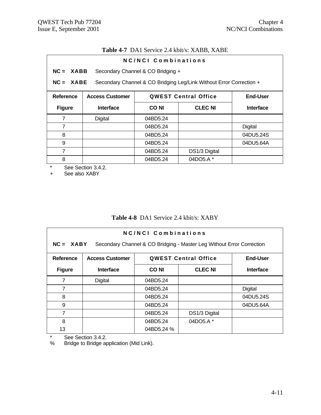# **Table 4-7** DA1 Service 2.4 kbit/s: XABB, XABE

| NC/NCI Combinations |                        |                                   |                                                                     |                  |
|---------------------|------------------------|-----------------------------------|---------------------------------------------------------------------|------------------|
| $NC = XABB$         |                        | Secondary Channel & CO Bridging + |                                                                     |                  |
| $NC = XABE$         |                        |                                   | Secondary Channel & CO Bridging Leg/Link Without Error Correction + |                  |
| <b>Reference</b>    | <b>Access Customer</b> |                                   | <b>QWEST Central Office</b>                                         | End-User         |
| <b>Figure</b>       | <b>Interface</b>       | <b>CONI</b>                       | <b>CLEC NI</b>                                                      | <b>Interface</b> |
| 7                   | Digital                | 04BD5.24                          |                                                                     |                  |
| $\overline{7}$      |                        | 04BD5.24                          |                                                                     | Digital          |
| 8                   |                        | 04BD5.24                          |                                                                     | 04DU5.24S        |
| 9                   |                        | 04BD5.24                          |                                                                     | 04DU5.64A        |
| 7                   |                        | 04BD5.24                          | DS1/3 Digital                                                       |                  |
| 8                   |                        | 04BD5.24                          | 04DO5.A *                                                           |                  |

\* See Section 3.4.2.<br>+ See also XABY

See also XABY

# **Table 4-8** DA1 Service 2.4 kbit/s: XABY

| NC/NCL Combinations<br>$NC = XABY$<br>Secondary Channel & CO Bridging - Master Leg Without Error Correction |                        |            |                             |           |  |
|-------------------------------------------------------------------------------------------------------------|------------------------|------------|-----------------------------|-----------|--|
| Reference                                                                                                   | <b>Access Customer</b> |            | <b>QWEST Central Office</b> | End-User  |  |
| <b>Figure</b>                                                                                               | <b>Interface</b>       | CO NI      | <b>Interface</b>            |           |  |
| 7                                                                                                           | Digital                | 04BD5.24   |                             |           |  |
| 7                                                                                                           |                        | 04BD5.24   |                             | Digital   |  |
| 8                                                                                                           |                        | 04BD5.24   |                             | 04DU5.24S |  |
| 9                                                                                                           |                        | 04BD5.24   |                             | 04DU5.64A |  |
| 7                                                                                                           |                        | 04BD5.24   | DS1/3 Digital               |           |  |
| 8                                                                                                           |                        | 04BD5.24   | 04DO5.A *                   |           |  |
| 13                                                                                                          |                        | 04BD5.24 % |                             |           |  |

\* See Section 3.4.2.<br>% Bridge to Bridge ap

Bridge to Bridge application (Mid Link).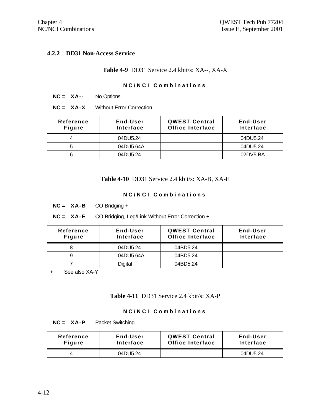## **4.2.2 DD31 Non-Access Service**

# **Table 4-9** DD31 Service 2.4 kbit/s: XA--, XA-X

| <b>NC/NCI Combinations</b> |                                                                                            |  |          |  |  |
|----------------------------|--------------------------------------------------------------------------------------------|--|----------|--|--|
| $NC = XA$ --               | No Options                                                                                 |  |          |  |  |
| $NC = XA-X$                | <b>Without Error Correction</b>                                                            |  |          |  |  |
| Reference<br><b>Figure</b> | End-User<br><b>QWEST Central</b><br>End-User<br>Office Interface<br>Interface<br>Interface |  |          |  |  |
| 04DU5.24<br>04DU5.24<br>4  |                                                                                            |  |          |  |  |
| 5                          | 04DU5.64A                                                                                  |  | 04DU5.24 |  |  |
| 6                          | 04DU5.24                                                                                   |  | 02DV5.BA |  |  |

#### **Table 4-10** DD31 Service 2.4 kbit/s: XA-B, XA-E

| <b>NC/NCI Combinations</b>                                                                                               |                                                  |          |  |  |  |
|--------------------------------------------------------------------------------------------------------------------------|--------------------------------------------------|----------|--|--|--|
| $NC = XA - B$                                                                                                            | $CO$ Bridging $+$                                |          |  |  |  |
| $NC = XA - E$                                                                                                            | CO Bridging, Leg/Link Without Error Correction + |          |  |  |  |
| Reference<br>End-User<br><b>QWEST Central</b><br>End-User<br>Office Interface<br>Interface<br>Interface<br><b>Figure</b> |                                                  |          |  |  |  |
| 8                                                                                                                        | 04DU5.24                                         | 04BD5.24 |  |  |  |
| 9                                                                                                                        | 04DU5.64A                                        | 04BD5.24 |  |  |  |
|                                                                                                                          | <b>Digital</b>                                   | 04BD5.24 |  |  |  |

+ See also XA-Y

## **Table 4-11** DD31 Service 2.4 kbit/s: XA-P

| <b>NC/NCI Combinations</b>               |                       |                                                 |                       |  |  |
|------------------------------------------|-----------------------|-------------------------------------------------|-----------------------|--|--|
| <b>Packet Switching</b><br>$NC = XA - P$ |                       |                                                 |                       |  |  |
| Reference<br><b>Figure</b>               | End-User<br>Interface | <b>QWEST Central</b><br><b>Office Interface</b> | End-User<br>Interface |  |  |
|                                          | 04DU5.24              |                                                 | 04DU5.24              |  |  |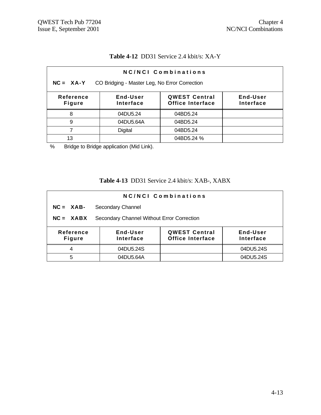# **Table 4-12** DD31 Service 2.4 kbit/s: XA-Y

| NC/NCI Combinations                                                                                                             |                                               |            |  |  |  |  |
|---------------------------------------------------------------------------------------------------------------------------------|-----------------------------------------------|------------|--|--|--|--|
| $NC = XA-Y$                                                                                                                     | CO Bridging - Master Leg, No Error Correction |            |  |  |  |  |
| End-User<br><b>QWEST Central</b><br>End-User<br>Reference<br><b>Office Interface</b><br>Interface<br>Interface<br><b>Figure</b> |                                               |            |  |  |  |  |
| 8                                                                                                                               | 04DU5.24                                      | 04BD5.24   |  |  |  |  |
| 9                                                                                                                               | 04DU5.64A                                     | 04BD5.24   |  |  |  |  |
|                                                                                                                                 | <b>Digital</b>                                | 04BD5.24   |  |  |  |  |
| 13                                                                                                                              |                                               | 04BD5.24 % |  |  |  |  |

% Bridge to Bridge application (Mid Link).

# **Table 4-13** DD31 Service 2.4 kbit/s: XAB-, XABX

| <b>NC/NCI Combinations</b>                                                                                                      |                                            |  |           |  |  |
|---------------------------------------------------------------------------------------------------------------------------------|--------------------------------------------|--|-----------|--|--|
| $NC = XAB$                                                                                                                      | Secondary Channel                          |  |           |  |  |
| $NC = XABX$                                                                                                                     | Secondary Channel Without Error Correction |  |           |  |  |
| End-User<br><b>QWEST Central</b><br>End-User<br>Reference<br><b>Office Interface</b><br>Interface<br>Interface<br><b>Figure</b> |                                            |  |           |  |  |
| 4                                                                                                                               | 04DU5.24S                                  |  | 04DU5.24S |  |  |
| 5                                                                                                                               | 04DU5.64A                                  |  | 04DU5.24S |  |  |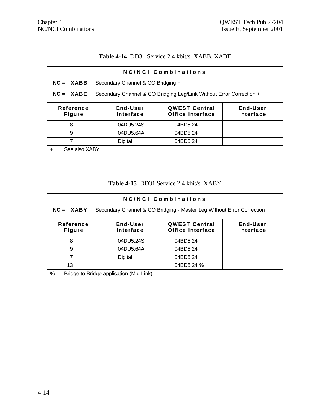# **Table 4-14** DD31 Service 2.4 kbit/s: XABB, XABE

| NC/NCI Combinations                                                                                                      |                                                                     |  |  |  |  |  |
|--------------------------------------------------------------------------------------------------------------------------|---------------------------------------------------------------------|--|--|--|--|--|
| $NC = XABB$                                                                                                              | Secondary Channel & CO Bridging +                                   |  |  |  |  |  |
| $NC = XABE$                                                                                                              | Secondary Channel & CO Bridging Leg/Link Without Error Correction + |  |  |  |  |  |
| End-User<br><b>QWEST Central</b><br>End-User<br>Reference<br>Office Interface<br>Interface<br>Interface<br><b>Figure</b> |                                                                     |  |  |  |  |  |
| 04DU5.24S<br>8<br>04BD5.24                                                                                               |                                                                     |  |  |  |  |  |
| 04DU5.64A<br>9<br>04BD5.24                                                                                               |                                                                     |  |  |  |  |  |
|                                                                                                                          | Digital<br>04BD5.24                                                 |  |  |  |  |  |
| ,,,,,,                                                                                                                   |                                                                     |  |  |  |  |  |

+ See also XABY

### **Table 4-15** DD31 Service 2.4 kbit/s: XABY

| NC/NCI Combinations        |                                                                                            |            |  |  |  |  |
|----------------------------|--------------------------------------------------------------------------------------------|------------|--|--|--|--|
| $NC = XABY$                | Secondary Channel & CO Bridging - Master Leg Without Error Correction                      |            |  |  |  |  |
| Reference<br><b>Figure</b> | <b>QWEST Central</b><br>End-User<br>End-User<br>Office Interface<br>Interface<br>Interface |            |  |  |  |  |
| 8                          | 04DU5.24S                                                                                  | 04BD5.24   |  |  |  |  |
| 9                          | 04DU5.64A                                                                                  | 04BD5.24   |  |  |  |  |
|                            | <b>Digital</b>                                                                             | 04BD5.24   |  |  |  |  |
| 13                         |                                                                                            | 04BD5.24 % |  |  |  |  |

% Bridge to Bridge application (Mid Link).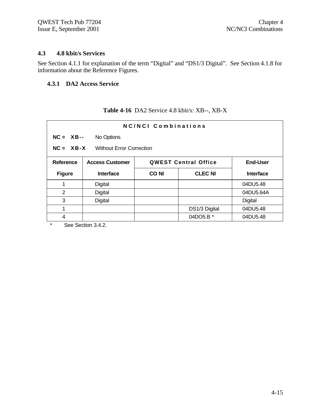#### **4.3 4.8 kbit/s Services**

See Section 4.1.1 for explanation of the term "Digital" and "DS1/3 Digital". See Section 4.1.8 for information about the Reference Figures.

# **4.3.1 DA2 Access Service**

### **Table 4-16** DA2 Service 4.8 kbit/s: XB--, XB-X

| NC/NCI Combinations |                                                |             |                             |                  |  |
|---------------------|------------------------------------------------|-------------|-----------------------------|------------------|--|
|                     | $NC = XB--$<br>No Options                      |             |                             |                  |  |
|                     | $NC = XB-X$<br><b>Without Error Correction</b> |             |                             |                  |  |
| <b>Reference</b>    | <b>Access Customer</b>                         |             | <b>QWEST Central Office</b> | <b>End-User</b>  |  |
| <b>Figure</b>       | <b>Interface</b>                               | <b>CONI</b> | <b>CLEC NI</b>              | <b>Interface</b> |  |
| 1                   | Digital                                        |             |                             | 04DU5.48         |  |
| 2                   | Digital                                        |             |                             | 04DU5.64A        |  |
| 3                   | Digital                                        |             |                             | Digital          |  |
| 1                   |                                                |             | DS1/3 Digital               | 04DU5.48         |  |
| 4                   |                                                |             | 04DO5.B *                   | 04DU5.48         |  |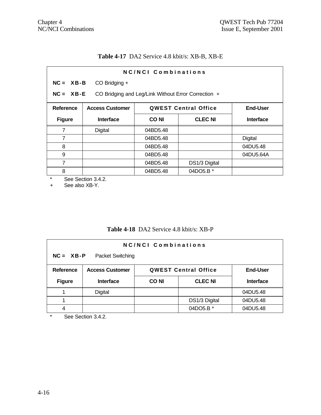# **Table 4-17** DA2 Service 4.8 kbit/s: XB-B, XB-E

| NC/NCI Combinations |                                                                      |             |                             |                  |  |  |
|---------------------|----------------------------------------------------------------------|-------------|-----------------------------|------------------|--|--|
|                     | $NC = XB - B$<br>CO Bridging +                                       |             |                             |                  |  |  |
|                     | $NC = XB - E$<br>CO Bridging and Leg/Link Without Error Correction + |             |                             |                  |  |  |
| Reference           | <b>Access Customer</b>                                               |             | <b>QWEST Central Office</b> | <b>End-User</b>  |  |  |
| <b>Figure</b>       | <b>Interface</b>                                                     | <b>CONI</b> | <b>CLEC NI</b>              | <b>Interface</b> |  |  |
| 7                   | Digital                                                              | 04BD5.48    |                             |                  |  |  |
| 7                   |                                                                      | 04BD5.48    |                             | Digital          |  |  |
| 8                   |                                                                      | 04BD5.48    |                             | 04DU5.48         |  |  |
| 9                   |                                                                      | 04BD5.48    |                             | 04DU5.64A        |  |  |
| $\overline{7}$      |                                                                      | 04BD5.48    | DS1/3 Digital               |                  |  |  |
| 8                   |                                                                      | 04BD5.48    | 04DO5.B *                   |                  |  |  |

\* See Section 3.4.2.<br>+ See also XB-Y.

See also XB-Y.

# **Table 4-18** DA2 Service 4.8 kbit/s: XB-P

| NC/NCI Combinations               |                                                                          |             |                |                  |
|-----------------------------------|--------------------------------------------------------------------------|-------------|----------------|------------------|
| $NC = XB - P$<br>Packet Switching |                                                                          |             |                |                  |
| Reference                         | <b>Access Customer</b><br><b>QWEST Central Office</b><br><b>End-User</b> |             |                |                  |
|                                   |                                                                          |             |                |                  |
| <b>Figure</b>                     | <b>Interface</b>                                                         | <b>CONI</b> | <b>CLEC NI</b> | <b>Interface</b> |
|                                   | <b>Digital</b>                                                           |             |                | 04DU5.48         |
|                                   |                                                                          |             | DS1/3 Digital  | 04DU5.48         |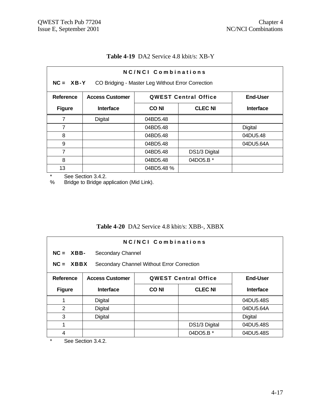| <b>NC/NCI Combinations</b><br>$NC = XB-Y$<br>CO Bridging - Master Leg Without Error Correction |                                                   |            |                             |                 |  |
|------------------------------------------------------------------------------------------------|---------------------------------------------------|------------|-----------------------------|-----------------|--|
| <b>Reference</b>                                                                               | <b>Access Customer</b>                            |            | <b>QWEST Central Office</b> | <b>End-User</b> |  |
| <b>Figure</b>                                                                                  | <b>CLEC NI</b><br><b>Interface</b><br><b>CONI</b> |            |                             | Interface       |  |
| 7                                                                                              | Digital                                           | 04BD5.48   |                             |                 |  |
| 7                                                                                              |                                                   | 04BD5.48   |                             | Digital         |  |
| 8                                                                                              | 04DU5.48<br>04BD5.48                              |            |                             |                 |  |
| 9                                                                                              |                                                   | 04BD5.48   |                             | 04DU5.64A       |  |
| 7                                                                                              |                                                   | 04BD5.48   | DS1/3 Digital               |                 |  |
| 8<br>04DO5.B *<br>04BD5.48                                                                     |                                                   |            |                             |                 |  |
| 13                                                                                             |                                                   | 04BD5.48 % |                             |                 |  |

#### **Table 4-19** DA2 Service 4.8 kbit/s: XB-Y

\* See Section 3.4.2.<br>% Bridge to Bridge ap

Bridge to Bridge application (Mid Link).

# **Table 4-20** DA2 Service 4.8 kbit/s: XBB-, XBBX

| NC/NCI Combinations                                       |                                   |                                                |                |           |  |
|-----------------------------------------------------------|-----------------------------------|------------------------------------------------|----------------|-----------|--|
|                                                           | $NC = XBB$ -<br>Secondary Channel |                                                |                |           |  |
| $NC = XBBX$<br>Secondary Channel Without Error Correction |                                   |                                                |                |           |  |
| Reference                                                 | <b>Access Customer</b>            | <b>End-User</b><br><b>QWEST Central Office</b> |                |           |  |
| <b>Figure</b>                                             | <b>Interface</b>                  | <b>CONI</b>                                    | <b>CLEC NI</b> | Interface |  |
|                                                           | Digital                           |                                                |                | 04DU5.48S |  |
| $\overline{2}$                                            | Digital                           |                                                |                | 04DU5.64A |  |
| 3                                                         | Digital                           |                                                |                | Digital   |  |
| 1                                                         |                                   |                                                | DS1/3 Digital  | 04DU5.48S |  |
| 4                                                         |                                   |                                                | 04DO5.B *      | 04DU5.48S |  |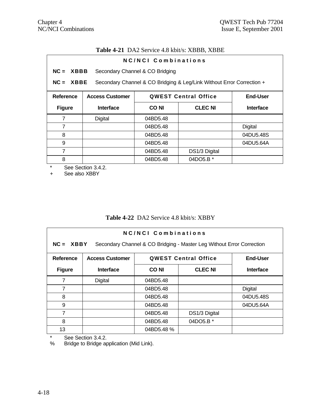# **Table 4-21** DA2 Service 4.8 kbit/s: XBBB, XBBE

| NC/NCI Combinations |                        |                                 |                                                                       |                  |
|---------------------|------------------------|---------------------------------|-----------------------------------------------------------------------|------------------|
| $NC = XBBB$         |                        | Secondary Channel & CO Bridging |                                                                       |                  |
| $NC = XBBE$         |                        |                                 | Secondary Channel & CO Bridging & Leg/Link Without Error Correction + |                  |
| Reference           | <b>Access Customer</b> |                                 | <b>QWEST Central Office</b>                                           | End-User         |
| <b>Figure</b>       | <b>Interface</b>       | <b>CONI</b>                     | <b>CLEC NI</b>                                                        | <b>Interface</b> |
| 7                   | Digital                | 04BD5.48                        |                                                                       |                  |
| $\overline{7}$      |                        | 04BD5.48                        |                                                                       | <b>Digital</b>   |
| 8                   |                        | 04BD5.48                        |                                                                       | 04DU5.48S        |
| 9                   |                        | 04BD5.48                        |                                                                       | 04DU5.64A        |
| $\overline{7}$      |                        | 04BD5.48                        | DS1/3 Digital                                                         |                  |
| 8                   |                        | 04BD5.48                        | 04DO5.B *                                                             |                  |

\* See Section 3.4.2.<br>+ See also XBBY

See also XBBY

# **Table 4-22** DA2 Service 4.8 kbit/s: XBBY

| NC/NCL Combinations<br>$NC = XBBY$<br>Secondary Channel & CO Bridging - Master Leg Without Error Correction |                        |             |                             |                 |  |
|-------------------------------------------------------------------------------------------------------------|------------------------|-------------|-----------------------------|-----------------|--|
| <b>Reference</b>                                                                                            | <b>Access Customer</b> |             | <b>QWEST Central Office</b> | <b>End-User</b> |  |
| <b>Figure</b>                                                                                               | <b>Interface</b>       | <b>CONI</b> | <b>Interface</b>            |                 |  |
| 7                                                                                                           | Digital                | 04BD5.48    |                             |                 |  |
| 7                                                                                                           |                        | 04BD5.48    |                             | Digital         |  |
| 8                                                                                                           |                        | 04BD5.48    |                             | 04DU5.48S       |  |
| 9                                                                                                           |                        | 04BD5.48    |                             | 04DU5.64A       |  |
| 7                                                                                                           |                        | 04BD5.48    | DS1/3 Digital               |                 |  |
| 8                                                                                                           | 04DO5.B *<br>04BD5.48  |             |                             |                 |  |
| 13                                                                                                          |                        | 04BD5.48 %  |                             |                 |  |

\* See Section 3.4.2.<br>% Bridge to Bridge ap

Bridge to Bridge application (Mid Link).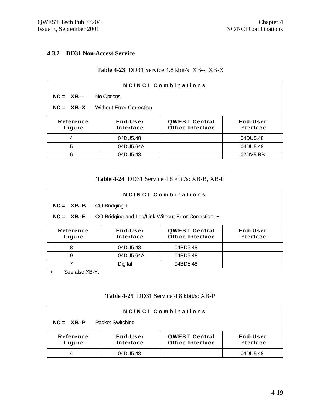#### **4.3.2 DD31 Non-Access Service**

### **Table 4-23** DD31 Service 4.8 kbit/s: XB--, XB-X

| <b>NC/NCI Combinations</b> |                                 |                                          |                       |  |
|----------------------------|---------------------------------|------------------------------------------|-----------------------|--|
| $NC = XB--$                | No Options                      |                                          |                       |  |
| $NC = XB-X$                | <b>Without Error Correction</b> |                                          |                       |  |
| Reference<br><b>Figure</b> | End-User<br>Interface           | <b>QWEST Central</b><br>Office Interface | End-User<br>Interface |  |
| 4                          | 04DU5.48                        |                                          | 04DU5.48              |  |
| 5                          | 04DU5.64A                       |                                          | 04DU5.48              |  |
| 6                          | 04DU5.48                        |                                          | 02DV5.BB              |  |

#### **Table 4-24** DD31 Service 4.8 kbit/s: XB-B, XB-E

| <b>NC/NCI Combinations</b>                                           |                       |                                                 |                       |  |  |
|----------------------------------------------------------------------|-----------------------|-------------------------------------------------|-----------------------|--|--|
| $NC = XB - B$                                                        | CO Bridging +         |                                                 |                       |  |  |
| CO Bridging and Leg/Link Without Error Correction +<br>$NC = XB - E$ |                       |                                                 |                       |  |  |
| Reference<br><b>Figure</b>                                           | End-User<br>Interface | <b>QWEST Central</b><br><b>Office Interface</b> | End-User<br>Interface |  |  |
| 8                                                                    | 04DU5.48              | 04BD5.48                                        |                       |  |  |
| 9                                                                    | 04DU5.64A             | 04BD5.48                                        |                       |  |  |
|                                                                      | <b>Digital</b>        | 04BD5.48                                        |                       |  |  |

+ See also XB-Y.

### **Table 4-25** DD31 Service 4.8 kbit/s: XB-P

| <b>NC/NCI Combinations</b>               |                       |                                                 |                       |  |  |
|------------------------------------------|-----------------------|-------------------------------------------------|-----------------------|--|--|
| <b>Packet Switching</b><br>$NC = XB - P$ |                       |                                                 |                       |  |  |
| Reference<br><b>Figure</b>               | End-User<br>Interface | <b>QWEST Central</b><br><b>Office Interface</b> | End-User<br>Interface |  |  |
|                                          | 04DU5.48              |                                                 | 04DU5.48              |  |  |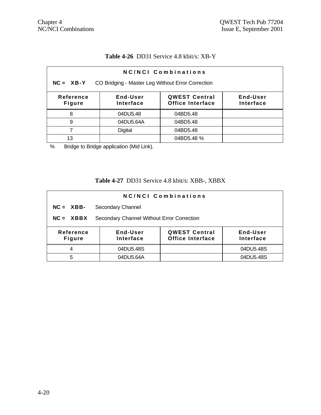# **Table 4-26** DD31 Service 4.8 kbit/s: XB-Y

| <b>NC/NCI Combinations</b>                                                                                                      |           |            |  |  |  |
|---------------------------------------------------------------------------------------------------------------------------------|-----------|------------|--|--|--|
| $NC = XB-Y$<br>CO Bridging - Master Leg Without Error Correction                                                                |           |            |  |  |  |
| <b>QWEST Central</b><br>Reference<br>End-User<br>End-User<br><b>Office Interface</b><br><b>Figure</b><br>Interface<br>Interface |           |            |  |  |  |
| 8                                                                                                                               | 04DU5.48  | 04BD5.48   |  |  |  |
| 9                                                                                                                               | 04DU5.64A | 04BD5.48   |  |  |  |
|                                                                                                                                 | Digital   | 04BD5.48   |  |  |  |
| 13                                                                                                                              |           | 04BD5.48 % |  |  |  |

% Bridge to Bridge application (Mid Link).

# **Table 4-27** DD31 Service 4.8 kbit/s: XBB-, XBBX

| NC/NCI Combinations                                                                                                                    |                                            |  |           |  |
|----------------------------------------------------------------------------------------------------------------------------------------|--------------------------------------------|--|-----------|--|
| $NC = XBB$                                                                                                                             | Secondary Channel                          |  |           |  |
| $NC = XBBX$                                                                                                                            | Secondary Channel Without Error Correction |  |           |  |
| <b>QWEST Central</b><br>End-User<br><b>Reference</b><br>End-User<br><b>Office Interface</b><br>Interface<br>Interface<br><b>Figure</b> |                                            |  |           |  |
| 4                                                                                                                                      | 04DU5.48S                                  |  | 04DU5.48S |  |
| 5                                                                                                                                      | 04DU5.64A                                  |  | 04DU5.48S |  |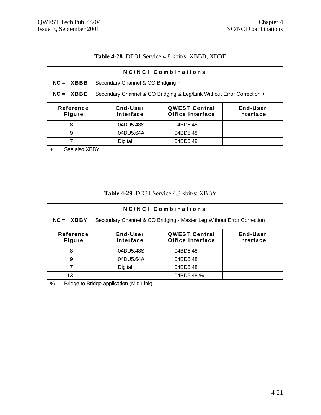## **Table 4-28** DD31 Service 4.8 kbit/s: XBBB, XBBE

| NC/NCI Combinations        |                                                                                            |          |  |  |  |
|----------------------------|--------------------------------------------------------------------------------------------|----------|--|--|--|
| $NC = XBBB$                | Secondary Channel & CO Bridging +                                                          |          |  |  |  |
| $NC = XBBE$                | Secondary Channel & CO Bridging & Leg/Link Without Error Correction +                      |          |  |  |  |
| Reference<br><b>Figure</b> | End-User<br><b>QWEST Central</b><br>End-User<br>Office Interface<br>Interface<br>Interface |          |  |  |  |
| 8                          | 04DU5.48S<br>04BD5.48                                                                      |          |  |  |  |
| 9<br>04DU5.64A<br>04BD5.48 |                                                                                            |          |  |  |  |
|                            | <b>Digital</b>                                                                             | 04BD5.48 |  |  |  |
|                            |                                                                                            |          |  |  |  |

+ See also XBBY

### **Table 4-29** DD31 Service 4.8 kbit/s: XBBY

| NC/NCI Combinations                                                                  |                                                                                                   |            |  |  |  |
|--------------------------------------------------------------------------------------|---------------------------------------------------------------------------------------------------|------------|--|--|--|
| Secondary Channel & CO Bridging - Master Leg Without Error Correction<br>$NC = XBBY$ |                                                                                                   |            |  |  |  |
| <b>Reference</b><br><b>Figure</b>                                                    | <b>QWEST Central</b><br>End-User<br>End-User<br><b>Office Interface</b><br>Interface<br>Interface |            |  |  |  |
| 8                                                                                    | 04DU5.48S                                                                                         | 04BD5.48   |  |  |  |
| 9                                                                                    | 04DU5.64A                                                                                         | 04BD5.48   |  |  |  |
|                                                                                      | <b>Digital</b>                                                                                    | 04BD5.48   |  |  |  |
| 13                                                                                   |                                                                                                   | 04BD5.48 % |  |  |  |

% Bridge to Bridge application (Mid Link).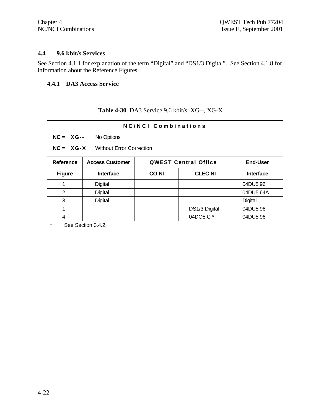#### **4.4 9.6 kbit/s Services**

See Section 4.1.1 for explanation of the term "Digital" and "DS1/3 Digital". See Section 4.1.8 for information about the Reference Figures.

# **4.4.1 DA3 Access Service**

# **Table 4-30** DA3 Service 9.6 kbit/s: XG--, XG-X

| NC/NCI Combinations                            |                        |             |                             |                  |
|------------------------------------------------|------------------------|-------------|-----------------------------|------------------|
| $NC = XG--$<br>No Options                      |                        |             |                             |                  |
| $NC = XG-X$<br><b>Without Error Correction</b> |                        |             |                             |                  |
| Reference                                      | <b>Access Customer</b> |             | <b>QWEST Central Office</b> | <b>End-User</b>  |
| <b>Figure</b>                                  | <b>Interface</b>       | <b>CONI</b> | <b>CLEC NI</b>              | <b>Interface</b> |
| 1                                              | Digital                |             |                             | 04DU5.96         |
| 2                                              | Digital                |             |                             | 04DU5.64A        |
| 3                                              | Digital                |             |                             | Digital          |
| 1                                              |                        |             | DS1/3 Digital               | 04DU5.96         |
| 4                                              |                        |             | 04DO5.C *                   | 04DU5.96         |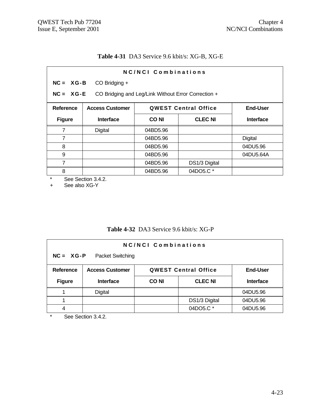# **Table 4-31** DA3 Service 9.6 kbit/s: XG-B, XG-E

| NC/NCI Combinations |                                                                    |             |                             |                  |  |
|---------------------|--------------------------------------------------------------------|-------------|-----------------------------|------------------|--|
|                     | $NC = XG-B$<br>$CO$ Bridging $+$                                   |             |                             |                  |  |
|                     | $NC = XG-E$<br>CO Bridging and Leg/Link Without Error Correction + |             |                             |                  |  |
| Reference           | <b>Access Customer</b>                                             |             | <b>QWEST Central Office</b> | <b>End-User</b>  |  |
| <b>Figure</b>       | <b>Interface</b>                                                   | <b>CONI</b> | <b>CLEC NI</b>              | <b>Interface</b> |  |
| 7                   | Digital                                                            | 04BD5.96    |                             |                  |  |
| $\overline{7}$      |                                                                    | 04BD5.96    |                             | Digital          |  |
| 8                   |                                                                    | 04BD5.96    |                             | 04DU5.96         |  |
| 9                   |                                                                    | 04BD5.96    |                             | 04DU5.64A        |  |
| $\overline{7}$      |                                                                    | 04BD5.96    | DS1/3 Digital               |                  |  |
| 8                   |                                                                    | 04BD5.96    | 04DO5.C *                   |                  |  |

\* See Section 3.4.2.<br>+ See also XG-Y

See also XG-Y

# **Table 4-32** DA3 Service 9.6 kbit/s: XG-P

| <b>NC/NCI Combinations</b>               |                                                                          |             |                |                  |
|------------------------------------------|--------------------------------------------------------------------------|-------------|----------------|------------------|
| $NC = XG - P$<br><b>Packet Switching</b> |                                                                          |             |                |                  |
| Reference                                | <b>QWEST Central Office</b><br><b>Access Customer</b><br><b>End-User</b> |             |                |                  |
| <b>Figure</b>                            | <b>Interface</b>                                                         | <b>CONI</b> | <b>CLEC NI</b> | <b>Interface</b> |
|                                          | <b>Digital</b>                                                           |             |                | 04DU5.96         |
|                                          |                                                                          |             | DS1/3 Digital  | 04DU5.96         |
| 4                                        |                                                                          |             | 04DO5.C *      | 04DU5.96         |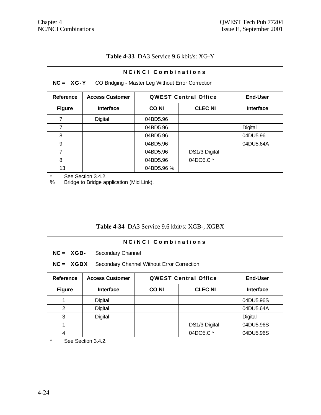### **Table 4-33** DA3 Service 9.6 kbit/s: XG-Y

|               | NC/NCI Combinations                                                      |                               |               |                  |  |
|---------------|--------------------------------------------------------------------------|-------------------------------|---------------|------------------|--|
|               | NC = XG-Y CO Bridging - Master Leg Without Error Correction              |                               |               |                  |  |
| Reference     | <b>End-User</b><br><b>Access Customer</b><br><b>QWEST Central Office</b> |                               |               |                  |  |
| <b>Figure</b> | <b>Interface</b>                                                         | <b>CLEC NI</b><br><b>CONI</b> |               | <b>Interface</b> |  |
| 7             | <b>Digital</b>                                                           | 04BD5.96                      |               |                  |  |
| 7             |                                                                          | 04BD5.96                      |               | Digital          |  |
| 8             |                                                                          | 04BD5.96                      |               | 04DU5.96         |  |
| 9             |                                                                          | 04BD5.96                      |               | 04DU5.64A        |  |
| 7             |                                                                          | 04BD5.96                      | DS1/3 Digital |                  |  |
| 8             |                                                                          | 04BD5.96                      | 04DO5.C *     |                  |  |
| 13            |                                                                          | 04BD5.96 %                    |               |                  |  |

\* See Section 3.4.2.<br>% Bridge to Bridge ap

Bridge to Bridge application (Mid Link).

# **Table 4-34** DA3 Service 9.6 kbit/s: XGB-, XGBX

| NC/NCI Combinations                                       |                        |                                                |                |           |
|-----------------------------------------------------------|------------------------|------------------------------------------------|----------------|-----------|
| $NC = XGB$<br>Secondary Channel                           |                        |                                                |                |           |
| $NC = XGBX$<br>Secondary Channel Without Error Correction |                        |                                                |                |           |
| Reference                                                 | <b>Access Customer</b> | <b>QWEST Central Office</b><br><b>End-User</b> |                |           |
| <b>Figure</b>                                             | <b>Interface</b>       | <b>CONI</b>                                    | <b>CLEC NI</b> | Interface |
|                                                           | Digital                |                                                |                | 04DU5.96S |
| 2                                                         | Digital                |                                                |                | 04DU5.64A |
| 3                                                         | Digital                |                                                |                | Digital   |
| 1                                                         |                        |                                                | DS1/3 Digital  | 04DU5.96S |
| 4                                                         |                        |                                                | 04DO5.C *      | 04DU5.96S |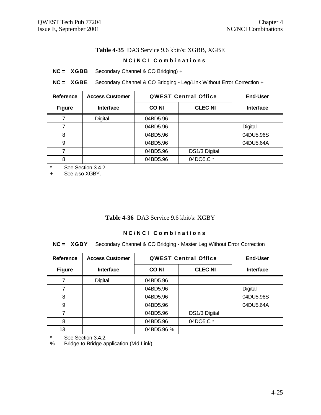# **Table 4-35** DA3 Service 9.6 kbit/s: XGBB, XGBE

| NC/NCL Combinations |                        |                                    |                                                                       |                  |
|---------------------|------------------------|------------------------------------|-----------------------------------------------------------------------|------------------|
| $NC = XGBB$         |                        | Secondary Channel & CO Bridging) + |                                                                       |                  |
| $NC = XGBE$         |                        |                                    | Secondary Channel & CO Bridging - Leg/Link Without Error Correction + |                  |
| Reference           | <b>Access Customer</b> |                                    | <b>QWEST Central Office</b>                                           | End-User         |
| <b>Figure</b>       | <b>Interface</b>       | <b>CONI</b>                        | <b>CLEC NI</b>                                                        | <b>Interface</b> |
| 7                   | Digital                | 04BD5.96                           |                                                                       |                  |
| $\overline{7}$      |                        | 04BD5.96                           |                                                                       | Digital          |
| 8                   |                        | 04BD5.96                           |                                                                       | 04DU5.96S        |
| 9                   |                        | 04BD5.96                           |                                                                       | 04DU5.64A        |
| 7                   |                        | 04BD5.96                           | DS1/3 Digital                                                         |                  |
| 8                   |                        | 04BD5.96                           | 04DO5.C *                                                             |                  |

\* See Section 3.4.2.<br>+ See also XGBY.

See also XGBY.

# **Table 4-36** DA3 Service 9.6 kbit/s: XGBY

| NC/NCL Combinations<br>$NC = XGBY$<br>Secondary Channel & CO Bridging - Master Leg Without Error Correction |                                                                          |                         |               |                  |
|-------------------------------------------------------------------------------------------------------------|--------------------------------------------------------------------------|-------------------------|---------------|------------------|
| <b>Reference</b>                                                                                            | <b>QWEST Central Office</b><br><b>End-User</b><br><b>Access Customer</b> |                         |               |                  |
| <b>Figure</b>                                                                                               | <b>Interface</b>                                                         | <b>CLEC NI</b><br>CO NI |               | <b>Interface</b> |
| 7                                                                                                           | Digital                                                                  | 04BD5.96                |               |                  |
| 7                                                                                                           |                                                                          | 04BD5.96                |               | Digital          |
| 8                                                                                                           |                                                                          | 04BD5.96                |               | 04DU5.96S        |
| 9                                                                                                           |                                                                          | 04BD5.96                |               | 04DU5.64A        |
| 7                                                                                                           |                                                                          | 04BD5.96                | DS1/3 Digital |                  |
| 8                                                                                                           |                                                                          | 04BD5.96                | 04DO5.C *     |                  |
| 13                                                                                                          |                                                                          | 04BD5.96 %              |               |                  |

\* See Section 3.4.2.<br>% Bridge to Bridge ap

Bridge to Bridge application (Mid Link).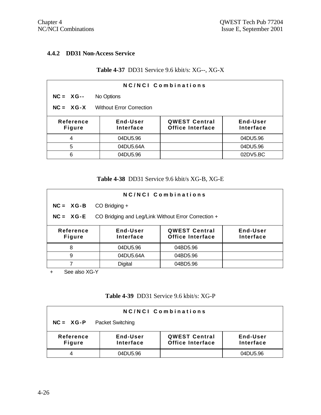#### **4.4.2 DD31 Non-Access Service**

### **Table 4-37** DD31 Service 9.6 kbit/s: XG--, XG-X

| <b>NC/NCI Combinations</b>                                                                                               |            |  |          |  |  |
|--------------------------------------------------------------------------------------------------------------------------|------------|--|----------|--|--|
| $NC = XG -$                                                                                                              | No Options |  |          |  |  |
| $NC = XG-X$<br><b>Without Error Correction</b>                                                                           |            |  |          |  |  |
| End-User<br><b>QWEST Central</b><br>End-User<br>Reference<br>Office Interface<br><b>Figure</b><br>Interface<br>Interface |            |  |          |  |  |
| 4                                                                                                                        | 04DU5.96   |  | 04DU5.96 |  |  |
| 5                                                                                                                        | 04DU5.64A  |  | 04DU5.96 |  |  |
| 6                                                                                                                        | 04DU5.96   |  | 02DV5.BC |  |  |

#### **Table 4-38** DD31 Service 9.6 kbit/s XG-B, XG-E

| NC/NCI Combinations                                                                                                                    |                |          |  |  |  |
|----------------------------------------------------------------------------------------------------------------------------------------|----------------|----------|--|--|--|
| $NC = XG-B$                                                                                                                            | CO Bridging +  |          |  |  |  |
| CO Bridging and Leg/Link Without Error Correction +<br>$NC = XG-E$                                                                     |                |          |  |  |  |
| End-User<br>End-User<br><b>QWEST Central</b><br>Reference<br><b>Office Interface</b><br><b>Interface</b><br>Interface<br><b>Figure</b> |                |          |  |  |  |
| 8                                                                                                                                      | 04DU5.96       | 04BD5.96 |  |  |  |
| 9                                                                                                                                      | 04DU5.64A      | 04BD5.96 |  |  |  |
|                                                                                                                                        | <b>Digital</b> | 04BD5.96 |  |  |  |

+ See also XG-Y

### **Table 4-39** DD31 Service 9.6 kbit/s: XG-P

| <b>NC/NCI Combinations</b>               |                       |                                                 |                       |  |  |
|------------------------------------------|-----------------------|-------------------------------------------------|-----------------------|--|--|
| <b>Packet Switching</b><br>$NC = XG - P$ |                       |                                                 |                       |  |  |
| Reference<br><b>Figure</b>               | End-User<br>Interface | <b>QWEST Central</b><br><b>Office Interface</b> | End-User<br>Interface |  |  |
|                                          | 04DU5.96              |                                                 | 04DU5.96              |  |  |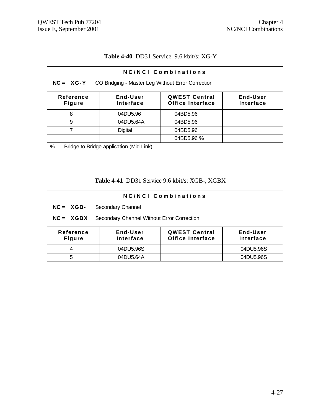### **Table 4-40** DD31 Service 9.6 kbit/s: XG-Y

| NC/NCI Combinations                                                                                                             |           |            |  |  |  |
|---------------------------------------------------------------------------------------------------------------------------------|-----------|------------|--|--|--|
| $NC = XG-Y$<br>CO Bridging - Master Leg Without Error Correction                                                                |           |            |  |  |  |
| <b>QWEST Central</b><br>Reference<br>End-User<br>End-User<br><b>Office Interface</b><br>Interface<br>Interface<br><b>Figure</b> |           |            |  |  |  |
| 8                                                                                                                               | 04DU5.96  | 04BD5.96   |  |  |  |
| 9                                                                                                                               | 04DU5.64A | 04BD5.96   |  |  |  |
| <b>Digital</b><br>04BD5.96                                                                                                      |           |            |  |  |  |
|                                                                                                                                 |           | 04BD5.96 % |  |  |  |

% Bridge to Bridge application (Mid Link).

# **Table 4-41** DD31 Service 9.6 kbit/s: XGB-, XGBX

| NC/NCI Combinations                                                                                                             |                                            |  |           |  |  |
|---------------------------------------------------------------------------------------------------------------------------------|--------------------------------------------|--|-----------|--|--|
| $NC = XGB$                                                                                                                      | Secondary Channel                          |  |           |  |  |
| $NC = XGBX$                                                                                                                     | Secondary Channel Without Error Correction |  |           |  |  |
| End-User<br><b>QWEST Central</b><br>End-User<br>Reference<br><b>Office Interface</b><br>Interface<br>Interface<br><b>Figure</b> |                                            |  |           |  |  |
| 4                                                                                                                               | 04DU5.96S                                  |  | 04DU5.96S |  |  |
| 5                                                                                                                               | 04DU5.64A                                  |  | 04DU5.96S |  |  |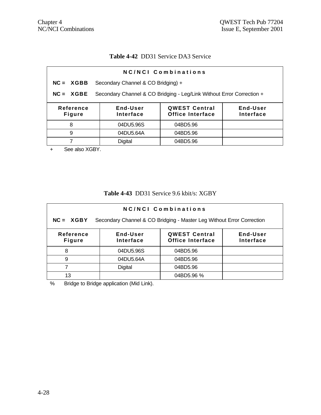#### **Table 4-42** DD31 Service DA3 Service

| Secondary Channel & CO Bridging) +<br>$NC = XGBB$<br>Secondary Channel & CO Bridging - Leg/Link Without Error Correction +<br>$NC = XGBE$<br>End-User<br>End-User<br>Reference<br><b>QWEST Central</b><br>Office Interface<br>Interface<br>Interface<br><b>Figure</b><br>04DU5.96S<br>8<br>04BD5.96 | <b>NC/NCI Combinations</b> |                       |  |  |  |  |
|-----------------------------------------------------------------------------------------------------------------------------------------------------------------------------------------------------------------------------------------------------------------------------------------------------|----------------------------|-----------------------|--|--|--|--|
|                                                                                                                                                                                                                                                                                                     |                            |                       |  |  |  |  |
|                                                                                                                                                                                                                                                                                                     |                            |                       |  |  |  |  |
|                                                                                                                                                                                                                                                                                                     |                            |                       |  |  |  |  |
|                                                                                                                                                                                                                                                                                                     |                            |                       |  |  |  |  |
|                                                                                                                                                                                                                                                                                                     | 9                          | 04DU5.64A<br>04BD5.96 |  |  |  |  |
| Digital<br>04BD5.96                                                                                                                                                                                                                                                                                 |                            |                       |  |  |  |  |

+ See also XGBY.

### **Table 4-43** DD31 Service 9.6 kbit/s: XGBY

| NC/NCI Combinations                                                                                                      |                                                                       |            |  |  |  |
|--------------------------------------------------------------------------------------------------------------------------|-----------------------------------------------------------------------|------------|--|--|--|
| $NC = XGBY$                                                                                                              | Secondary Channel & CO Bridging - Master Leg Without Error Correction |            |  |  |  |
| <b>QWEST Central</b><br>End-User<br>Reference<br>End-User<br>Office Interface<br>Interface<br>Interface<br><b>Figure</b> |                                                                       |            |  |  |  |
| 8                                                                                                                        | 04DU5.96S                                                             | 04BD5.96   |  |  |  |
| 9                                                                                                                        | 04DU5.64A                                                             | 04BD5.96   |  |  |  |
|                                                                                                                          | Digital                                                               | 04BD5.96   |  |  |  |
| 13                                                                                                                       |                                                                       | 04BD5.96 % |  |  |  |

% Bridge to Bridge application (Mid Link).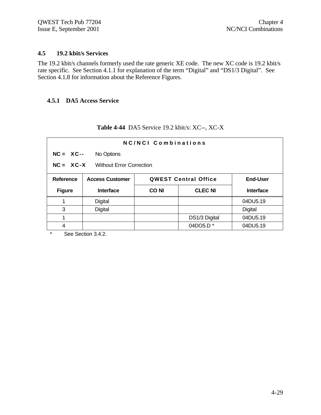#### **4.5 19.2 kbit/s Services**

The 19.2 kbit/s channels formerly used the rate generic XE code. The new XC code is 19.2 kbit/s rate specific. See Section 4.1.1 for explanation of the term "Digital" and "DS1/3 Digital". See Section 4.1.8 for information about the Reference Figures.

#### **4.5.1 DA5 Access Service**

| NC/NCI Combinations |                                                                          |             |                      |                  |  |
|---------------------|--------------------------------------------------------------------------|-------------|----------------------|------------------|--|
|                     | $NC = XC--$<br>No Options                                                |             |                      |                  |  |
|                     | $NC = XC-X$<br><b>Without Error Correction</b>                           |             |                      |                  |  |
| <b>Reference</b>    | <b>QWEST Central Office</b><br><b>End-User</b><br><b>Access Customer</b> |             |                      |                  |  |
| <b>Figure</b>       | <b>Interface</b>                                                         | <b>CONI</b> | <b>CLEC NI</b>       | <b>Interface</b> |  |
|                     | Digital                                                                  |             |                      | 04DU5.19         |  |
| 3                   | Digital                                                                  |             |                      | Digital          |  |
| 1                   |                                                                          |             | DS1/3 Digital        | 04DU5.19         |  |
| 4                   |                                                                          |             | 04DO5.D <sup>*</sup> | 04DU5.19         |  |

# **Table 4-44** DA5 Service 19.2 kbit/s: XC--, XC-X

 $\frac{1}{1}$  See Section 3.4.2.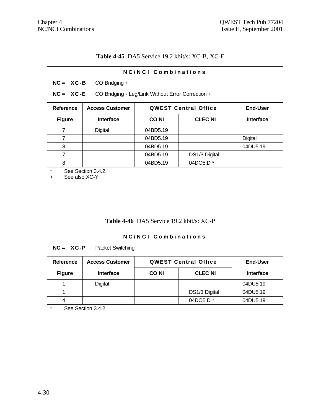# **Table 4-45** DA5 Service 19.2 kbit/s: XC-B, XC-E

| <b>NC/NCI Combinations</b>                                       |             |                |                             |  |
|------------------------------------------------------------------|-------------|----------------|-----------------------------|--|
| $NC = XC - B$<br>CO Bridging +                                   |             |                |                             |  |
| $NC = XC-E$<br>CO Bridging - Leg/Link Without Error Correction + |             |                |                             |  |
| <b>Access Customer</b>                                           |             |                | <b>End-User</b>             |  |
| <b>Interface</b>                                                 | <b>CONI</b> | <b>CLEC NI</b> | <b>Interface</b>            |  |
| Digital                                                          | 04BD5.19    |                |                             |  |
|                                                                  | 04BD5.19    |                | Digital                     |  |
|                                                                  | 04BD5.19    |                | 04DU5.19                    |  |
|                                                                  | 04BD5.19    | DS1/3 Digital  |                             |  |
|                                                                  | 04BD5.19    | 04DO5.D *      |                             |  |
|                                                                  |             |                | <b>QWEST Central Office</b> |  |

\* See Section 3.4.2.<br>+ See also XC-Y

See also XC-Y

# **Table 4-46** DA5 Service 19.2 kbit/s: XC-P

| NC/NCI Combinations |                                                                          |             |                |                  |  |
|---------------------|--------------------------------------------------------------------------|-------------|----------------|------------------|--|
|                     | $NC = XC-P$<br>Packet Switching                                          |             |                |                  |  |
| <b>Reference</b>    | <b>Access Customer</b><br><b>QWEST Central Office</b><br><b>End-User</b> |             |                |                  |  |
| <b>Figure</b>       | <b>Interface</b>                                                         | <b>CONI</b> | <b>CLEC NI</b> | <b>Interface</b> |  |
|                     | Digital                                                                  |             |                | 04DU5.19         |  |
|                     |                                                                          |             | DS1/3 Digital  | 04DU5.19         |  |
| 4                   |                                                                          |             | 04DO5.D *      | 04DU5.19         |  |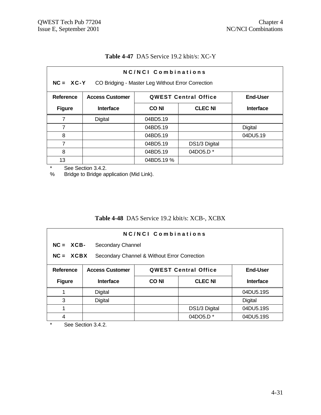| NC/NCI Combinations<br>NC = XC-Y CO Bridging - Master Leg Without Error Correction |                        |            |                             |                 |
|------------------------------------------------------------------------------------|------------------------|------------|-----------------------------|-----------------|
| <b>Reference</b>                                                                   | <b>Access Customer</b> |            | <b>QWEST Central Office</b> | <b>End-User</b> |
| <b>Figure</b>                                                                      | <b>Interface</b>       | CO NI      | <b>CLEC NI</b>              |                 |
| 7                                                                                  | Digital                | 04BD5.19   |                             |                 |
| 7                                                                                  |                        | 04BD5.19   |                             | Digital         |
| 8                                                                                  |                        | 04BD5.19   |                             | 04DU5.19        |
| 7                                                                                  |                        | 04BD5.19   | DS1/3 Digital               |                 |
| 8                                                                                  |                        | 04BD5.19   | 04DO5.D <sup>*</sup>        |                 |
| 13                                                                                 |                        | 04BD5.19 % |                             |                 |

#### **Table 4-47** DA5 Service 19.2 kbit/s: XC-Y

\* See Section 3.4.2.<br>% Bridge to Bridge ap

Bridge to Bridge application (Mid Link).

# **Table 4-48** DA5 Service 19.2 kbit/s: XCB-, XCBX

| NC/NCL Combinations |                                                                          |             |                      |                  |
|---------------------|--------------------------------------------------------------------------|-------------|----------------------|------------------|
| $NC = XCB -$        | Secondary Channel                                                        |             |                      |                  |
|                     | $NC = XCBX$<br>Secondary Channel & Without Error Correction              |             |                      |                  |
| <b>Reference</b>    | <b>QWEST Central Office</b><br><b>Access Customer</b><br><b>End-User</b> |             |                      |                  |
| <b>Figure</b>       | <b>Interface</b>                                                         | <b>CONI</b> | <b>CLEC NI</b>       | <b>Interface</b> |
|                     | Digital                                                                  |             |                      | 04DU5.19S        |
| 3                   | <b>Digital</b>                                                           |             |                      | <b>Digital</b>   |
| 1                   |                                                                          |             | DS1/3 Digital        | 04DU5.19S        |
| 4                   |                                                                          |             | 04DO5.D <sup>*</sup> | 04DU5.19S        |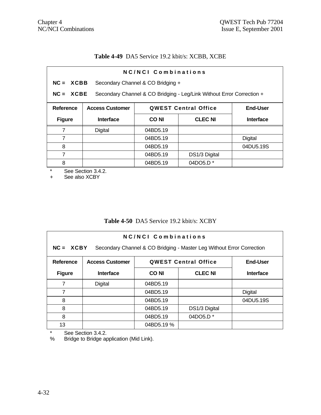# **Table 4-49** DA5 Service 19.2 kbit/s: XCBB, XCBE

| NC/NCI Combinations |                                                                          |                                   |                                                                       |                  |
|---------------------|--------------------------------------------------------------------------|-----------------------------------|-----------------------------------------------------------------------|------------------|
| $NC = XCBB$         |                                                                          | Secondary Channel & CO Bridging + |                                                                       |                  |
| $NC = XCBE$         |                                                                          |                                   | Secondary Channel & CO Bridging - Leg/Link Without Error Correction + |                  |
| <b>Reference</b>    | <b>QWEST Central Office</b><br><b>End-User</b><br><b>Access Customer</b> |                                   |                                                                       |                  |
| <b>Figure</b>       | Interface                                                                | CO NI                             | <b>CLEC NI</b>                                                        | <b>Interface</b> |
| 7                   | Digital                                                                  | 04BD5.19                          |                                                                       |                  |
| 7                   |                                                                          | 04BD5.19                          |                                                                       | Digital          |
| 8                   |                                                                          | 04BD5.19                          |                                                                       | 04DU5.19S        |
| 7                   |                                                                          | 04BD5.19                          | DS1/3 Digital                                                         |                  |
| 8                   |                                                                          | 04BD5.19                          | 04DO5.D $*$                                                           |                  |

\* See Section 3.4.2.<br>+ See also XCBY

See also XCBY

### **Table 4-50** DA5 Service 19.2 kbit/s: XCBY

| NC/NCL Combinations<br>$NC = XCBY$<br>Secondary Channel & CO Bridging - Master Leg Without Error Correction |                        |                               |                             |                  |
|-------------------------------------------------------------------------------------------------------------|------------------------|-------------------------------|-----------------------------|------------------|
| <b>Reference</b>                                                                                            | <b>Access Customer</b> |                               | <b>QWEST Central Office</b> | <b>End-User</b>  |
| <b>Figure</b>                                                                                               | <b>Interface</b>       | <b>CLEC NI</b><br><b>CONI</b> |                             | <b>Interface</b> |
| 7                                                                                                           | <b>Digital</b>         | 04BD5.19                      |                             |                  |
| 7                                                                                                           |                        | 04BD5.19                      |                             | <b>Digital</b>   |
| 8                                                                                                           |                        | 04BD5.19                      |                             | 04DU5.19S        |
| 8                                                                                                           |                        | 04BD5.19                      | DS1/3 Digital               |                  |
| 8                                                                                                           |                        | 04BD5.19                      | 04DO5.D <sup>*</sup>        |                  |
| 13                                                                                                          |                        | 04BD5.19 %                    |                             |                  |

\* See Section 3.4.2.<br>% Bridge to Bridge ap

Bridge to Bridge application (Mid Link).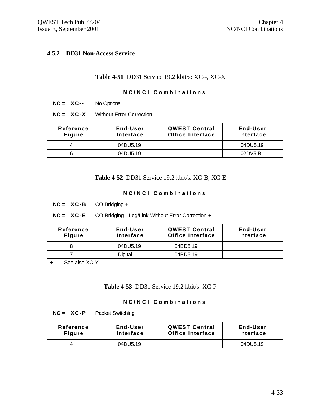#### **4.5.2 DD31 Non-Access Service**

### **Table 4-51** DD31 Service 19.2 kbit/s: XC--, XC-X

| NC/NCI Combinations                            |                       |                                                 |                       |  |
|------------------------------------------------|-----------------------|-------------------------------------------------|-----------------------|--|
| $NC = XC--$                                    | No Options            |                                                 |                       |  |
| $NC = XC-X$<br><b>Without Error Correction</b> |                       |                                                 |                       |  |
| <b>Reference</b><br><b>Figure</b>              | End-User<br>Interface | <b>QWEST Central</b><br><b>Office Interface</b> | End-User<br>Interface |  |
| 4                                              | 04DU5.19              |                                                 | 04DU5.19              |  |
| 6                                              | 04DU5.19              |                                                 | 02DV5.BL              |  |

#### **Table 4-52** DD31 Service 19.2 kbit/s: XC-B, XC-E

| NC/NCI Combinations                                                                                                             |                                                   |          |  |  |  |
|---------------------------------------------------------------------------------------------------------------------------------|---------------------------------------------------|----------|--|--|--|
| $NC = XC - B$                                                                                                                   | $CO$ Bridging $+$                                 |          |  |  |  |
| $NC = XC-E$                                                                                                                     | CO Bridging - Leg/Link Without Error Correction + |          |  |  |  |
| End-User<br><b>QWEST Central</b><br>End-User<br>Reference<br><b>Office Interface</b><br>Interface<br>Interface<br><b>Figure</b> |                                                   |          |  |  |  |
| 8                                                                                                                               | 04DU5.19                                          | 04BD5.19 |  |  |  |
|                                                                                                                                 | <b>Digital</b>                                    | 04BD5.19 |  |  |  |

+ See also XC-Y

# **Table 4-53** DD31 Service 19.2 kbit/s: XC-P

| <b>NC/NCI Combinations</b>             |                       |                                                 |                       |  |
|----------------------------------------|-----------------------|-------------------------------------------------|-----------------------|--|
| $NC = XC-P$<br><b>Packet Switching</b> |                       |                                                 |                       |  |
| Reference<br><b>Figure</b>             | End-User<br>Interface | <b>QWEST Central</b><br><b>Office Interface</b> | End-User<br>Interface |  |
|                                        | 04DU5.19              |                                                 | 04DU5.19              |  |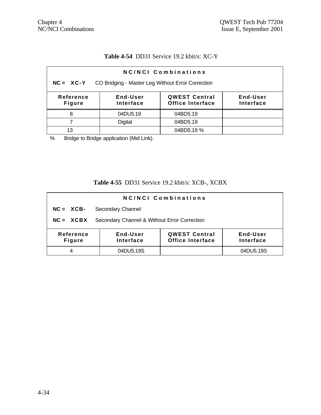## **Table 4-54** DD31 Service 19.2 kbit/s: XC-Y

| NC/NCI Combinations                                                                                                             |                |            |  |  |
|---------------------------------------------------------------------------------------------------------------------------------|----------------|------------|--|--|
| CO Bridging - Master Leg Without Error Correction<br>$NC = XC-Y$                                                                |                |            |  |  |
| <b>QWEST Central</b><br>Reference<br>End-User<br>End-User<br><b>Office Interface</b><br>Interface<br>Interface<br><b>Figure</b> |                |            |  |  |
| 8                                                                                                                               | 04DU5.19       | 04BD5.19   |  |  |
|                                                                                                                                 | <b>Digital</b> | 04BD5.19   |  |  |
| 13                                                                                                                              |                | 04BD5.19 % |  |  |

% Bridge to Bridge application (Mid Link).

# **Table 4-55** DD31 Service 19.2 kbit/s: XCB-, XCBX

| NC/NCI Combinations                                                                                                                    |                   |  |           |  |
|----------------------------------------------------------------------------------------------------------------------------------------|-------------------|--|-----------|--|
| $NC = XCB -$                                                                                                                           | Secondary Channel |  |           |  |
| Secondary Channel & Without Error Correction<br>$NC = XCBX$                                                                            |                   |  |           |  |
| Reference<br><b>QWEST Central</b><br>End-User<br>End-User<br><b>Office Interface</b><br>Interface<br><b>Interface</b><br><b>Figure</b> |                   |  |           |  |
| 4                                                                                                                                      | 04DU5.19S         |  | 04DU5.19S |  |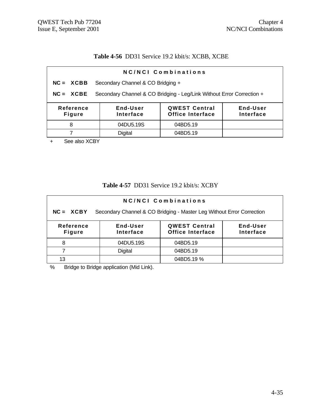# **Table 4-56** DD31 Service 19.2 kbit/s: XCBB, XCBE

| NC/NCI Combinations                                                                                                             |                                   |  |  |  |
|---------------------------------------------------------------------------------------------------------------------------------|-----------------------------------|--|--|--|
| $NC = XCBB$                                                                                                                     | Secondary Channel & CO Bridging + |  |  |  |
| Secondary Channel & CO Bridging - Leg/Link Without Error Correction +<br>$NC = XCBE$                                            |                                   |  |  |  |
| <b>QWEST Central</b><br>End-User<br>End-User<br>Reference<br><b>Office Interface</b><br>Interface<br>Interface<br><b>Figure</b> |                                   |  |  |  |
| 04DU5.19S<br>04BD5.19<br>8                                                                                                      |                                   |  |  |  |
| <b>Digital</b><br>04BD5.19                                                                                                      |                                   |  |  |  |
| $O_{\text{max}}$ and $V_{\text{max}}$<br>$\sim$ $\sim$ $\sim$                                                                   |                                   |  |  |  |

+ See also XCBY

## **Table 4-57** DD31 Service 19.2 kbit/s: XCBY

| NC/NCI Combinations                                                                                                             |           |            |  |  |
|---------------------------------------------------------------------------------------------------------------------------------|-----------|------------|--|--|
| Secondary Channel & CO Bridging - Master Leg Without Error Correction<br>$NC = XCBY$                                            |           |            |  |  |
| <b>QWEST Central</b><br>Reference<br>End-User<br>End-User<br><b>Office Interface</b><br>Interface<br>Interface<br><b>Figure</b> |           |            |  |  |
| 8                                                                                                                               | 04DU5.19S | 04BD5.19   |  |  |
|                                                                                                                                 | Digital   | 04BD5.19   |  |  |
| 13                                                                                                                              |           | 04BD5.19 % |  |  |

% Bridge to Bridge application (Mid Link).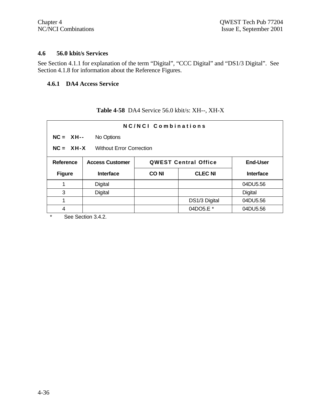#### **4.6 56.0 kbit/s Services**

See Section 4.1.1 for explanation of the term "Digital", "CCC Digital" and "DS1/3 Digital". See Section 4.1.8 for information about the Reference Figures.

# **4.6.1 DA4 Access Service**

# **Table 4-58** DA4 Service 56.0 kbit/s: XH--, XH-X

| NC/NCI Combinations                            |                                                       |             |                |                  |
|------------------------------------------------|-------------------------------------------------------|-------------|----------------|------------------|
| $NC = XH--$<br>No Options                      |                                                       |             |                |                  |
| $NC = XH-X$<br><b>Without Error Correction</b> |                                                       |             |                |                  |
| <b>Reference</b>                               | <b>Access Customer</b><br><b>QWEST Central Office</b> |             |                | <b>End-User</b>  |
| <b>Figure</b>                                  | <b>Interface</b>                                      | <b>CONI</b> | <b>CLEC NI</b> | <b>Interface</b> |
| 1                                              | Digital                                               |             |                | 04DU5.56         |
| 3                                              | Digital                                               |             |                | <b>Digital</b>   |
| 1                                              |                                                       |             | DS1/3 Digital  | 04DU5.56         |
| 4                                              |                                                       |             | 04DO5.E *      | 04DU5.56         |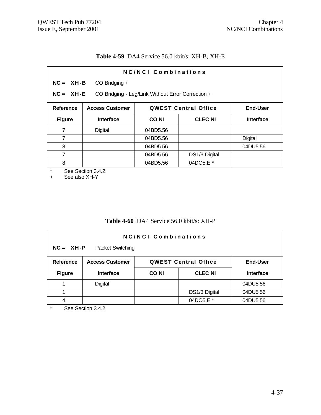# **Table 4-59** DA4 Service 56.0 kbit/s: XH-B, XH-E

| NC/NCI Combinations                                              |                                                                          |             |                |                  |  |
|------------------------------------------------------------------|--------------------------------------------------------------------------|-------------|----------------|------------------|--|
|                                                                  | $NC = XH - B$<br>CO Bridging +                                           |             |                |                  |  |
| CO Bridging - Leg/Link Without Error Correction +<br>$NC = XH-E$ |                                                                          |             |                |                  |  |
| <b>Reference</b>                                                 | <b>QWEST Central Office</b><br><b>End-User</b><br><b>Access Customer</b> |             |                |                  |  |
| <b>Figure</b>                                                    | <b>Interface</b>                                                         | <b>CONI</b> | <b>CLEC NI</b> | <b>Interface</b> |  |
| 7                                                                | Digital                                                                  | 04BD5.56    |                |                  |  |
| 7                                                                |                                                                          | 04BD5.56    |                | <b>Digital</b>   |  |
| 8                                                                |                                                                          | 04BD5.56    |                | 04DU5.56         |  |
| 7                                                                |                                                                          | 04BD5.56    | DS1/3 Digital  |                  |  |
| 8                                                                |                                                                          | 04BD5.56    | 04DO5.E *      |                  |  |

\* See Section 3.4.2.<br>+ See also XH-Y

See also XH-Y

### **Table 4-60** DA4 Service 56.0 kbit/s: XH-P

| NC/NCI Combinations<br>$NC = XH-P$<br>Packet Switching |                                                                          |       |                |                  |  |
|--------------------------------------------------------|--------------------------------------------------------------------------|-------|----------------|------------------|--|
| <b>Reference</b>                                       | <b>QWEST Central Office</b><br><b>End-User</b><br><b>Access Customer</b> |       |                |                  |  |
| <b>Figure</b>                                          | <b>Interface</b>                                                         | CO NI | <b>CLEC NI</b> | <b>Interface</b> |  |
|                                                        | Digital                                                                  |       |                | 04DU5.56         |  |
|                                                        |                                                                          |       | DS1/3 Digital  | 04DU5.56         |  |
| 4                                                      |                                                                          |       | 04DO5.E *      | 04DU5.56         |  |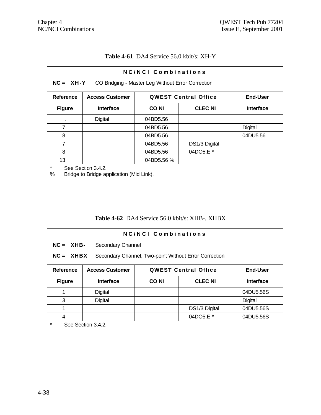#### **Table 4-61** DA4 Service 56.0 kbit/s: XH-Y

| NC/NCI Combinations |                                                                          |                                                   |                |          |  |
|---------------------|--------------------------------------------------------------------------|---------------------------------------------------|----------------|----------|--|
| $NC = XH-Y$         |                                                                          | CO Bridging - Master Leg Without Error Correction |                |          |  |
| Reference           | <b>End-User</b><br><b>Access Customer</b><br><b>QWEST Central Office</b> |                                                   |                |          |  |
| <b>Figure</b>       | <b>Interface</b>                                                         | <b>CONI</b>                                       | <b>CLEC NI</b> |          |  |
|                     | Digital                                                                  | 04BD5.56                                          |                |          |  |
| 7                   |                                                                          | 04BD5.56                                          |                | Digital  |  |
| 8                   |                                                                          | 04BD5.56                                          |                | 04DU5.56 |  |
| 7                   |                                                                          | 04BD5.56                                          | DS1/3 Digital  |          |  |
| 8                   |                                                                          | 04BD5.56                                          | 04DO5.E *      |          |  |
| 13                  |                                                                          | 04BD5.56 %                                        |                |          |  |

\* See Section 3.4.2.<br>% Bridge to Bridge ap

Bridge to Bridge application (Mid Link).

# **Table 4-62** DA4 Service 56.0 kbit/s: XHB-, XHBX

| NC/NCI Combinations                                                  |                                 |                                                |                |                  |  |
|----------------------------------------------------------------------|---------------------------------|------------------------------------------------|----------------|------------------|--|
|                                                                      | $NC = XHB$<br>Secondary Channel |                                                |                |                  |  |
| $NC = XHBX$<br>Secondary Channel, Two-point Without Error Correction |                                 |                                                |                |                  |  |
| Reference                                                            | <b>Access Customer</b>          | <b>QWEST Central Office</b><br><b>End-User</b> |                |                  |  |
| <b>Figure</b>                                                        | <b>Interface</b>                | <b>CONI</b>                                    | <b>CLEC NI</b> | <b>Interface</b> |  |
|                                                                      | Digital                         |                                                |                | 04DU5.56S        |  |
| 3                                                                    | <b>Digital</b>                  |                                                |                | <b>Digital</b>   |  |
| 1                                                                    |                                 |                                                | DS1/3 Digital  | 04DU5.56S        |  |
| 4                                                                    |                                 |                                                | 04DO5.E *      | 04DU5.56S        |  |

\* See Section 3.4.2.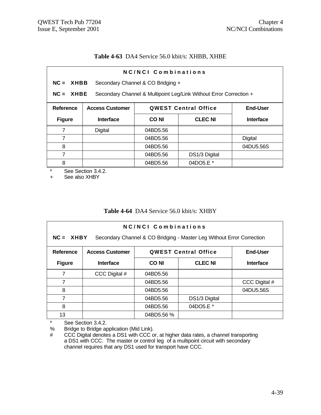#### **Table 4-63** DA4 Service 56.0 kbit/s: XHBB, XHBE

| NC/NCI Combinations |                                                                                   |                                   |                |                |  |
|---------------------|-----------------------------------------------------------------------------------|-----------------------------------|----------------|----------------|--|
| $NC = XHBB$         |                                                                                   | Secondary Channel & CO Bridging + |                |                |  |
|                     | Secondary Channel & Multipoint Leg/Link Without Error Correction +<br>$NC = XHBE$ |                                   |                |                |  |
| <b>Reference</b>    | <b>QWEST Central Office</b><br><b>End-User</b><br><b>Access Customer</b>          |                                   |                |                |  |
| <b>Figure</b>       | <b>Interface</b>                                                                  | <b>CONI</b>                       | <b>CLEC NI</b> | Interface      |  |
| 7                   | Digital                                                                           | 04BD5.56                          |                |                |  |
| $\overline{7}$      |                                                                                   | 04BD5.56                          |                | <b>Digital</b> |  |
| 8                   |                                                                                   | 04BD5.56                          |                | 04DU5.56S      |  |
| 7                   |                                                                                   | 04BD5.56                          | DS1/3 Digital  |                |  |
| 8                   |                                                                                   | 04BD5.56                          | 04DO5.E *      |                |  |

\* See Section 3.4.2.

+ See also XHBY

#### **Table 4-64** DA4 Service 56.0 kbit/s: XHBY

| NC/NCI Combinations<br>$NC = XHBY$<br>Secondary Channel & CO Bridging - Master Leg Without Error Correction |                                                                          |             |                |                  |  |
|-------------------------------------------------------------------------------------------------------------|--------------------------------------------------------------------------|-------------|----------------|------------------|--|
| <b>Reference</b>                                                                                            | <b>QWEST Central Office</b><br><b>End-User</b><br><b>Access Customer</b> |             |                |                  |  |
| <b>Figure</b>                                                                                               | Interface                                                                | <b>CONI</b> | <b>CLEC NI</b> | <b>Interface</b> |  |
| 7                                                                                                           | CCC Digital #                                                            | 04BD5.56    |                |                  |  |
| 7                                                                                                           |                                                                          | 04BD5.56    |                | CCC Digital #    |  |
| 8                                                                                                           |                                                                          | 04BD5.56    |                | 04DU5.56S        |  |
| 7                                                                                                           |                                                                          | 04BD5.56    | DS1/3 Digital  |                  |  |
| 8                                                                                                           |                                                                          | 04BD5.56    | 04DO5.E *      |                  |  |
| 13                                                                                                          |                                                                          | 04BD5.56 %  |                |                  |  |

\* See Section 3.4.2.<br>% Bridge to Bridge ap

Bridge to Bridge application (Mid Link).

# CCC Digital denotes a DS1 with CCC or, at higher data rates, a channel transporting a DS1 with CCC. The master or control leg of a multipoint circuit with secondary channel requires that any DS1 used for transport have CCC.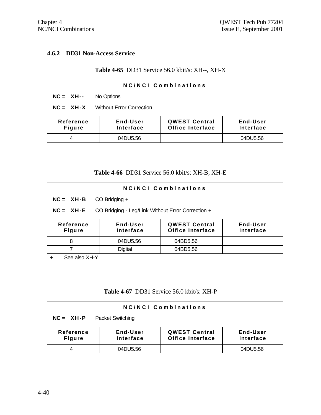#### **4.6.2 DD31 Non-Access Service**

## **Table 4-65** DD31 Service 56.0 kbit/s: XH--, XH-X

| NC/NCI Combinations                                                                                                                    |            |  |          |  |
|----------------------------------------------------------------------------------------------------------------------------------------|------------|--|----------|--|
| $NC = XH--$                                                                                                                            | No Options |  |          |  |
| <b>Without Error Correction</b><br>$NC = XH-X$                                                                                         |            |  |          |  |
| <b>QWEST Central</b><br>End-User<br>Reference<br>End-User<br><b>Office Interface</b><br>Interface<br><b>Interface</b><br><b>Figure</b> |            |  |          |  |
| 4                                                                                                                                      | 04DU5.56   |  | 04DU5.56 |  |

#### **Table 4-66** DD31 Service 56.0 kbit/s: XH-B, XH-E

| NC/NCI Combinations                                              |                       |                                                 |                              |  |
|------------------------------------------------------------------|-----------------------|-------------------------------------------------|------------------------------|--|
| $NC = XH-B$                                                      | $CO$ Bridging $+$     |                                                 |                              |  |
| CO Bridging - Leg/Link Without Error Correction +<br>$NC = XH-E$ |                       |                                                 |                              |  |
| Reference<br><b>Figure</b>                                       | End-User<br>Interface | <b>QWEST Central</b><br><b>Office Interface</b> | End-User<br><b>Interface</b> |  |
| 8                                                                | 04DU5.56              | 04BD5.56                                        |                              |  |
|                                                                  | <b>Digital</b>        | 04BD5.56                                        |                              |  |

+ See also XH-Y

#### **Table 4-67** DD31 Service 56.0 kbit/s: XH-P

| <b>NC/NCI Combinations</b> |                         |                                                 |                       |  |  |
|----------------------------|-------------------------|-------------------------------------------------|-----------------------|--|--|
| $NC = XH-P$                | <b>Packet Switching</b> |                                                 |                       |  |  |
| Reference<br><b>Figure</b> | End-User<br>Interface   | <b>QWEST Central</b><br><b>Office Interface</b> | End-User<br>Interface |  |  |
|                            | 04DU5.56                |                                                 | 04DU5.56              |  |  |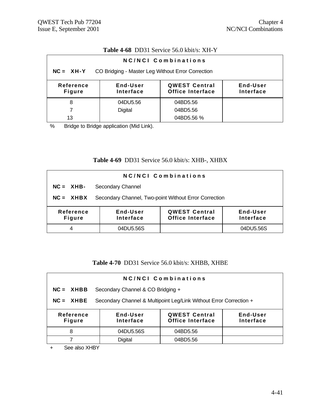## **Table 4-68** DD31 Service 56.0 kbit/s: XH-Y

| NC/NCI Combinations                                              |                       |                                                 |                       |  |  |
|------------------------------------------------------------------|-----------------------|-------------------------------------------------|-----------------------|--|--|
| CO Bridging - Master Leg Without Error Correction<br>$NC = XH-Y$ |                       |                                                 |                       |  |  |
| Reference<br><b>Figure</b>                                       | End-User<br>Interface | <b>QWEST Central</b><br><b>Office Interface</b> | End-User<br>Interface |  |  |
| 8                                                                | 04DU5.56              | 04BD5.56                                        |                       |  |  |
|                                                                  | <b>Digital</b>        | 04BD5.56                                        |                       |  |  |
| 13                                                               |                       | 04BD5.56 %                                      |                       |  |  |

% Bridge to Bridge application (Mid Link).

## **Table 4-69** DD31 Service 56.0 kbit/s: XHB-, XHBX

| <b>NC/NCI Combinations</b> |                                                       |                                                 |                       |  |
|----------------------------|-------------------------------------------------------|-------------------------------------------------|-----------------------|--|
| $NC = XHB -$               | Secondary Channel                                     |                                                 |                       |  |
| $NC = XHBX$                | Secondary Channel, Two-point Without Error Correction |                                                 |                       |  |
| Reference<br><b>Figure</b> | End-User<br>Interface                                 | <b>QWEST Central</b><br><b>Office Interface</b> | End-User<br>Interface |  |
| 4                          | 04DU5.56S                                             |                                                 | 04DU5.56S             |  |

### **Table 4-70** DD31 Service 56.0 kbit/s: XHBB, XHBE

| NC/NCI Combinations        |                                                                    |                                          |                       |  |  |
|----------------------------|--------------------------------------------------------------------|------------------------------------------|-----------------------|--|--|
| $NC = XHBB$                | Secondary Channel & CO Bridging +                                  |                                          |                       |  |  |
| $NC = XHBE$                | Secondary Channel & Multipoint Leg/Link Without Error Correction + |                                          |                       |  |  |
| Reference<br><b>Figure</b> | End-User<br>Interface                                              | <b>QWEST Central</b><br>Office Interface | End-User<br>Interface |  |  |
| 8                          | 04DU5.56S                                                          | 04BD5.56                                 |                       |  |  |
|                            | <b>Digital</b>                                                     | 04BD5.56                                 |                       |  |  |

+ See also XHBY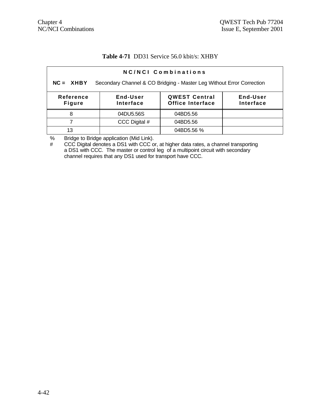#### **Table 4-71** DD31 Service 56.0 kbit/s: XHBY

| NC/NCI Combinations                                                                  |                       |                                                 |                       |  |  |
|--------------------------------------------------------------------------------------|-----------------------|-------------------------------------------------|-----------------------|--|--|
| Secondary Channel & CO Bridging - Master Leg Without Error Correction<br>$NC = XHBY$ |                       |                                                 |                       |  |  |
| Reference<br><b>Figure</b>                                                           | End-User<br>Interface | <b>QWEST Central</b><br><b>Office Interface</b> | End-User<br>Interface |  |  |
| 8                                                                                    | 04DU5.56S             | 04BD5.56                                        |                       |  |  |
|                                                                                      | CCC Digital #         | 04BD5.56                                        |                       |  |  |
| 13                                                                                   |                       | 04BD5.56 %                                      |                       |  |  |

% Bridge to Bridge application (Mid Link).

# CCC Digital denotes a DS1 with CCC or, at higher data rates, a channel transporting a DS1 with CCC. The master or control leg of a multipoint circuit with secondary channel requires that any DS1 used for transport have CCC.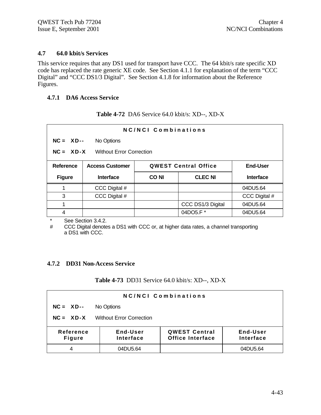#### **4.7 64.0 kbit/s Services**

This service requires that any DS1 used for transport have CCC. The 64 kbit/s rate specific XD code has replaced the rate generic XE code. See Section 4.1.1 for explanation of the term "CCC Digital" and "CCC DS1/3 Digital". See Section 4.1.8 for information about the Reference Figures.

#### **4.7.1 DA6 Access Service**

|  | <b>Table 4-72</b> DA6 Service 64.0 kbit/s: XD--, XD-X |  |
|--|-------------------------------------------------------|--|
|--|-------------------------------------------------------|--|

| NC/NCI Combinations |                                                |       |                             |                  |  |
|---------------------|------------------------------------------------|-------|-----------------------------|------------------|--|
|                     | $NC = XD$ --<br>No Options                     |       |                             |                  |  |
|                     | $NC = XD-X$<br><b>Without Error Correction</b> |       |                             |                  |  |
| <b>Reference</b>    | <b>Access Customer</b>                         |       | <b>QWEST Central Office</b> | <b>End-User</b>  |  |
| <b>Figure</b>       | <b>Interface</b>                               | CO NI | <b>CLEC NI</b>              | <b>Interface</b> |  |
|                     | CCC Digital #                                  |       |                             | 04DU5.64         |  |
| 3                   | CCC Digital #                                  |       |                             | CCC Digital #    |  |
|                     |                                                |       | CCC DS1/3 Digital           | 04DU5.64         |  |
| 4                   |                                                |       | 04DO5.F*                    | 04DU5.64         |  |

\* See Section 3.4.2.

# CCC Digital denotes a DS1 with CCC or, at higher data rates, a channel transporting a DS1 with CCC.

### **4.7.2 DD31 Non-Access Service**

#### **Table 4-73** DD31 Service 64.0 kbit/s: XD--, XD-X

|                            | NC/NCI Combinations             |                                                 |                       |  |  |
|----------------------------|---------------------------------|-------------------------------------------------|-----------------------|--|--|
| $NC = XD$ --               | No Options                      |                                                 |                       |  |  |
| $NC = XD-X$                | <b>Without Error Correction</b> |                                                 |                       |  |  |
| Reference<br><b>Figure</b> | End-User<br>Interface           | <b>QWEST Central</b><br><b>Office Interface</b> | End-User<br>Interface |  |  |
|                            | 04DU5.64                        |                                                 | 04DU5.64              |  |  |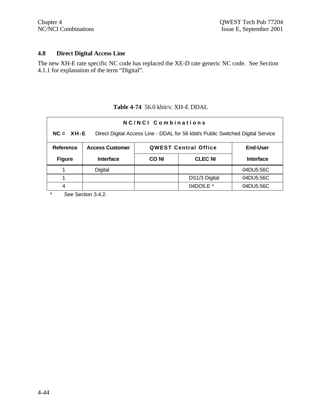## **4.8 Direct Digital Access Line**

The new XH-E rate specific NC code has replaced the XE-D rate generic NC code. See Section 4.1.1 for explanation of the term "Digital".

|               | NC/NCI Combinations                                                                              |             |                             |                  |  |  |
|---------------|--------------------------------------------------------------------------------------------------|-------------|-----------------------------|------------------|--|--|
|               | $NC = XH - E$<br>Direct Digital Access Line - DDAL for 56 kbit/s Public Switched Digital Service |             |                             |                  |  |  |
| Reference     | <b>Access Customer</b>                                                                           |             | <b>QWEST Central Office</b> | <b>End-User</b>  |  |  |
| <b>Figure</b> | <b>Interface</b>                                                                                 | <b>CONI</b> | <b>CLEC NI</b>              | <b>Interface</b> |  |  |
|               | Digital                                                                                          |             |                             | 04DU5.56C        |  |  |
|               |                                                                                                  |             | DS1/3 Digital               | 04DU5.56C        |  |  |
|               |                                                                                                  |             |                             |                  |  |  |

## **Table 4-74** 56.0 kbit/s: XH-E DDAL

\* See Section 3.4.2.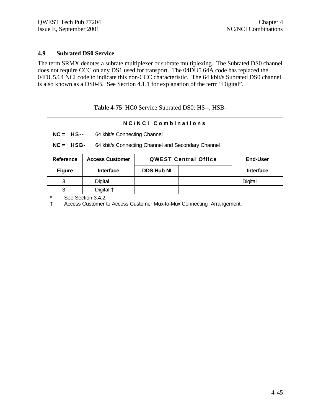#### **4.9 Subrated DS0 Service**

The term SRMX denotes a subrate multiplexer or subrate multiplexing. The Subrated DS0 channel does not require CCC on any DS1 used for transport. The 04DU5.64A code has replaced the 04DU5.64 NCI code to indicate this non-CCC characteristic. The 64 kbit/s Subrated DS0 channel is also known as a DS0-B. See Section 4.1.1 for explanation of the term "Digital".

**Table 4-75** HC0 Service Subrated DS0: HS--, HSB-

| NC/NCL Combinations                                                       |                                                                    |                   |  |                  |
|---------------------------------------------------------------------------|--------------------------------------------------------------------|-------------------|--|------------------|
|                                                                           | $NC = HS$<br>64 kbit/s Connecting Channel                          |                   |  |                  |
|                                                                           | $NC = HSB$ -<br>64 kbit/s Connecting Channel and Secondary Channel |                   |  |                  |
| <b>Access Customer</b><br><b>Reference</b><br><b>QWEST Central Office</b> |                                                                    | <b>End-User</b>   |  |                  |
| <b>Figure</b>                                                             | <b>Interface</b>                                                   | <b>DDS Hub NI</b> |  | <b>Interface</b> |
| 3                                                                         | Digital                                                            |                   |  | Digital          |
| 3                                                                         | Digital +                                                          |                   |  |                  |

\* See Section 3.4.2.

† Access Customer to Access Customer Mux-to-Mux Connecting Arrangement.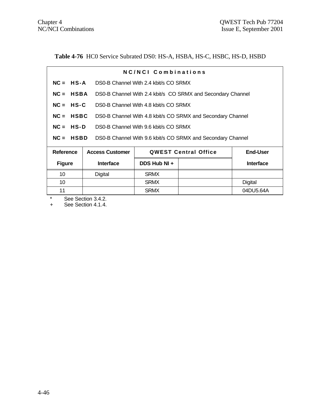Table 4-76 HC0 Service Subrated DS0: HS-A, HSBA, HS-C, HSBC, HS-D, HSBD

|                                                      |                                                                            | <b>NC/NCI Combinations</b>            |                                                             |                  |  |
|------------------------------------------------------|----------------------------------------------------------------------------|---------------------------------------|-------------------------------------------------------------|------------------|--|
| $NC = HS-A$                                          |                                                                            | DS0-B Channel With 2.4 kbit/s CO SRMX |                                                             |                  |  |
|                                                      | $NC = HSBA$<br>DS0-B Channel With 2.4 kbit/s CO SRMX and Secondary Channel |                                       |                                                             |                  |  |
| $NC = HS-C$                                          |                                                                            | DS0-B Channel With 4.8 kbit/s CO SRMX |                                                             |                  |  |
| $NC = HSBC$                                          |                                                                            |                                       | DS0-B Channel With 4.8 kbit/s CO SRMX and Secondary Channel |                  |  |
| $NC = HS-D$<br>DS0-B Channel With 9.6 kbit/s CO SRMX |                                                                            |                                       |                                                             |                  |  |
| $NC = HSBD$                                          |                                                                            |                                       | DS0-B Channel With 9.6 kbit/s CO SRMX and Secondary Channel |                  |  |
| Reference                                            | <b>Access Customer</b>                                                     |                                       | <b>QWEST Central Office</b>                                 | <b>End-User</b>  |  |
| <b>Figure</b>                                        | <b>Interface</b>                                                           | DDS Hub NI +                          |                                                             | <b>Interface</b> |  |
| 10                                                   | Digital                                                                    | <b>SRMX</b>                           |                                                             |                  |  |
| 10                                                   |                                                                            | <b>SRMX</b>                           |                                                             | <b>Digital</b>   |  |
| 11                                                   |                                                                            | <b>SRMX</b>                           |                                                             | 04DU5.64A        |  |

\* See Section 3.4.2.

+ See Section 4.1.4.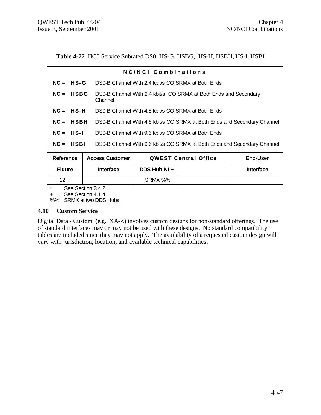Table 4-77 HC0 Service Subrated DS0: HS-G, HSBG, HS-H, HSBH, HS-I, HSBI

|                                                                                         |                        | NC/NCI Combinations                                |                                                                          |                  |
|-----------------------------------------------------------------------------------------|------------------------|----------------------------------------------------|--------------------------------------------------------------------------|------------------|
| $NC = HS-G$                                                                             |                        | DS0-B Channel With 2.4 kbit/s CO SRMX at Both Ends |                                                                          |                  |
| $NC = HSBG$                                                                             | Channel                |                                                    | DS0-B Channel With 2.4 kbit/s CO SRMX at Both Ends and Secondary         |                  |
| $NC = HS-H$                                                                             |                        | DS0-B Channel With 4.8 kbit/s CO SRMX at Both Ends |                                                                          |                  |
| $NC = HSBH$                                                                             |                        |                                                    | DS0-B Channel With 4.8 kbit/s CO SRMX at Both Ends and Secondary Channel |                  |
| $NC = HS-I$                                                                             |                        | DS0-B Channel With 9.6 kbit/s CO SRMX at Both Ends |                                                                          |                  |
| $NC = HSBI$<br>DS0-B Channel With 9.6 kbit/s CO SRMX at Both Ends and Secondary Channel |                        |                                                    |                                                                          |                  |
| Reference                                                                               | <b>Access Customer</b> |                                                    | <b>QWEST Central Office</b>                                              | <b>End-User</b>  |
| <b>Figure</b>                                                                           | <b>Interface</b>       | DDS Hub NI +                                       |                                                                          | <b>Interface</b> |
| 12 <sup>2</sup>                                                                         |                        | SRMX %%                                            |                                                                          |                  |
| $\star$                                                                                 | See Section 3.4.2.     |                                                    |                                                                          |                  |

+ See Section 4.1.4.

%% SRMX at two DDS Hubs.

#### **4.10 Custom Service**

Digital Data - Custom (e.g., XA-Z) involves custom designs for non-standard offerings. The use of standard interfaces may or may not be used with these designs. No standard compatibility tables are included since they may not apply. The availability of a requested custom design will vary with jurisdiction, location, and available technical capabilities.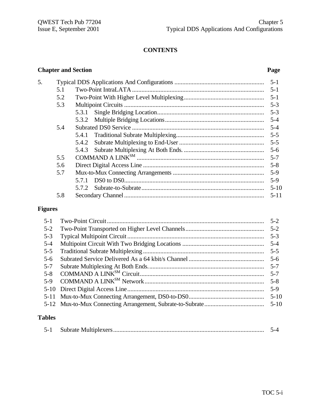# **CONTENTS**

## **Chapter and Section Page**

| 5. |     |       |          |
|----|-----|-------|----------|
|    | 5.1 |       | $5-1$    |
|    | 5.2 |       |          |
|    | 5.3 |       | $5-3$    |
|    |     |       | $5 - 3$  |
|    |     |       |          |
|    | 5.4 |       |          |
|    |     |       | $5 - 5$  |
|    |     |       |          |
|    |     |       |          |
|    | 5.5 |       | $5 - 7$  |
|    | 5.6 |       | $5 - 8$  |
|    | 5.7 |       |          |
|    |     | 5.7.1 | $5-9$    |
|    |     |       | $5 - 10$ |
|    | 5.8 |       | $5 - 11$ |
|    |     |       |          |

# **Figures**

| $5 - 1$ | $5 - 2$  |
|---------|----------|
| $5 - 2$ | $5-2$    |
| $5 - 3$ | $5-3$    |
| $5 - 4$ | $5-4$    |
| $5 - 5$ | $5 - 5$  |
| $5-6$   | $5-6$    |
| $5 - 7$ | $5 - 7$  |
| $5-8$   | $5 - 7$  |
| $5-9$   | $5-8$    |
|         | $5-9$    |
|         | $5 - 10$ |
|         | $5-10$   |
|         |          |

# **Tables**

|--|--|--|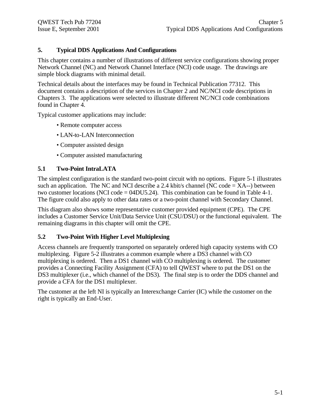## **5. Typical DDS Applications And Configurations**

This chapter contains a number of illustrations of different service configurations showing proper Network Channel (NC) and Network Channel Interface (NCI) code usage. The drawings are simple block diagrams with minimal detail.

Technical details about the interfaces may be found in Technical Publication 77312. This document contains a description of the services in Chapter 2 and NC/NCI code descriptions in Chapters 3. The applications were selected to illustrate different NC/NCI code combinations found in Chapter 4.

Typical customer applications may include:

- Remote computer access
- LAN-to-LAN Interconnection
- Computer assisted design
- Computer assisted manufacturing

## **5.1 Two-Point IntraLATA**

The simplest configuration is the standard two-point circuit with no options. Figure 5-1 illustrates such an application. The NC and NCI describe a 2.4 kbit/s channel (NC code  $= XA^{-1}$ ) between two customer locations (NCI code = 04DU5.24). This combination can be found in Table 4-1. The figure could also apply to other data rates or a two-point channel with Secondary Channel.

This diagram also shows some representative customer provided equipment (CPE). The CPE includes a Customer Service Unit/Data Service Unit (CSU/DSU) or the functional equivalent. The remaining diagrams in this chapter will omit the CPE.

### **5.2 Two-Point With Higher Level Multiplexing**

Access channels are frequently transported on separately ordered high capacity systems with CO multiplexing. Figure 5-2 illustrates a common example where a DS3 channel with CO multiplexing is ordered. Then a DS1 channel with CO multiplexing is ordered. The customer provides a Connecting Facility Assignment (CFA) to tell QWEST where to put the DS1 on the DS3 multiplexer (i.e., which channel of the DS3). The final step is to order the DDS channel and provide a CFA for the DS1 multiplexer.

The customer at the left NI is typically an Interexchange Carrier (IC) while the customer on the right is typically an End-User.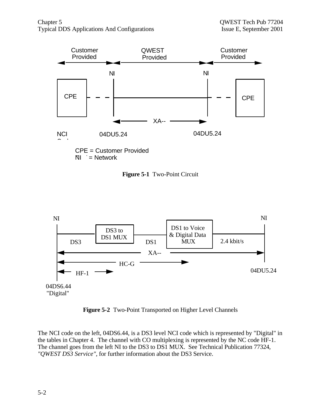

**Figure 5-1** Two-Point Circuit



**Figure 5-2** Two-Point Transported on Higher Level Channels

The NCI code on the left, 04DS6.44, is a DS3 level NCI code which is represented by "Digital" in the tables in Chapter 4. The channel with CO multiplexing is represented by the NC code HF-1. The channel goes from the left NI to the DS3 to DS1 MUX. See Technical Publication 77324, *"QWEST DS3 Service"*, for further information about the DS3 Service.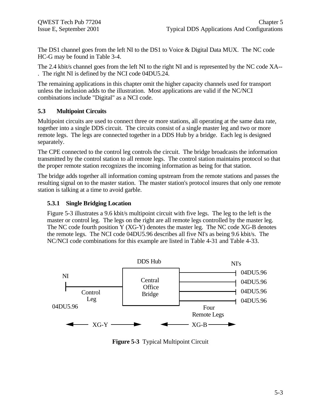The DS1 channel goes from the left NI to the DS1 to Voice & Digital Data MUX. The NC code HC-G may be found in Table 3-4.

The 2.4 kbit/s channel goes from the left NI to the right NI and is represented by the NC code XA-- . The right NI is defined by the NCI code 04DU5.24.

The remaining applications in this chapter omit the higher capacity channels used for transport unless the inclusion adds to the illustration. Most applications are valid if the NC/NCI combinations include "Digital" as a NCI code.

## **5.3 Multipoint Circuits**

Multipoint circuits are used to connect three or more stations, all operating at the same data rate, together into a single DDS circuit. The circuits consist of a single master leg and two or more remote legs. The legs are connected together in a DDS Hub by a bridge. Each leg is designed separately.

The CPE connected to the control leg controls the circuit. The bridge broadcasts the information transmitted by the control station to all remote legs. The control station maintains protocol so that the proper remote station recognizes the incoming information as being for that station.

The bridge adds together all information coming upstream from the remote stations and passes the resulting signal on to the master station. The master station's protocol insures that only one remote station is talking at a time to avoid garble.

## **5.3.1 Single Bridging Location**

Figure 5-3 illustrates a 9.6 kbit/s multipoint circuit with five legs. The leg to the left is the master or control leg. The legs on the right are all remote legs controlled by the master leg. The NC code fourth position Y (XG-Y) denotes the master leg. The NC code XG-B denotes the remote legs. The NCI code 04DU5.96 describes all five NI's as being 9.6 kbit/s. The NC/NCI code combinations for this example are listed in Table 4-31 and Table 4-33.



**Figure 5-3** Typical Multipoint Circuit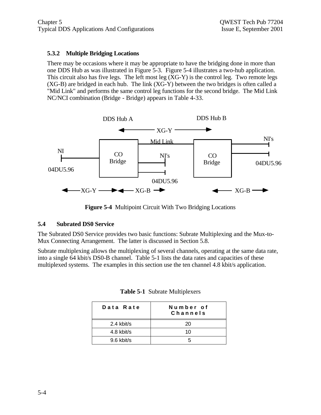## **5.3.2 Multiple Bridging Locations**

There may be occasions where it may be appropriate to have the bridging done in more than one DDS Hub as was illustrated in Figure 5-3. Figure 5-4 illustrates a two-hub application. This circuit also has five legs. The left most leg (XG-Y) is the control leg. Two remote legs (XG-B) are bridged in each hub. The link (XG-Y) between the two bridges is often called a "Mid Link" and performs the same control leg functions for the second bridge. The Mid Link NC/NCI combination (Bridge - Bridge) appears in Table 4-33.



**Figure 5-4** Multipoint Circuit With Two Bridging Locations

### **5.4 Subrated DS0 Service**

The Subrated DS0 Service provides two basic functions: Subrate Multiplexing and the Mux-to-Mux Connecting Arrangement. The latter is discussed in Section 5.8.

Subrate multiplexing allows the multiplexing of several channels, operating at the same data rate, into a single 64 kbit/s DS0-B channel. Table 5-1 lists the data rates and capacities of these multiplexed systems. The examples in this section use the ten channel 4.8 kbit/s application.

| Data Rate  | Number of<br>Channels |
|------------|-----------------------|
| 2.4 kbit/s | 20                    |
| 4.8 kbit/s | 10                    |
| 9.6 kbit/s |                       |

| Table 5-1 Subrate Multiplexers |
|--------------------------------|
|--------------------------------|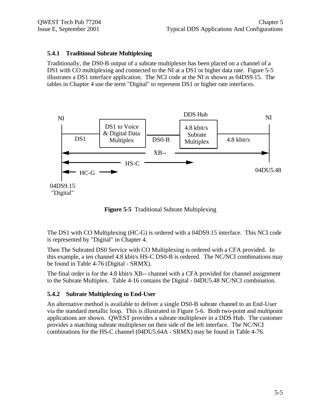### **5.4.1 Traditional Subrate Multiplexing**

Traditionally, the DS0-B output of a subrate multiplexer has been placed on a channel of a DS1 with CO multiplexing and connected to the NI at a DS1 or higher data rate. Figure 5-5 illustrates a DS1 interface application. The NCI code at the NI is shown as 04DS9.15. The tables in Chapter 4 use the term "Digital" to represent DS1 or higher rate interfaces.



**Figure 5-5** Traditional Subrate Multiplexing

The DS1 with CO Multiplexing (HC-G) is ordered with a 04DS9.15 interface. This NCI code is represented by "Digital" in Chapter 4.

Then The Subrated DS0 Service with CO Multiplexing is ordered with a CFA provided. In this example, a ten channel 4.8 kbit/s HS-C DS0-B is ordered. The NC/NCI combinations may be found in Table 4-76 (Digital - SRMX).

The final order is for the 4.8 kbit/s XB-- channel with a CFA provided for channel assignment to the Subrate Multiplex. Table 4-16 contains the Digital - 04DU5.48 NC/NCI combination.

### **5.4.2 Subrate Multiplexing to End-User**

An alternative method is available to deliver a single DS0-B subrate channel to an End-User via the standard metallic loop. This is illustrated in Figure 5-6. Both two-point and multipoint applications are shown. QWEST provides a subrate multiplexer in a DDS Hub. The customer provides a matching subrate multiplexer on their side of the left interface. The NC/NCI combinations for the HS-C channel (04DU5.64A - SRMX) may be found in Table 4-76.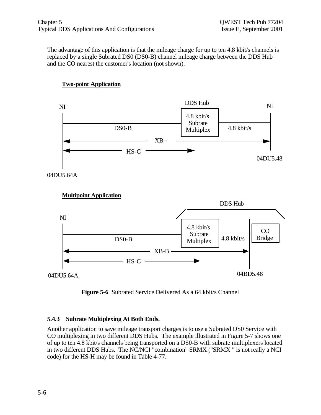The advantage of this application is that the mileage charge for up to ten 4.8 kbit/s channels is replaced by a single Subrated DS0 (DS0-B) channel mileage charge between the DDS Hub and the CO nearest the customer's location (not shown).



## **Two-point Application**



**Figure 5-6** Subrated Service Delivered As a 64 kbit/s Channel

### **5.4.3 Subrate Multiplexing At Both Ends.**

Another application to save mileage transport charges is to use a Subrated DS0 Service with CO multiplexing in two different DDS Hubs. The example illustrated in Figure 5-7 shows one of up to ten 4.8 kbit/s channels being transported on a DS0-B with subrate multiplexers located in two different DDS Hubs. The NC/NCI "combination" SRMX ("SRMX " is not really a NCI code) for the HS-H may be found in Table 4-77.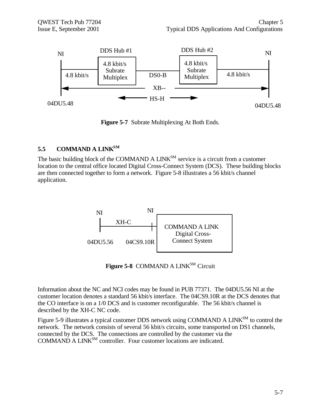

**Figure 5-7** Subrate Multiplexing At Both Ends.

## **5.5 COMMAND A LINKSM**

The basic building block of the COMMAND A  $LINK^{SM}$  service is a circuit from a customer location to the central office located Digital Cross-Connect System (DCS). These building blocks are then connected together to form a network. Figure 5-8 illustrates a 56 kbit/s channel application.



Figure 5-8 COMMAND A LINK<sup>SM</sup> Circuit

Information about the NC and NCI codes may be found in PUB 77371. The 04DU5.56 NI at the customer location denotes a standard 56 kbit/s interface. The 04CS9.10R at the DCS denotes that the CO interface is on a 1/0 DCS and is customer reconfigurable. The 56 kbit/s channel is described by the XH-C NC code.

Figure 5-9 illustrates a typical customer DDS network using COMMAND A LINK<sup>SM</sup> to control the network. The network consists of several 56 kbit/s circuits, some transported on DS1 channels, connected by the DCS. The connections are controlled by the customer via the COMMAND A LINK<sup>SM</sup> controller. Four customer locations are indicated.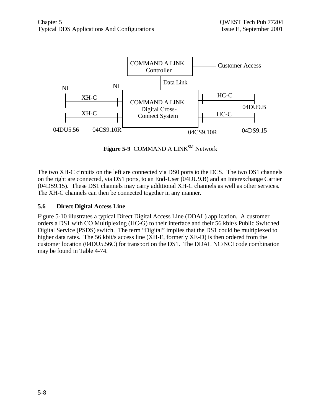

Figure 5-9 COMMAND A LINK<sup>SM</sup> Network

The two XH-C circuits on the left are connected via DS0 ports to the DCS. The two DS1 channels on the right are connected, via DS1 ports, to an End-User (04DU9.B) and an Interexchange Carrier (04DS9.15). These DS1 channels may carry additional XH-C channels as well as other services. The XH-C channels can then be connected together in any manner.

## **5.6 Direct Digital Access Line**

Figure 5-10 illustrates a typical Direct Digital Access Line (DDAL) application. A customer orders a DS1 with CO Multiplexing (HC-G) to their interface and their 56 kbit/s Public Switched Digital Service (PSDS) switch. The term "Digital" implies that the DS1 could be multiplexed to higher data rates. The 56 kbit/s access line (XH-E, formerly XE-D) is then ordered from the customer location (04DU5.56C) for transport on the DS1. The DDAL NC/NCI code combination may be found in Table 4-74.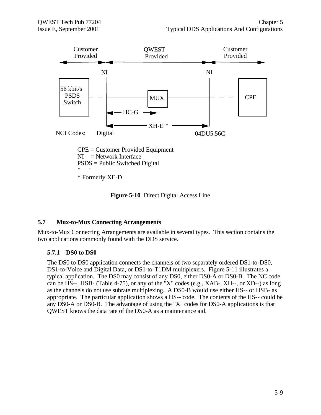

**Figure 5-10** Direct Digital Access Line

### **5.7 Mux-to-Mux Connecting Arrangements**

Mux-to-Mux Connecting Arrangements are available in several types. This section contains the two applications commonly found with the DDS service.

### **5.7.1 DS0 to DS0**

The DS0 to DS0 application connects the channels of two separately ordered DS1-to-DS0, DS1-to-Voice and Digital Data, or DS1-to-T1DM multiplexers. Figure 5-11 illustrates a typical application. The DS0 may consist of any DS0, either DS0-A or DS0-B. The NC code can be HS--, HSB- (Table 4-75), or any of the "X" codes (e.g., XAB-, XH--, or XD--) as long as the channels do not use subrate multiplexing. A DS0-B would use either HS-- or HSB- as appropriate. The particular application shows a HS-- code. The contents of the HS-- could be any DS0-A or DS0-B. The advantage of using the "X" codes for DS0-A applications is that QWEST knows the data rate of the DS0-A as a maintenance aid.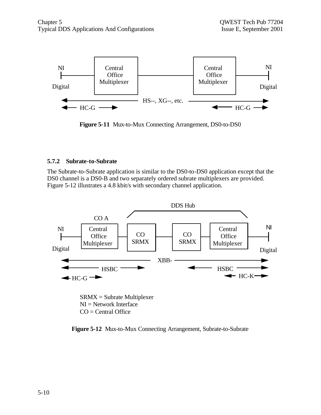

**Figure 5-11** Mux-to-Mux Connecting Arrangement, DS0-to-DS0

#### **5.7.2 Subrate-to-Subrate**

The Subrate-to-Subrate application is similar to the DS0-to-DS0 application except that the DS0 channel is a DS0-B and two separately ordered subrate multiplexers are provided. Figure 5-12 illustrates a 4.8 kbit/s with secondary channel application.



**Figure 5-12** Mux-to-Mux Connecting Arrangement, Subrate-to-Subrate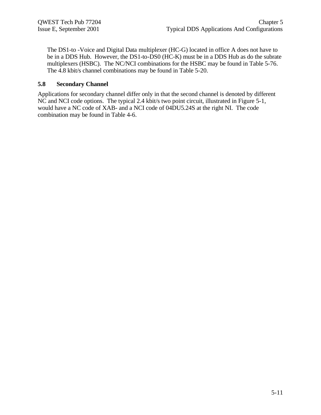The DS1-to -Voice and Digital Data multiplexer (HC-G) located in office A does not have to be in a DDS Hub. However, the DS1-to-DS0 (HC-K) must be in a DDS Hub as do the subrate multiplexers (HSBC). The NC/NCI combinations for the HSBC may be found in Table 5-76. The 4.8 kbit/s channel combinations may be found in Table 5-20.

#### **5.8 Secondary Channel**

Applications for secondary channel differ only in that the second channel is denoted by different NC and NCI code options. The typical 2.4 kbit/s two point circuit, illustrated in Figure 5-1, would have a NC code of XAB- and a NCI code of 04DU5.24S at the right NI. The code combination may be found in Table 4-6.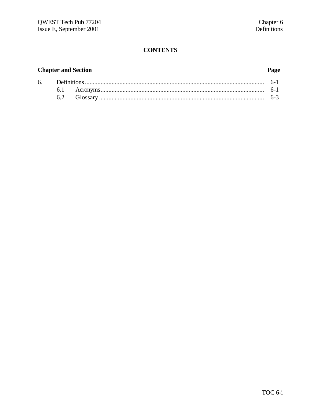# **CONTENTS**

# **Chapter and Section**

# Page

| 6. Definitions |          |         |
|----------------|----------|---------|
|                |          | $6 - 1$ |
|                | Glossary | $0 - 3$ |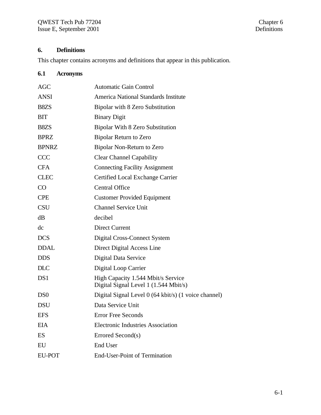# **6. Definitions**

This chapter contains acronyms and definitions that appear in this publication.

# **6.1 Acronyms**

| <b>AGC</b>      | <b>Automatic Gain Control</b>                                               |
|-----------------|-----------------------------------------------------------------------------|
| <b>ANSI</b>     | America National Standards Institute                                        |
| B8ZS            | Bipolar with 8 Zero Substitution                                            |
| BIT             | <b>Binary Digit</b>                                                         |
| B8ZS            | Bipolar With 8 Zero Substitution                                            |
| <b>BPRZ</b>     | <b>Bipolar Return to Zero</b>                                               |
| <b>BPNRZ</b>    | Bipolar Non-Return to Zero                                                  |
| <b>CCC</b>      | <b>Clear Channel Capability</b>                                             |
| <b>CFA</b>      | <b>Connecting Facility Assignment</b>                                       |
| <b>CLEC</b>     | Certified Local Exchange Carrier                                            |
| CO              | <b>Central Office</b>                                                       |
| <b>CPE</b>      | <b>Customer Provided Equipment</b>                                          |
| <b>CSU</b>      | <b>Channel Service Unit</b>                                                 |
| dB              | decibel                                                                     |
| dc              | <b>Direct Current</b>                                                       |
| <b>DCS</b>      | Digital Cross-Connect System                                                |
| <b>DDAL</b>     | Direct Digital Access Line                                                  |
| <b>DDS</b>      | Digital Data Service                                                        |
| <b>DLC</b>      | Digital Loop Carrier                                                        |
| DS1             | High Capacity 1.544 Mbit/s Service<br>Digital Signal Level 1 (1.544 Mbit/s) |
| D <sub>S0</sub> | Digital Signal Level 0 (64 kbit/s) (1 voice channel)                        |
| <b>DSU</b>      | Data Service Unit                                                           |
| <b>EFS</b>      | <b>Error Free Seconds</b>                                                   |
| <b>EIA</b>      | <b>Electronic Industries Association</b>                                    |
| ES              | Errored Second(s)                                                           |
| EU              | <b>End User</b>                                                             |
| <b>EU-POT</b>   | <b>End-User-Point of Termination</b>                                        |
|                 |                                                                             |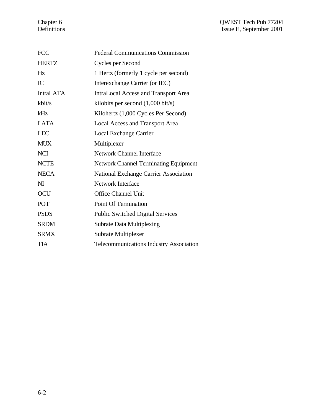| <b>FCC</b>       | <b>Federal Communications Commission</b>       |
|------------------|------------------------------------------------|
| <b>HERTZ</b>     | Cycles per Second                              |
| Hz               | 1 Hertz (formerly 1 cycle per second)          |
| IC               | Interexchange Carrier (or IEC)                 |
| <b>IntraLATA</b> | <b>IntraLocal Access and Transport Area</b>    |
| kbit/s           | kilobits per second $(1,000 \text{ bit/s})$    |
| kHz              | Kilohertz (1,000 Cycles Per Second)            |
| <b>LATA</b>      | <b>Local Access and Transport Area</b>         |
| <b>LEC</b>       | Local Exchange Carrier                         |
| <b>MUX</b>       | Multiplexer                                    |
| <b>NCI</b>       | <b>Network Channel Interface</b>               |
| <b>NCTE</b>      | <b>Network Channel Terminating Equipment</b>   |
| <b>NECA</b>      | National Exchange Carrier Association          |
| N <sub>I</sub>   | <b>Network Interface</b>                       |
| <b>OCU</b>       | <b>Office Channel Unit</b>                     |
| POT              | <b>Point Of Termination</b>                    |
| <b>PSDS</b>      | <b>Public Switched Digital Services</b>        |
| <b>SRDM</b>      | <b>Subrate Data Multiplexing</b>               |
| <b>SRMX</b>      | Subrate Multiplexer                            |
| <b>TIA</b>       | <b>Telecommunications Industry Association</b> |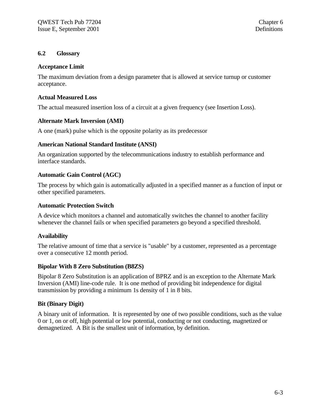#### **6.2 Glossary**

#### **Acceptance Limit**

The maximum deviation from a design parameter that is allowed at service turnup or customer acceptance.

#### **Actual Measured Loss**

The actual measured insertion loss of a circuit at a given frequency (see Insertion Loss).

### **Alternate Mark Inversion (AMI)**

A one (mark) pulse which is the opposite polarity as its predecessor

#### **American National Standard Institute (ANSI)**

An organization supported by the telecommunications industry to establish performance and interface standards.

### **Automatic Gain Control (AGC)**

The process by which gain is automatically adjusted in a specified manner as a function of input or other specified parameters.

#### **Automatic Protection Switch**

A device which monitors a channel and automatically switches the channel to another facility whenever the channel fails or when specified parameters go beyond a specified threshold.

### **Availability**

The relative amount of time that a service is "usable" by a customer, represented as a percentage over a consecutive 12 month period.

#### **Bipolar With 8 Zero Substitution (B8ZS)**

Bipolar 8 Zero Substitution is an application of BPRZ and is an exception to the Alternate Mark Inversion (AMI) line-code rule. It is one method of providing bit independence for digital transmission by providing a minimum 1s density of 1 in 8 bits.

### **Bit (Binary Digit)**

A binary unit of information. It is represented by one of two possible conditions, such as the value 0 or 1, on or off, high potential or low potential, conducting or not conducting, magnetized or demagnetized. A Bit is the smallest unit of information, by definition.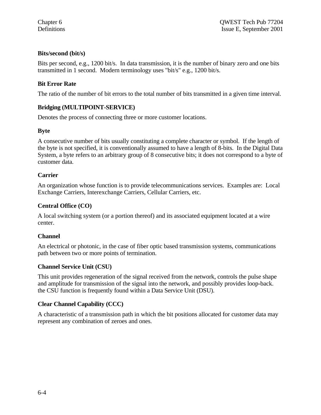## **Bits/second (bit/s)**

Bits per second, e.g., 1200 bit/s. In data transmission, it is the number of binary zero and one bits transmitted in 1 second. Modern terminology uses "bit/s" e.g., 1200 bit/s.

## **Bit Error Rate**

The ratio of the number of bit errors to the total number of bits transmitted in a given time interval.

### **Bridging (MULTIPOINT-SERVICE)**

Denotes the process of connecting three or more customer locations.

## **Byte**

A consecutive number of bits usually constituting a complete character or symbol. If the length of the byte is not specified, it is conventionally assumed to have a length of 8-bits. In the Digital Data System, a byte refers to an arbitrary group of 8 consecutive bits; it does not correspond to a byte of customer data.

## **Carrier**

An organization whose function is to provide telecommunications services. Examples are: Local Exchange Carriers, Interexchange Carriers, Cellular Carriers, etc.

## **Central Office (CO)**

A local switching system (or a portion thereof) and its associated equipment located at a wire center.

### **Channel**

An electrical or photonic, in the case of fiber optic based transmission systems, communications path between two or more points of termination.

### **Channel Service Unit (CSU)**

This unit provides regeneration of the signal received from the network, controls the pulse shape and amplitude for transmission of the signal into the network, and possibly provides loop-back. the CSU function is frequently found within a Data Service Unit (DSU).

## **Clear Channel Capability (CCC)**

A characteristic of a transmission path in which the bit positions allocated for customer data may represent any combination of zeroes and ones.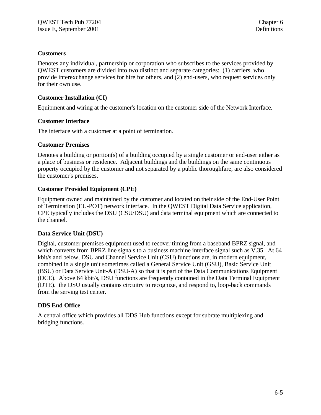#### **Customers**

Denotes any individual, partnership or corporation who subscribes to the services provided by QWEST customers are divided into two distinct and separate categories: (1) carriers, who provide interexchange services for hire for others, and (2) end-users, who request services only for their own use.

#### **Customer Installation (CI)**

Equipment and wiring at the customer's location on the customer side of the Network Interface.

#### **Customer Interface**

The interface with a customer at a point of termination.

#### **Customer Premises**

Denotes a building or portion(s) of a building occupied by a single customer or end-user either as a place of business or residence. Adjacent buildings and the buildings on the same continuous property occupied by the customer and not separated by a public thoroughfare, are also considered the customer's premises.

#### **Customer Provided Equipment (CPE)**

Equipment owned and maintained by the customer and located on their side of the End-User Point of Termination (EU-POT) network interface. In the QWEST Digital Data Service application, CPE typically includes the DSU (CSU/DSU) and data terminal equipment which are connected to the channel.

#### **Data Service Unit (DSU)**

Digital, customer premises equipment used to recover timing from a baseband BPRZ signal, and which converts from BPRZ line signals to a business machine interface signal such as V.35. At 64 kbit/s and below, DSU and Channel Service Unit (CSU) functions are, in modern equipment, combined in a single unit sometimes called a General Service Unit (GSU), Basic Service Unit (BSU) or Data Service Unit-A (DSU-A) so that it is part of the Data Communications Equipment (DCE). Above 64 kbit/s, DSU functions are frequently contained in the Data Terminal Equipment (DTE). the DSU usually contains circuitry to recognize, and respond to, loop-back commands from the serving test center.

### **DDS End Office**

A central office which provides all DDS Hub functions except for subrate multiplexing and bridging functions.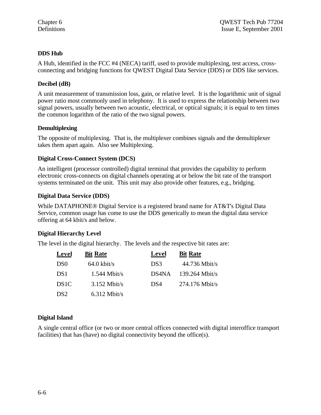## **DDS Hub**

A Hub, identified in the FCC #4 (NECA) tariff, used to provide multiplexing, test access, crossconnecting and bridging functions for QWEST Digital Data Service (DDS) or DDS like services.

## **Decibel (dB)**

A unit measurement of transmission loss, gain, or relative level. It is the logarithmic unit of signal power ratio most commonly used in telephony. It is used to express the relationship between two signal powers, usually between two acoustic, electrical, or optical signals; it is equal to ten times the common logarithm of the ratio of the two signal powers.

### **Demultiplexing**

The opposite of multiplexing. That is, the multiplexer combines signals and the demultiplexer takes them apart again. Also see Multiplexing.

## **Digital Cross-Connect System (DCS)**

An intelligent (processor controlled) digital terminal that provides the capability to perform electronic cross-connects on digital channels operating at or below the bit rate of the transport systems terminated on the unit. This unit may also provide other features, e.g., bridging.

## **Digital Data Service (DDS)**

While DATAPHONE® Digital Service is a registered brand name for AT&T's Digital Data Service, common usage has come to use the DDS generically to mean the digital data service offering at 64 kbit/s and below.

## **Digital Hierarchy Level**

The level in the digital hierarchy. The levels and the respective bit rates are:

| <b>Level</b>      | <b>Bit Rate</b>       | Level | <b>Bit Rate</b>  |
|-------------------|-----------------------|-------|------------------|
| D <sub>S0</sub>   | $64.0 \text{ kbit/s}$ | DS3   | $44.736$ Mbit/s  |
| DS1               | $1.544$ Mbit/s        | DS4NA | $139.264$ Mbit/s |
| DS <sub>1</sub> C | $3.152$ Mbit/s        | DS4   | 274.176 Mbit/s   |
| DS <sub>2</sub>   | $6.312$ Mbit/s        |       |                  |

### **Digital Island**

A single central office (or two or more central offices connected with digital interoffice transport facilities) that has (have) no digital connectivity beyond the office(s).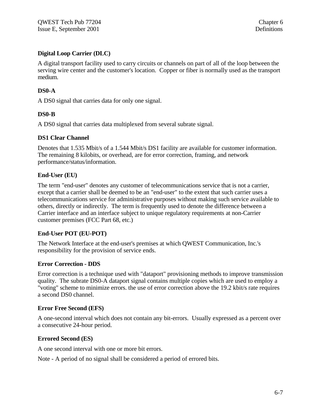## **Digital Loop Carrier (DLC)**

A digital transport facility used to carry circuits or channels on part of all of the loop between the serving wire center and the customer's location. Copper or fiber is normally used as the transport medium.

## **DS0-A**

A DS0 signal that carries data for only one signal.

### **DS0-B**

A DS0 signal that carries data multiplexed from several subrate signal.

#### **DS1 Clear Channel**

Denotes that 1.535 Mbit/s of a 1.544 Mbit/s DS1 facility are available for customer information. The remaining 8 kilobits, or overhead, are for error correction, framing, and network performance/status/information.

#### **End-User (EU)**

The term "end-user" denotes any customer of telecommunications service that is not a carrier, except that a carrier shall be deemed to be an "end-user" to the extent that such carrier uses a telecommunications service for administrative purposes without making such service available to others, directly or indirectly. The term is frequently used to denote the difference between a Carrier interface and an interface subject to unique regulatory requirements at non-Carrier customer premises (FCC Part 68, etc.)

### **End-User POT (EU-POT)**

The Network Interface at the end-user's premises at which QWEST Communication, Inc.'s responsibility for the provision of service ends.

### **Error Correction - DDS**

Error correction is a technique used with "dataport" provisioning methods to improve transmission quality. The subrate DS0-A dataport signal contains multiple copies which are used to employ a "voting" scheme to minimize errors. the use of error correction above the 19.2 kbit/s rate requires a second DS0 channel.

#### **Error Free Second (EFS)**

A one-second interval which does not contain any bit-errors. Usually expressed as a percent over a consecutive 24-hour period.

### **Errored Second (ES)**

A one second interval with one or more bit errors.

Note - A period of no signal shall be considered a period of errored bits.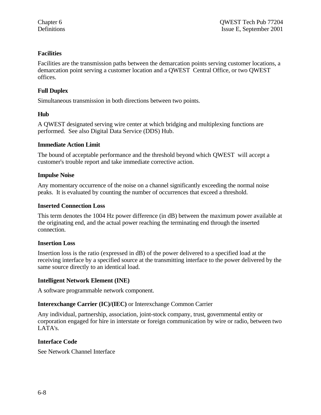## **Facilities**

Facilities are the transmission paths between the demarcation points serving customer locations, a demarcation point serving a customer location and a QWEST Central Office, or two QWEST offices.

## **Full Duplex**

Simultaneous transmission in both directions between two points.

## **Hub**

A QWEST designated serving wire center at which bridging and multiplexing functions are performed. See also Digital Data Service (DDS) Hub.

## **Immediate Action Limit**

The bound of acceptable performance and the threshold beyond which QWEST will accept a customer's trouble report and take immediate corrective action.

## **Impulse Noise**

Any momentary occurrence of the noise on a channel significantly exceeding the normal noise peaks. It is evaluated by counting the number of occurrences that exceed a threshold.

## **Inserted Connection Loss**

This term denotes the 1004 Hz power difference (in dB) between the maximum power available at the originating end, and the actual power reaching the terminating end through the inserted connection.

### **Insertion Loss**

Insertion loss is the ratio (expressed in dB) of the power delivered to a specified load at the receiving interface by a specified source at the transmitting interface to the power delivered by the same source directly to an identical load.

### **Intelligent Network Element (INE)**

A software programmable network component.

## **Interexchange Carrier (IC)/(IEC)** or Interexchange Common Carrier

Any individual, partnership, association, joint-stock company, trust, governmental entity or corporation engaged for hire in interstate or foreign communication by wire or radio, between two LATA's.

## **Interface Code**

See Network Channel Interface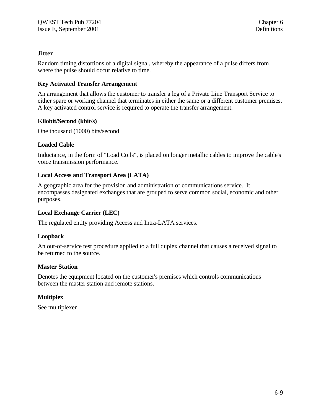#### **Jitter**

Random timing distortions of a digital signal, whereby the appearance of a pulse differs from where the pulse should occur relative to time.

#### **Key Activated Transfer Arrangement**

An arrangement that allows the customer to transfer a leg of a Private Line Transport Service to either spare or working channel that terminates in either the same or a different customer premises. A key activated control service is required to operate the transfer arrangement.

#### **Kilobit/Second (kbit/s)**

One thousand (1000) bits/second

#### **Loaded Cable**

Inductance, in the form of "Load Coils", is placed on longer metallic cables to improve the cable's voice transmission performance.

#### **Local Access and Transport Area (LATA)**

A geographic area for the provision and administration of communications service. It encompasses designated exchanges that are grouped to serve common social, economic and other purposes.

#### **Local Exchange Carrier (LEC)**

The regulated entity providing Access and Intra-LATA services.

#### **Loopback**

An out-of-service test procedure applied to a full duplex channel that causes a received signal to be returned to the source.

#### **Master Station**

Denotes the equipment located on the customer's premises which controls communications between the master station and remote stations.

### **Multiplex**

See multiplexer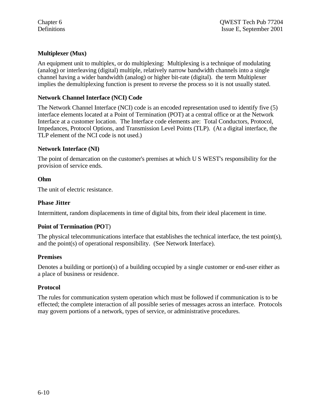## **Multiplexer (Mux)**

An equipment unit to multiplex, or do multiplexing: Multiplexing is a technique of modulating (analog) or interleaving (digital) multiple, relatively narrow bandwidth channels into a single channel having a wider bandwidth (analog) or higher bit-rate (digital). the term Multiplexer implies the demultiplexing function is present to reverse the process so it is not usually stated.

#### **Network Channel Interface (NCI) Code**

The Network Channel Interface (NCI) code is an encoded representation used to identify five (5) interface elements located at a Point of Termination (POT) at a central office or at the Network Interface at a customer location. The Interface code elements are: Total Conductors, Protocol, Impedances, Protocol Options, and Transmission Level Points (TLP). (At a digital interface, the TLP element of the NCI code is not used.)

#### **Network Interface (NI)**

The point of demarcation on the customer's premises at which U S WEST's responsibility for the provision of service ends.

#### **Ohm**

The unit of electric resistance.

#### **Phase Jitter**

Intermittent, random displacements in time of digital bits, from their ideal placement in time.

#### **Point of Termination (PO**T)

The physical telecommunications interface that establishes the technical interface, the test point(s), and the point(s) of operational responsibility. (See Network Interface).

#### **Premises**

Denotes a building or portion(s) of a building occupied by a single customer or end-user either as a place of business or residence.

#### **Protocol**

The rules for communication system operation which must be followed if communication is to be effected; the complete interaction of all possible series of messages across an interface. Protocols may govern portions of a network, types of service, or administrative procedures.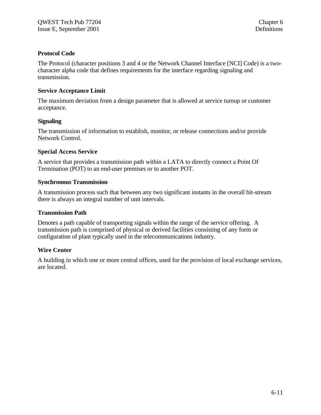#### **Protocol Code**

The Protocol (character positions 3 and 4 or the Network Channel Interface [NCI] Code) is a twocharacter alpha code that defines requirements for the interface regarding signaling and transmission.

#### **Service Acceptance Limit**

The maximum deviation from a design parameter that is allowed at service turnup or customer acceptance.

#### **Signaling**

The transmission of information to establish, monitor, or release connections and/or provide Network Control.

### **Special Access Service**

A service that provides a transmission path within a LATA to directly connect a Point Of Termination (POT) to an end-user premises or to another POT.

#### **Synchronous Transmission**

A transmission process such that between any two significant instants in the overall bit-stream there is always an integral number of unit intervals.

#### **Transmission Path**

Denotes a path capable of transporting signals within the range of the service offering. A transmission path is comprised of physical or derived facilities consisting of any form or configuration of plant typically used in the telecommunications industry.

### **Wire Center**

A building in which one or more central offices, used for the provision of local exchange services, are located.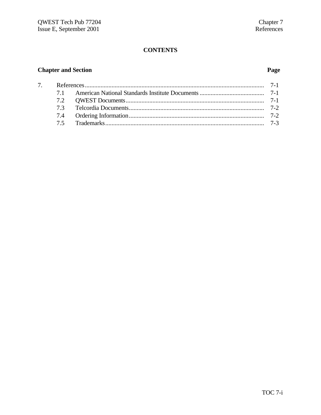# **CONTENTS**

# **Chapter and Section**

# Page

| 7 <sub>1</sub> |  |  |
|----------------|--|--|
|                |  |  |
|                |  |  |
|                |  |  |
|                |  |  |
|                |  |  |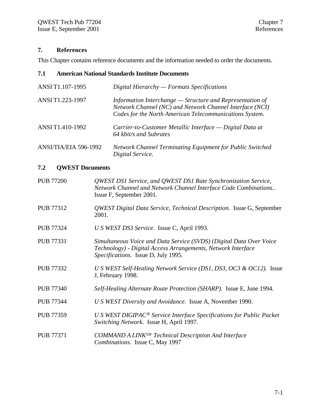# **7. References**

This Chapter contains reference documents and the information needed to order the documents.

# **7.1 American National Standards Institute Documents**

| ANSI T1.107-1995      | Digital Hierarchy $-Formats$ Specifications                                                                                                                                      |
|-----------------------|----------------------------------------------------------------------------------------------------------------------------------------------------------------------------------|
| ANSI T1.223-1997      | Information Interchange - Structure and Representation of<br>Network Channel (NC) and Network Channel Interface (NCI)<br>Codes for the North American Telecommunications System. |
| ANSI T1.410-1992      | Carrier-to-Customer Metallic Interface — Digital Data at<br>64 kbit/s and Subrates                                                                                               |
| ANSI/TIA/EIA 596-1992 | <b>Network Channel Terminating Equipment for Public Switched</b><br>Digital Service.                                                                                             |

## **7.2 QWEST Documents**

| <b>PUB 77200</b> | QWEST DS1 Service, and QWEST DS1 Rate Synchronization Service,<br>Network Channel and Network Channel Interface Code Combinations<br>Issue F, September 2001.              |
|------------------|----------------------------------------------------------------------------------------------------------------------------------------------------------------------------|
| <b>PUB 77312</b> | QWEST Digital Data Service, Technical Description. Issue G, September<br>2001.                                                                                             |
| <b>PUB 77324</b> | U S WEST DS3 Service. Issue C, April 1993.                                                                                                                                 |
| <b>PUB 77331</b> | Simultaneous Voice and Data Service (SVDS) (Digital Data Over Voice<br>Technology) - Digital Access Arrangements, Network Interface<br>Specifications. Issue D, July 1995. |
| <b>PUB 77332</b> | U S WEST Self-Healing Network Service (DS1, DS3, OC3 & OC12). Issue<br>J, February 1998.                                                                                   |
| <b>PUB 77340</b> | Self-Healing Alternate Route Protection (SHARP). Issue E, June 1994.                                                                                                       |
| <b>PUB 77344</b> | U S WEST Diversity and Avoidance. Issue A, November 1990.                                                                                                                  |
| <b>PUB 77359</b> | U S WEST DIGIPAC <sup>®</sup> Service Interface Specifications for Public Packet<br>Switching Network. Issue H, April 1997.                                                |
| <b>PUB 77371</b> | <b>COMMAND A LINKSM Technical Description And Interface</b><br>Combinations. Issue C, May 1997                                                                             |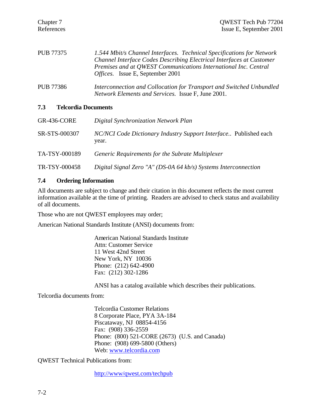| PUB 77375 | 1.544 Mbit/s Channel Interfaces. Technical Specifications for Network |
|-----------|-----------------------------------------------------------------------|
|           | Channel Interface Codes Describing Electrical Interfaces at Customer  |
|           | Premises and at QWEST Communications International Inc. Central       |
|           | <i>Offices.</i> Issue E, September 2001                               |
|           |                                                                       |

PUB 77386 *Interconnection and Collocation for Transport and Switched Unbundled Network Elements and Services.* Issue F, June 2001.

#### **7.3 Telcordia Documents**

| <b>GR-436-CORE</b> | Digital Synchronization Network Plan                                      |
|--------------------|---------------------------------------------------------------------------|
| SR-STS-000307      | NC/NCI Code Dictionary Industry Support Interface Published each<br>year. |
| TA-TSY-000189      | Generic Requirements for the Subrate Multiplexer                          |
| TR-TSY-000458      | Digital Signal Zero "A" (DS-0A 64 kb/s) Systems Interconnection           |

#### **7.4 Ordering Information**

All documents are subject to change and their citation in this document reflects the most current information available at the time of printing. Readers are advised to check status and availability of all documents.

Those who are not QWEST employees may order;

American National Standards Institute (ANSI) documents from:

American National Standards Institute Attn: Customer Service 11 West 42nd Street New York, NY 10036 Phone: (212) 642-4900 Fax: (212) 302-1286

ANSI has a catalog available which describes their publications.

Telcordia documents from:

Telcordia Customer Relations 8 Corporate Place, PYA 3A-184 Piscataway, NJ 08854-4156 Fax: (908) 336-2559 Phone: (800) 521-CORE (2673) (U.S. and Canada) Phone: (908) 699-5800 (Others) Web: www.telcordia.com

QWEST Technical Publications from:

http://www/qwest.com/techpub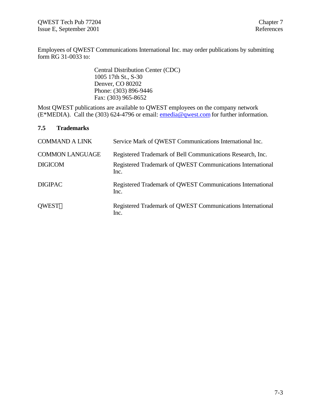Employees of QWEST Communications International Inc. may order publications by submitting form RG 31-0033 to:

> Central Distribution Center (CDC) 1005 17th St., S-30 Denver, CO 80202 Phone: (303) 896-9446 Fax: (303) 965-8652

Most QWEST publications are available to QWEST employees on the company network (E\*MEDIA). Call the (303) 624-4796 or email: emedia@qwest.com for further information.

#### **7.5 Trademarks**

| <b>COMMAND A LINK</b>                    | Service Mark of QWEST Communications International Inc.                                                                          |
|------------------------------------------|----------------------------------------------------------------------------------------------------------------------------------|
| <b>COMMON LANGUAGE</b><br><b>DIGICOM</b> | Registered Trademark of Bell Communications Research, Inc.<br>Registered Trademark of QWEST Communications International<br>Inc. |
| <b>DIGIPAC</b>                           | Registered Trademark of QWEST Communications International<br>Inc.                                                               |
| <b>OWEST®</b>                            | Registered Trademark of QWEST Communications International<br>Inc.                                                               |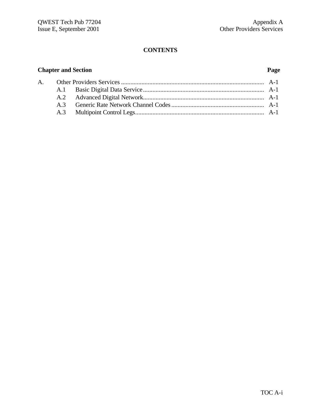# **CONTENTS**

# **Chapter and Section Page**